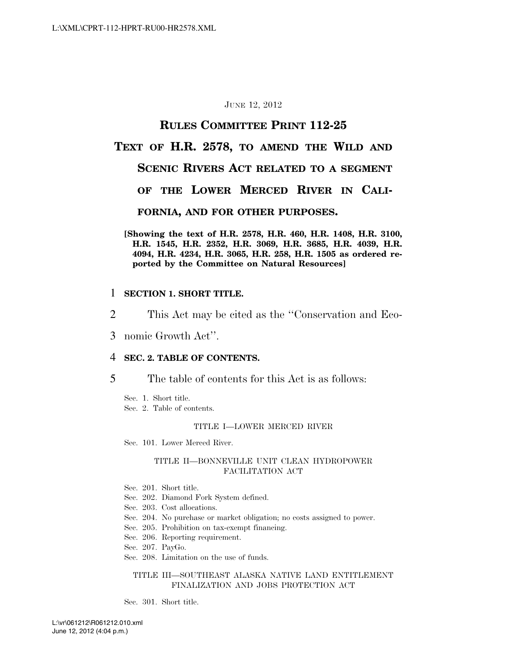#### JUNE 12, 2012

## **RULES COMMITTEE PRINT 112-25**

## **TEXT OF H.R. 2578, TO AMEND THE WILD AND**

## **SCENIC RIVERS ACT RELATED TO A SEGMENT**

## **OF THE LOWER MERCED RIVER IN CALI-**

#### **FORNIA, AND FOR OTHER PURPOSES.**

**[Showing the text of H.R. 2578, H.R. 460, H.R. 1408, H.R. 3100, H.R. 1545, H.R. 2352, H.R. 3069, H.R. 3685, H.R. 4039, H.R. 4094, H.R. 4234, H.R. 3065, H.R. 258, H.R. 1505 as ordered reported by the Committee on Natural Resources]** 

#### 1 **SECTION 1. SHORT TITLE.**

- 2 This Act may be cited as the ''Conservation and Eco-
- 3 nomic Growth Act''.

#### 4 **SEC. 2. TABLE OF CONTENTS.**

5 The table of contents for this Act is as follows:

Sec. 1. Short title. Sec. 2. Table of contents.

#### TITLE I—LOWER MERCED RIVER

Sec. 101. Lower Merced River.

#### TITLE II—BONNEVILLE UNIT CLEAN HYDROPOWER FACILITATION ACT

- Sec. 201. Short title.
- Sec. 202. Diamond Fork System defined.
- Sec. 203. Cost allocations.
- Sec. 204. No purchase or market obligation; no costs assigned to power.
- Sec. 205. Prohibition on tax-exempt financing.
- Sec. 206. Reporting requirement.
- Sec. 207. PayGo.
- Sec. 208. Limitation on the use of funds.

#### TITLE III—SOUTHEAST ALASKA NATIVE LAND ENTITLEMENT FINALIZATION AND JOBS PROTECTION ACT

Sec. 301. Short title.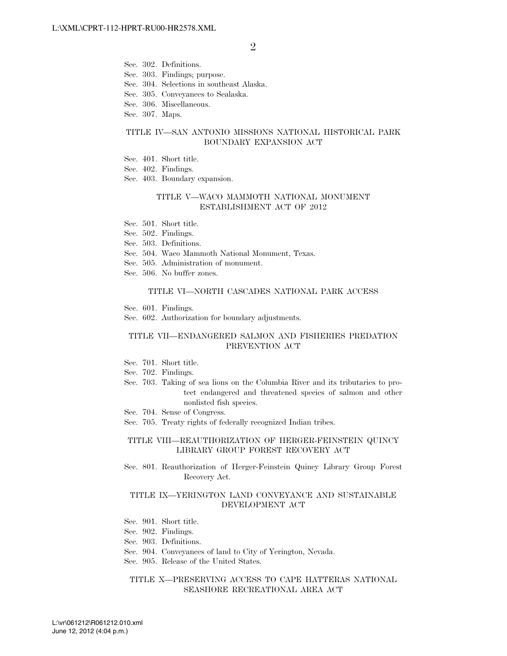- Sec. 302. Definitions.
- Sec. 303. Findings; purpose.
- Sec. 304. Selections in southeast Alaska.
- Sec. 305. Conveyances to Sealaska.
- Sec. 306. Miscellaneous.
- Sec. 307. Maps.

#### TITLE IV—SAN ANTONIO MISSIONS NATIONAL HISTORICAL PARK BOUNDARY EXPANSION ACT

- Sec. 401. Short title.
- Sec. 402. Findings.
- Sec. 403. Boundary expansion.

#### TITLE V—WACO MAMMOTH NATIONAL MONUMENT ESTABLISHMENT ACT OF 2012

- Sec. 501. Short title.
- Sec. 502. Findings.
- Sec. 503. Definitions.
- Sec. 504. Waco Mammoth National Monument, Texas.
- Sec. 505. Administration of monument.
- Sec. 506. No buffer zones.

#### TITLE VI—NORTH CASCADES NATIONAL PARK ACCESS

- Sec. 601. Findings.
- Sec. 602. Authorization for boundary adjustments.

#### TITLE VII—ENDANGERED SALMON AND FISHERIES PREDATION PREVENTION ACT

- Sec. 701. Short title.
- Sec. 702. Findings.
- Sec. 703. Taking of sea lions on the Columbia River and its tributaries to protect endangered and threatened species of salmon and other nonlisted fish species.
- Sec. 704. Sense of Congress.
- Sec. 705. Treaty rights of federally recognized Indian tribes.

#### TITLE VIII—REAUTHORIZATION OF HERGER-FEINSTEIN QUINCY LIBRARY GROUP FOREST RECOVERY ACT

Sec. 801. Reauthorization of Herger-Feinstein Quincy Library Group Forest Recovery Act.

#### TITLE IX—YERINGTON LAND CONVEYANCE AND SUSTAINABLE DEVELOPMENT ACT

- Sec. 901. Short title.
- Sec. 902. Findings.
- Sec. 903. Definitions.
- Sec. 904. Conveyances of land to City of Yerington, Nevada.
- Sec. 905. Release of the United States.

#### TITLE X—PRESERVING ACCESS TO CAPE HATTERAS NATIONAL SEASHORE RECREATIONAL AREA ACT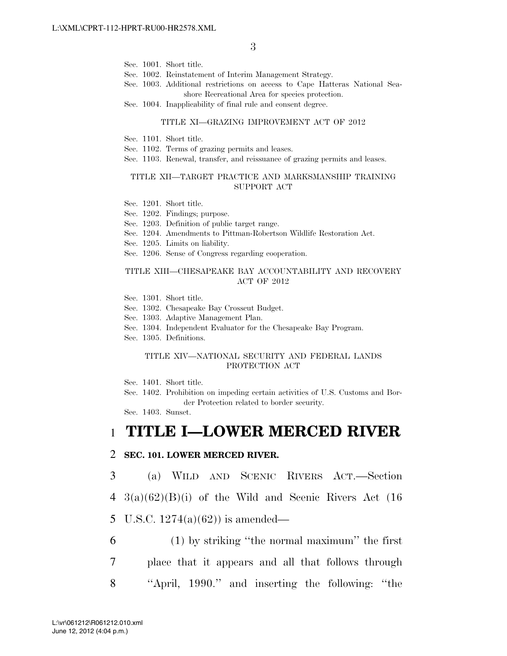- Sec. 1001. Short title.
- Sec. 1002. Reinstatement of Interim Management Strategy.
- Sec. 1003. Additional restrictions on access to Cape Hatteras National Seashore Recreational Area for species protection.
- Sec. 1004. Inapplicability of final rule and consent degree.

#### TITLE XI—GRAZING IMPROVEMENT ACT OF 2012

- Sec. 1101. Short title.
- Sec. 1102. Terms of grazing permits and leases.
- Sec. 1103. Renewal, transfer, and reissuance of grazing permits and leases.

#### TITLE XII—TARGET PRACTICE AND MARKSMANSHIP TRAINING SUPPORT ACT

- Sec. 1201. Short title.
- Sec. 1202. Findings; purpose.
- Sec. 1203. Definition of public target range.
- Sec. 1204. Amendments to Pittman-Robertson Wildlife Restoration Act.
- Sec. 1205. Limits on liability.
- Sec. 1206. Sense of Congress regarding cooperation.

#### TITLE XIII—CHESAPEAKE BAY ACCOUNTABILITY AND RECOVERY ACT OF 2012

- Sec. 1301. Short title.
- Sec. 1302. Chesapeake Bay Crosscut Budget.
- Sec. 1303. Adaptive Management Plan.
- Sec. 1304. Independent Evaluator for the Chesapeake Bay Program.
- Sec. 1305. Definitions.

#### TITLE XIV—NATIONAL SECURITY AND FEDERAL LANDS PROTECTION ACT

Sec. 1401. Short title.

Sec. 1402. Prohibition on impeding certain activities of U.S. Customs and Border Protection related to border security.

Sec. 1403. Sunset.

## 1 **TITLE I—LOWER MERCED RIVER**

#### 2 **SEC. 101. LOWER MERCED RIVER.**

3 (a) WILD AND SCENIC RIVERS ACT.—Section

- 4 3(a)(62)(B)(i) of the Wild and Scenic Rivers Act (16
- 5 U.S.C.  $1274(a)(62)$  is amended—
- 6 (1) by striking ''the normal maximum'' the first 7 place that it appears and all that follows through 8 ''April, 1990.'' and inserting the following: ''the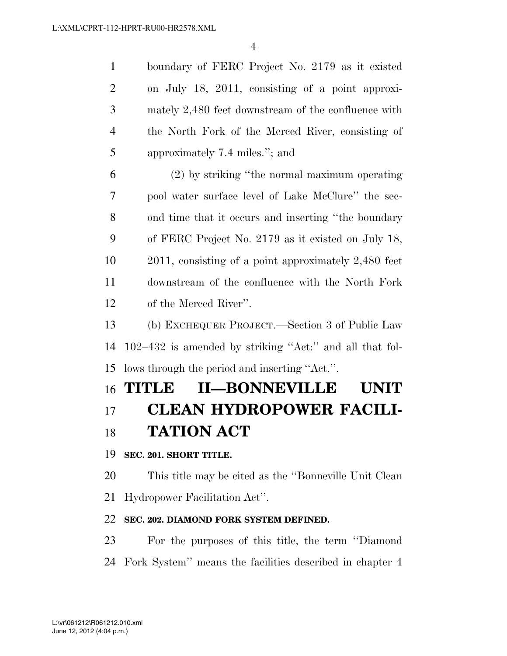| 1              | boundary of FERC Project No. 2179 as it existed      |
|----------------|------------------------------------------------------|
| 2              | on July 18, 2011, consisting of a point approxi-     |
| 3              | mately 2,480 feet downstream of the confluence with  |
| $\overline{4}$ | the North Fork of the Merced River, consisting of    |
| 5              | approximately 7.4 miles."; and                       |
| 6              | (2) by striking "the normal maximum operating        |
| 7              | pool water surface level of Lake McClure" the sec-   |
| 8              | ond time that it occurs and inserting "the boundary" |
| 9              | of FERC Project No. 2179 as it existed on July 18,   |
|                |                                                      |

 2011, consisting of a point approximately 2,480 feet downstream of the confluence with the North Fork of the Merced River''.

 (b) EXCHEQUER PROJECT.—Section 3 of Public Law 102–432 is amended by striking ''Act:'' and all that fol-lows through the period and inserting ''Act.''.

# **TITLE II—BONNEVILLE UNIT**

## **CLEAN HYDROPOWER FACILI-TATION ACT**

## **SEC. 201. SHORT TITLE.**

 This title may be cited as the ''Bonneville Unit Clean Hydropower Facilitation Act''.

## **SEC. 202. DIAMOND FORK SYSTEM DEFINED.**

 For the purposes of this title, the term ''Diamond Fork System'' means the facilities described in chapter 4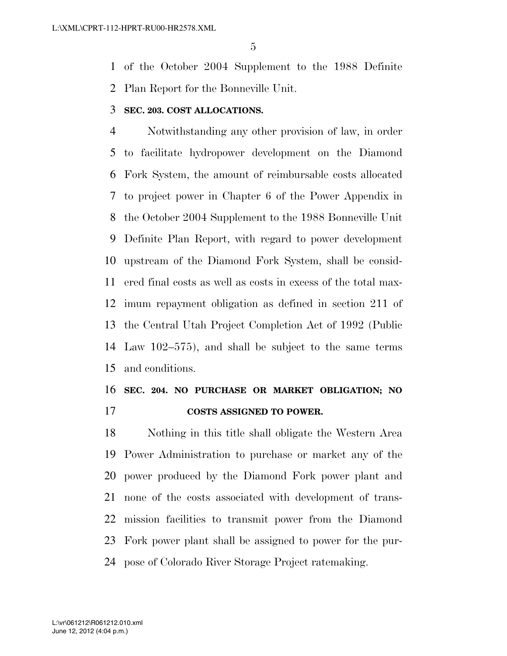of the October 2004 Supplement to the 1988 Definite Plan Report for the Bonneville Unit.

### **SEC. 203. COST ALLOCATIONS.**

 Notwithstanding any other provision of law, in order to facilitate hydropower development on the Diamond Fork System, the amount of reimbursable costs allocated to project power in Chapter 6 of the Power Appendix in the October 2004 Supplement to the 1988 Bonneville Unit Definite Plan Report, with regard to power development upstream of the Diamond Fork System, shall be consid- ered final costs as well as costs in excess of the total max- imum repayment obligation as defined in section 211 of the Central Utah Project Completion Act of 1992 (Public Law 102–575), and shall be subject to the same terms and conditions.

## **SEC. 204. NO PURCHASE OR MARKET OBLIGATION; NO COSTS ASSIGNED TO POWER.**

 Nothing in this title shall obligate the Western Area Power Administration to purchase or market any of the power produced by the Diamond Fork power plant and none of the costs associated with development of trans- mission facilities to transmit power from the Diamond Fork power plant shall be assigned to power for the pur-pose of Colorado River Storage Project ratemaking.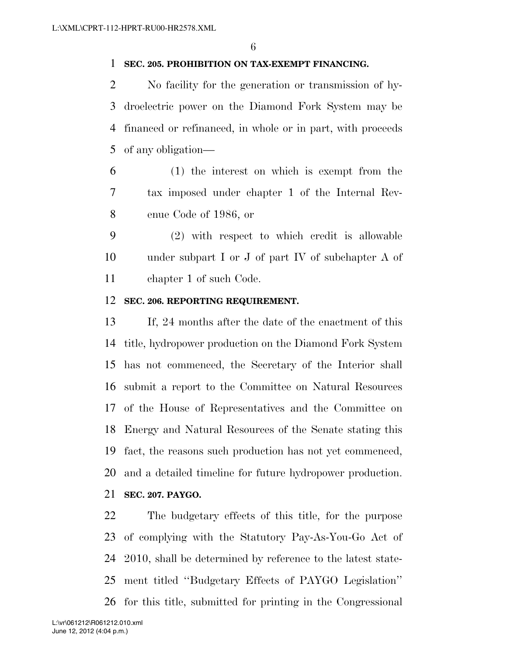### **SEC. 205. PROHIBITION ON TAX-EXEMPT FINANCING.**

 No facility for the generation or transmission of hy- droelectric power on the Diamond Fork System may be financed or refinanced, in whole or in part, with proceeds of any obligation—

 (1) the interest on which is exempt from the tax imposed under chapter 1 of the Internal Rev-enue Code of 1986, or

 (2) with respect to which credit is allowable under subpart I or J of part IV of subchapter A of chapter 1 of such Code.

## **SEC. 206. REPORTING REQUIREMENT.**

 If, 24 months after the date of the enactment of this title, hydropower production on the Diamond Fork System has not commenced, the Secretary of the Interior shall submit a report to the Committee on Natural Resources of the House of Representatives and the Committee on Energy and Natural Resources of the Senate stating this fact, the reasons such production has not yet commenced, and a detailed timeline for future hydropower production. **SEC. 207. PAYGO.** 

 The budgetary effects of this title, for the purpose of complying with the Statutory Pay-As-You-Go Act of 2010, shall be determined by reference to the latest state- ment titled ''Budgetary Effects of PAYGO Legislation'' for this title, submitted for printing in the Congressional

June 12, 2012 (4:04 p.m.) L:\vr\061212\R061212.010.xml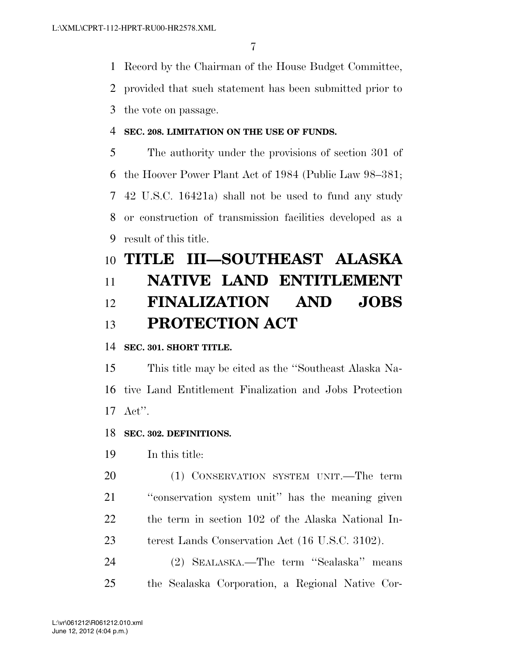Record by the Chairman of the House Budget Committee,

provided that such statement has been submitted prior to

the vote on passage.

## **SEC. 208. LIMITATION ON THE USE OF FUNDS.**

 The authority under the provisions of section 301 of the Hoover Power Plant Act of 1984 (Public Law 98–381; 42 U.S.C. 16421a) shall not be used to fund any study or construction of transmission facilities developed as a result of this title.

## **TITLE III—SOUTHEAST ALASKA NATIVE LAND ENTITLEMENT FINALIZATION AND JOBS PROTECTION ACT**

**SEC. 301. SHORT TITLE.** 

 This title may be cited as the ''Southeast Alaska Na- tive Land Entitlement Finalization and Jobs Protection Act''.

**SEC. 302. DEFINITIONS.** 

In this title:

 (1) CONSERVATION SYSTEM UNIT.—The term ''conservation system unit'' has the meaning given the term in section 102 of the Alaska National In-terest Lands Conservation Act (16 U.S.C. 3102).

 (2) SEALASKA.—The term ''Sealaska'' means the Sealaska Corporation, a Regional Native Cor-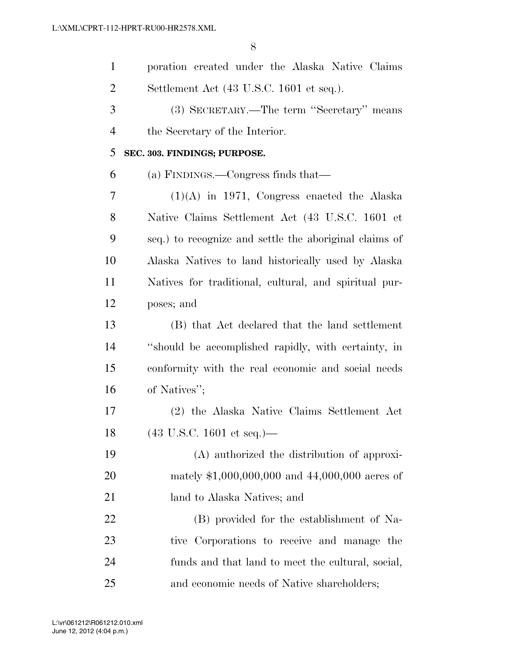| $\mathbf{1}$   | poration created under the Alaska Native Claims        |
|----------------|--------------------------------------------------------|
| $\overline{2}$ | Settlement Act (43 U.S.C. 1601 et seq.).               |
| 3              | (3) SECRETARY.—The term "Secretary" means              |
| $\overline{4}$ | the Secretary of the Interior.                         |
| 5              | SEC. 303. FINDINGS; PURPOSE.                           |
| 6              | (a) FINDINGS.—Congress finds that—                     |
| 7              | $(1)(A)$ in 1971, Congress enacted the Alaska          |
| 8              | Native Claims Settlement Act (43 U.S.C. 1601 et        |
| 9              | seq.) to recognize and settle the aboriginal claims of |
| 10             | Alaska Natives to land historically used by Alaska     |
| 11             | Natives for traditional, cultural, and spiritual pur-  |
| 12             | poses; and                                             |
| 13             | (B) that Act declared that the land settlement         |
| 14             | "should be accomplished rapidly, with certainty, in    |
| 15             | conformity with the real economic and social needs     |
| 16             | of Natives";                                           |
| 17             | (2) the Alaska Native Claims Settlement Act            |
| 18             | $(43 \text{ U.S.C. } 1601 \text{ et seq.})$ —          |
| 19             | (A) authorized the distribution of approxi-            |
| 20             | mately $$1,000,000,000$ and $44,000,000$ acres of      |
| 21             | land to Alaska Natives; and                            |
| 22             | (B) provided for the establishment of Na-              |
| 23             | tive Corporations to receive and manage the            |
| 24             | funds and that land to meet the cultural, social,      |
| 25             | and economic needs of Native shareholders;             |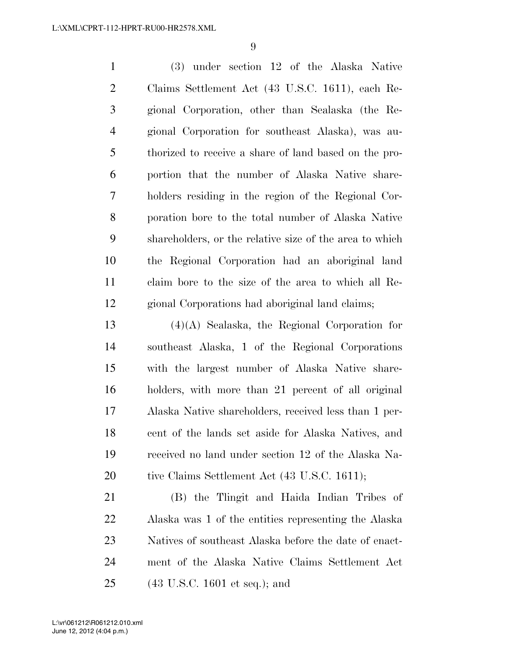(3) under section 12 of the Alaska Native Claims Settlement Act (43 U.S.C. 1611), each Re- gional Corporation, other than Sealaska (the Re- gional Corporation for southeast Alaska), was au- thorized to receive a share of land based on the pro- portion that the number of Alaska Native share- holders residing in the region of the Regional Cor- poration bore to the total number of Alaska Native shareholders, or the relative size of the area to which the Regional Corporation had an aboriginal land claim bore to the size of the area to which all Re-gional Corporations had aboriginal land claims;

 (4)(A) Sealaska, the Regional Corporation for southeast Alaska, 1 of the Regional Corporations with the largest number of Alaska Native share- holders, with more than 21 percent of all original Alaska Native shareholders, received less than 1 per- cent of the lands set aside for Alaska Natives, and received no land under section 12 of the Alaska Na-20 tive Claims Settlement Act (43 U.S.C. 1611);

 (B) the Tlingit and Haida Indian Tribes of Alaska was 1 of the entities representing the Alaska Natives of southeast Alaska before the date of enact- ment of the Alaska Native Claims Settlement Act (43 U.S.C. 1601 et seq.); and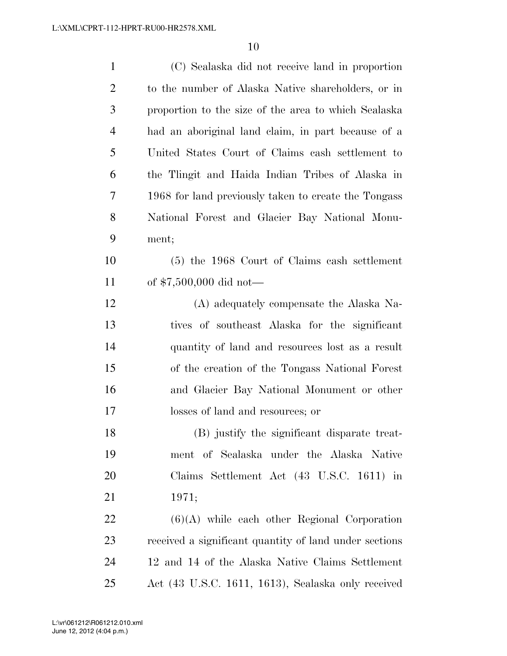| $\mathbf{1}$   | (C) Sealaska did not receive land in proportion        |
|----------------|--------------------------------------------------------|
| $\overline{2}$ | to the number of Alaska Native shareholders, or in     |
| 3              | proportion to the size of the area to which Sealaska   |
| $\overline{4}$ | had an aboriginal land claim, in part because of a     |
| 5              | United States Court of Claims cash settlement to       |
| 6              | the Tlingit and Haida Indian Tribes of Alaska in       |
| 7              | 1968 for land previously taken to create the Tongass   |
| 8              | National Forest and Glacier Bay National Monu-         |
| 9              | ment;                                                  |
| 10             | $(5)$ the 1968 Court of Claims cash settlement         |
| 11             | of $$7,500,000$ did not—                               |
| 12             | (A) adequately compensate the Alaska Na-               |
| 13             | tives of southeast Alaska for the significant          |
| 14             | quantity of land and resources lost as a result        |
| 15             | of the creation of the Tongass National Forest         |
| 16             | and Glacier Bay National Monument or other             |
| 17             | losses of land and resources; or                       |
| 18             | (B) justify the significant disparate treat-           |
| 19             | ment of Sealaska under the Alaska Native               |
| 20             | Claims Settlement Act (43 U.S.C. 1611) in              |
| 21             | 1971;                                                  |
| 22             | $(6)(A)$ while each other Regional Corporation         |
| 23             | received a significant quantity of land under sections |
| 24             | 12 and 14 of the Alaska Native Claims Settlement       |
| 25             | Act (43 U.S.C. 1611, 1613), Sealaska only received     |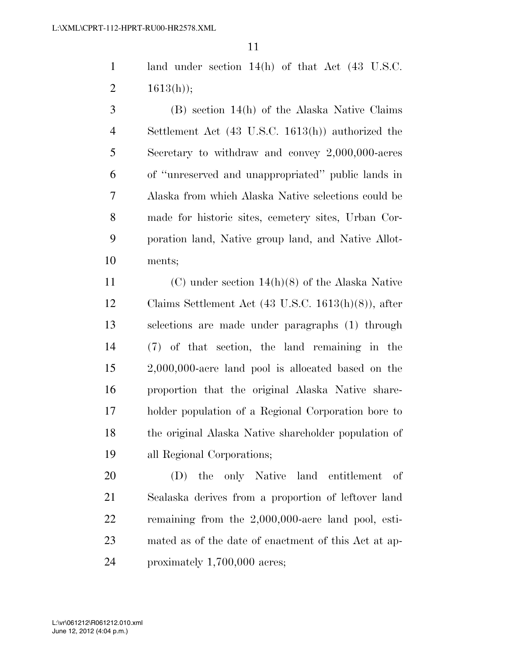land under section 14(h) of that Act (43 U.S.C. 2  $1613(h)$ ;

 (B) section 14(h) of the Alaska Native Claims Settlement Act (43 U.S.C. 1613(h)) authorized the Secretary to withdraw and convey 2,000,000-acres of ''unreserved and unappropriated'' public lands in Alaska from which Alaska Native selections could be made for historic sites, cemetery sites, Urban Cor- poration land, Native group land, and Native Allot-ments;

 (C) under section 14(h)(8) of the Alaska Native Claims Settlement Act (43 U.S.C. 1613(h)(8)), after selections are made under paragraphs (1) through (7) of that section, the land remaining in the 2,000,000-acre land pool is allocated based on the proportion that the original Alaska Native share- holder population of a Regional Corporation bore to the original Alaska Native shareholder population of all Regional Corporations;

 (D) the only Native land entitlement of Sealaska derives from a proportion of leftover land remaining from the 2,000,000-acre land pool, esti- mated as of the date of enactment of this Act at ap-proximately 1,700,000 acres;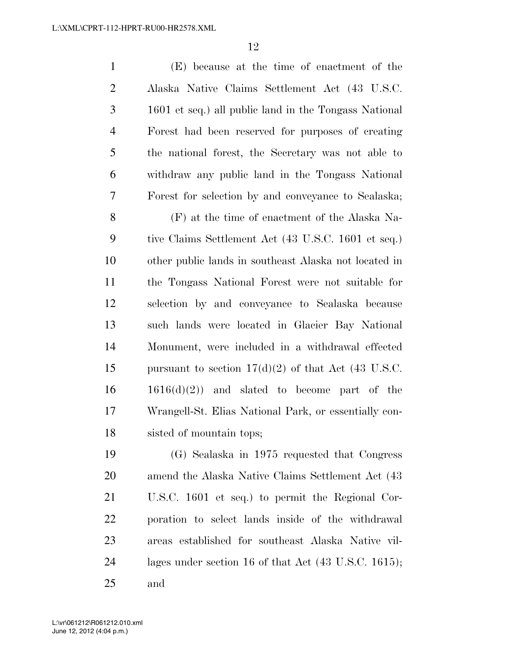(E) because at the time of enactment of the Alaska Native Claims Settlement Act (43 U.S.C. 1601 et seq.) all public land in the Tongass National Forest had been reserved for purposes of creating the national forest, the Secretary was not able to withdraw any public land in the Tongass National Forest for selection by and conveyance to Sealaska;

 (F) at the time of enactment of the Alaska Na- tive Claims Settlement Act (43 U.S.C. 1601 et seq.) other public lands in southeast Alaska not located in the Tongass National Forest were not suitable for selection by and conveyance to Sealaska because such lands were located in Glacier Bay National Monument, were included in a withdrawal effected 15 pursuant to section  $17(d)(2)$  of that Act (43 U.S.C.  $1616(d)(2)$  and slated to become part of the Wrangell-St. Elias National Park, or essentially con-sisted of mountain tops;

 (G) Sealaska in 1975 requested that Congress amend the Alaska Native Claims Settlement Act (43 U.S.C. 1601 et seq.) to permit the Regional Cor- poration to select lands inside of the withdrawal areas established for southeast Alaska Native vil- lages under section 16 of that Act (43 U.S.C. 1615); and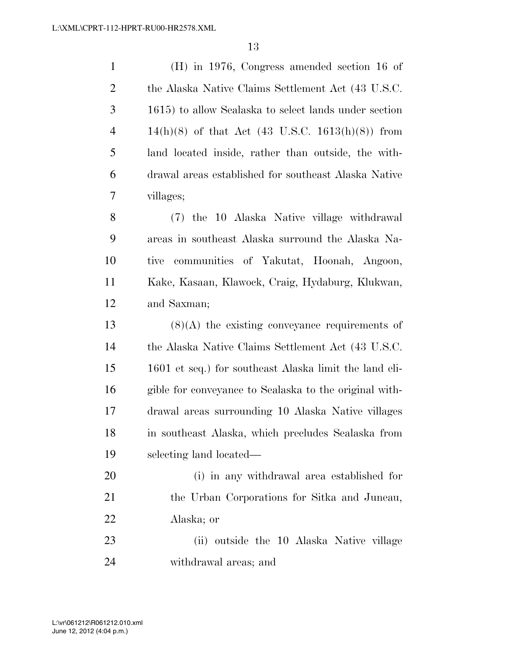| $\mathbf{1}$   | $(H)$ in 1976, Congress amended section 16 of          |
|----------------|--------------------------------------------------------|
| $\overline{2}$ | the Alaska Native Claims Settlement Act (43 U.S.C.     |
| 3              | 1615) to allow Sealaska to select lands under section  |
| $\overline{4}$ | $14(h)(8)$ of that Act (43 U.S.C. 1613(h)(8)) from     |
| 5              | land located inside, rather than outside, the with-    |
| 6              | drawal areas established for southeast Alaska Native   |
| 7              | villages;                                              |
| 8              | (7) the 10 Alaska Native village withdrawal            |
| 9              | areas in southeast Alaska surround the Alaska Na-      |
| 10             | communities of Yakutat, Hoonah, Angoon,<br>tive        |
| 11             | Kake, Kasaan, Klawock, Craig, Hydaburg, Klukwan,       |
| 12             | and Saxman;                                            |
| 13             | $(8)(A)$ the existing conveyance requirements of       |
| 14             | the Alaska Native Claims Settlement Act (43 U.S.C.     |
| 15             | 1601 et seq.) for southeast Alaska limit the land eli- |
| 16             | gible for conveyance to Sealaska to the original with- |
| 17             | drawal areas surrounding 10 Alaska Native villages     |
| 18             | in southeast Alaska, which precludes Sealaska from     |
| 19             | selecting land located—                                |
| 20             | (i) in any withdrawal area established for             |
| 21             | the Urban Corporations for Sitka and Juneau,           |
| 22             | Alaska; or                                             |
| 23             | (ii) outside the 10 Alaska Native village              |

withdrawal areas; and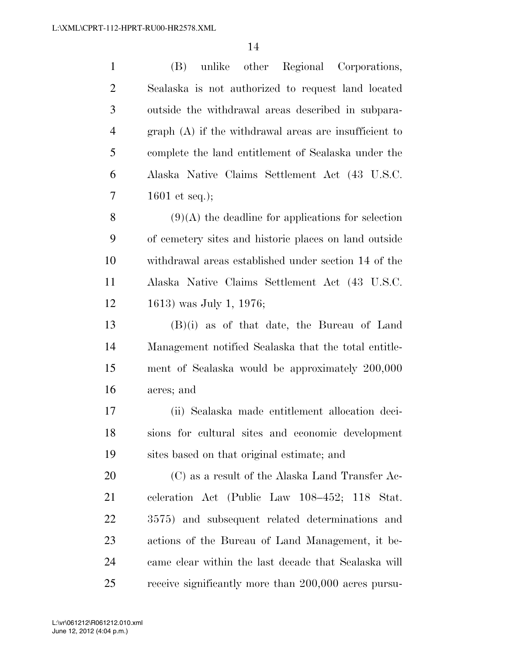| $\mathbf{1}$   | (B)<br>unlike other Regional Corporations,             |
|----------------|--------------------------------------------------------|
| $\overline{c}$ | Sealaska is not authorized to request land located     |
| 3              | outside the withdrawal areas described in subpara-     |
| $\overline{4}$ | $graph(A)$ if the withdrawal areas are insufficient to |
| 5              | complete the land entitlement of Sealaska under the    |
| 6              | Alaska Native Claims Settlement Act (43 U.S.C.         |
| 7              | 1601 et seq.);                                         |
| 8              | $(9)(A)$ the deadline for applications for selection   |
| 9              | of cemetery sites and historic places on land outside  |
| 10             | withdrawal areas established under section 14 of the   |
| 11             | Alaska Native Claims Settlement Act (43 U.S.C.         |
| 12             | 1613) was July 1, 1976;                                |
| 13             | $(B)(i)$ as of that date, the Bureau of Land           |
| 14             | Management notified Sealaska that the total entitle-   |
| 15             | ment of Sealaska would be approximately 200,000        |
| 16             | acres; and                                             |
| 17             | (ii) Sealaska made entitlement allocation deci-        |
| 18             | sions for cultural sites and economic development      |
| 19             | sites based on that original estimate; and             |
| 20             | $(C)$ as a result of the Alaska Land Transfer Ac-      |
| 21             | celeration Act (Public Law 108-452; 118 Stat.          |
| 22             | 3575) and subsequent related determinations and        |
| 23             | actions of the Bureau of Land Management, it be-       |
| 24             | came clear within the last decade that Sealaska will   |
| 25             | receive significantly more than 200,000 acres pursu-   |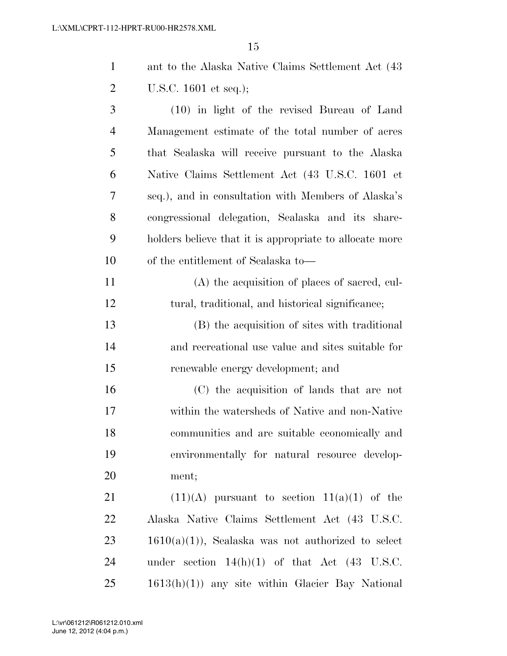| ant to the Alaska Native Claims Settlement Act (43) |
|-----------------------------------------------------|
| U.S.C. $1601$ et seq.);                             |

 (10) in light of the revised Bureau of Land Management estimate of the total number of acres that Sealaska will receive pursuant to the Alaska Native Claims Settlement Act (43 U.S.C. 1601 et seq.), and in consultation with Members of Alaska's congressional delegation, Sealaska and its share- holders believe that it is appropriate to allocate more of the entitlement of Sealaska to—

 (A) the acquisition of places of sacred, cul-tural, traditional, and historical significance;

 (B) the acquisition of sites with traditional and recreational use value and sites suitable for renewable energy development; and

 (C) the acquisition of lands that are not within the watersheds of Native and non-Native communities and are suitable economically and environmentally for natural resource develop-ment;

 $(11)(A)$  pursuant to section  $11(a)(1)$  of the Alaska Native Claims Settlement Act (43 U.S.C.  $23 \t1610(a)(1)$ , Sealaska was not authorized to select under section 14(h)(1) of that Act (43 U.S.C. 1613(h)(1)) any site within Glacier Bay National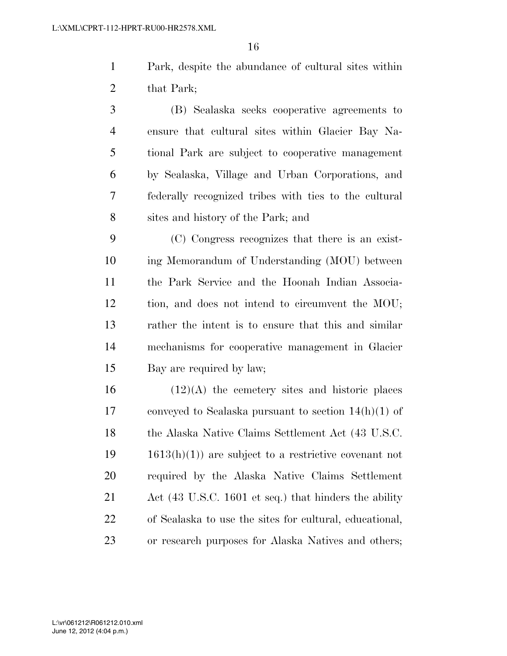Park, despite the abundance of cultural sites within 2 that Park;

 (B) Sealaska seeks cooperative agreements to ensure that cultural sites within Glacier Bay Na- tional Park are subject to cooperative management by Sealaska, Village and Urban Corporations, and federally recognized tribes with ties to the cultural sites and history of the Park; and

 (C) Congress recognizes that there is an exist- ing Memorandum of Understanding (MOU) between the Park Service and the Hoonah Indian Associa- tion, and does not intend to circumvent the MOU; rather the intent is to ensure that this and similar mechanisms for cooperative management in Glacier Bay are required by law;

 (12)(A) the cemetery sites and historic places conveyed to Sealaska pursuant to section 14(h)(1) of 18 the Alaska Native Claims Settlement Act (43 U.S.C. 1613(h)(1)) are subject to a restrictive covenant not required by the Alaska Native Claims Settlement Act (43 U.S.C. 1601 et seq.) that hinders the ability of Sealaska to use the sites for cultural, educational, or research purposes for Alaska Natives and others;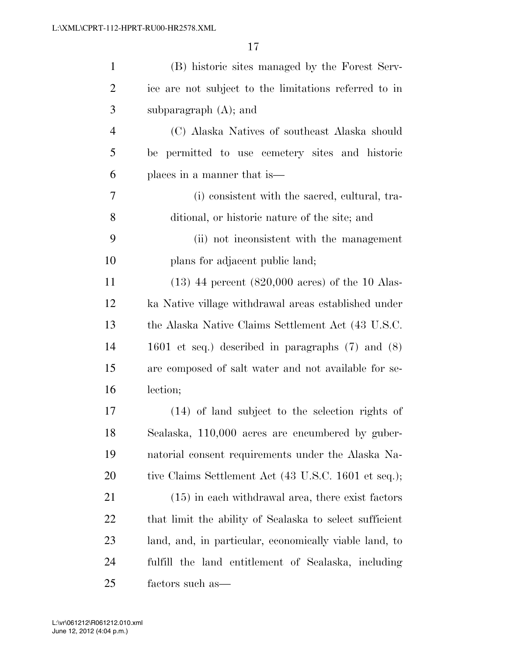| $\mathbf{1}$   | (B) historic sites managed by the Forest Serv-              |
|----------------|-------------------------------------------------------------|
| $\overline{2}$ | ice are not subject to the limitations referred to in       |
| 3              | subparagraph $(A)$ ; and                                    |
| $\overline{4}$ | (C) Alaska Natives of southeast Alaska should               |
| 5              | be permitted to use cemetery sites and historic             |
| 6              | places in a manner that is—                                 |
| 7              | (i) consistent with the sacred, cultural, tra-              |
| 8              | ditional, or historic nature of the site; and               |
| 9              | (ii) not inconsistent with the management                   |
| 10             | plans for adjacent public land;                             |
| 11             | $(13)$ 44 percent $(820,000 \text{ acres})$ of the 10 Alas- |
| 12             | ka Native village withdrawal areas established under        |
| 13             | the Alaska Native Claims Settlement Act (43 U.S.C.          |
| 14             | 1601 et seq.) described in paragraphs $(7)$ and $(8)$       |
| 15             | are composed of salt water and not available for se-        |
| 16             | lection;                                                    |
| 17             | $(14)$ of land subject to the selection rights of           |
| 18             | Sealaska, 110,000 acres are encumbered by guber-            |
| 19             | natorial consent requirements under the Alaska Na-          |
| <b>20</b>      | tive Claims Settlement Act (43 U.S.C. 1601 et seq.);        |
| 21             | $(15)$ in each withdrawal area, there exist factors         |
| 22             | that limit the ability of Sealaska to select sufficient     |
| 23             | land, and, in particular, economically viable land, to      |
| 24             | fulfill the land entitlement of Sealaska, including         |
| 25             | factors such as—                                            |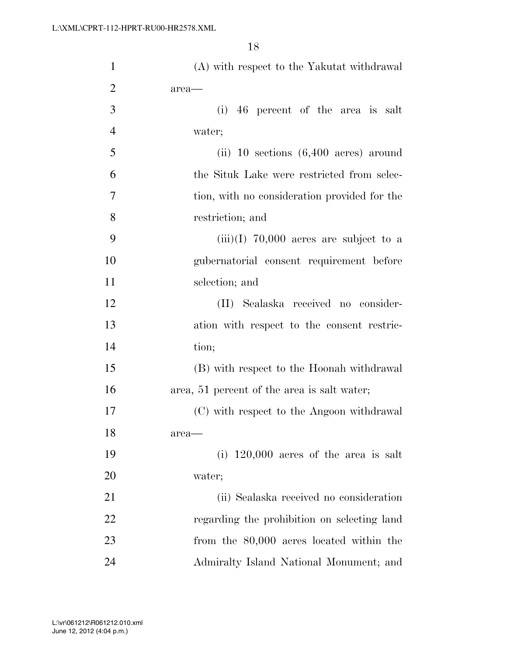| $\mathbf{1}$   | (A) with respect to the Yakutat withdrawal      |
|----------------|-------------------------------------------------|
| $\overline{2}$ | area-                                           |
| 3              | (i) 46 percent of the area is salt              |
| $\overline{4}$ | water;                                          |
| 5              | (ii) 10 sections $(6,400 \text{ acres})$ around |
| 6              | the Situk Lake were restricted from selec-      |
| 7              | tion, with no consideration provided for the    |
| 8              | restriction; and                                |
| 9              | $(iii)(I)$ 70,000 acres are subject to a        |
| 10             | gubernatorial consent requirement before        |
| 11             | selection; and                                  |
| 12             | (II) Sealaska received no consider-             |
| 13             | ation with respect to the consent restric-      |
| 14             | tion;                                           |
| 15             | (B) with respect to the Hoonah withdrawal       |
| 16             | area, 51 percent of the area is salt water;     |
| 17             | (C) with respect to the Angoon withdrawal       |
| 18             | $area$ —                                        |
| 19             | (i) $120,000$ acres of the area is salt         |
| 20             | water;                                          |
| 21             | (ii) Sealaska received no consideration         |
| 22             | regarding the prohibition on selecting land     |
| 23             | from the 80,000 acres located within the        |
| 24             | Admiralty Island National Monument; and         |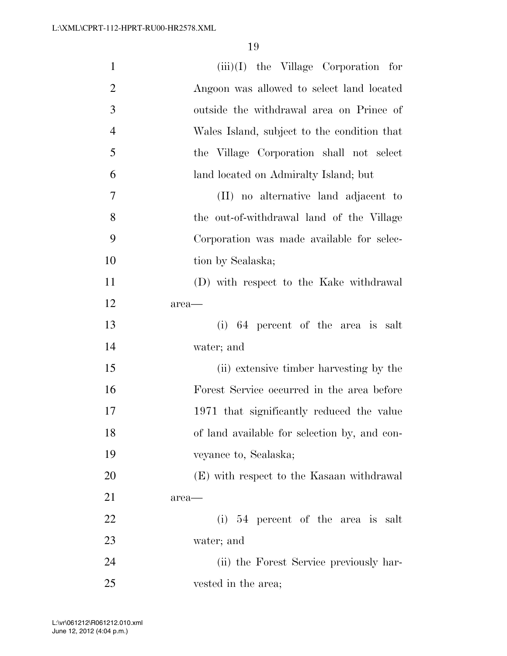| $\mathbf{1}$   | $(iii)(I)$ the Village Corporation for       |
|----------------|----------------------------------------------|
| $\overline{2}$ | Angoon was allowed to select land located    |
| 3              | outside the withdrawal area on Prince of     |
| $\overline{4}$ | Wales Island, subject to the condition that  |
| 5              | the Village Corporation shall not select     |
| 6              | land located on Admiralty Island; but        |
| 7              | (II) no alternative land adjacent to         |
| 8              | the out-of-withdrawal land of the Village    |
| 9              | Corporation was made available for selec-    |
| 10             | tion by Sealaska;                            |
| 11             | (D) with respect to the Kake withdrawal      |
| 12             | area-                                        |
| 13             | (i) 64 percent of the area is salt           |
| 14             | water; and                                   |
| 15             | (ii) extensive timber harvesting by the      |
| 16             | Forest Service occurred in the area before   |
| 17             | 1971 that significantly reduced the value    |
| 18             | of land available for selection by, and con- |
| 19             | veyance to, Sealaska;                        |
| 20             | (E) with respect to the Kasaan withdrawal    |
| 21             | area-                                        |
| 22             | (i) $54$ percent of the area is salt         |
| 23             | water; and                                   |
| 24             | (ii) the Forest Service previously har-      |
| 25             | vested in the area;                          |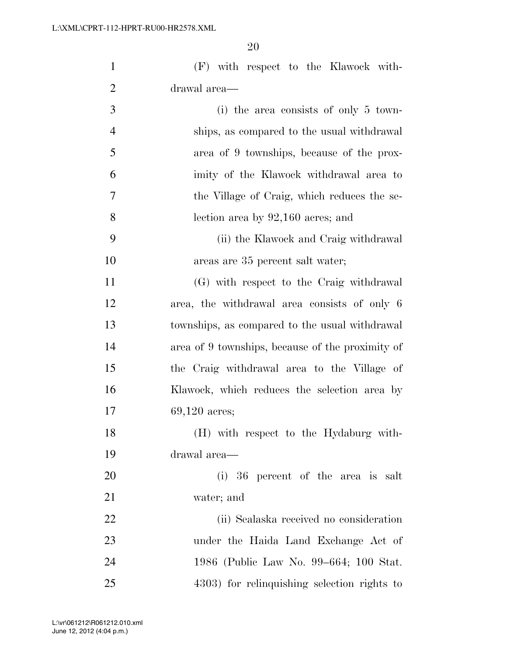| $\mathbf{1}$   | (F) with respect to the Klawock with-            |
|----------------|--------------------------------------------------|
| $\overline{2}$ | drawal area—                                     |
| 3              | (i) the area consists of only $5 \text{ town}$   |
| 4              | ships, as compared to the usual withdrawal       |
| 5              | area of 9 townships, because of the prox-        |
| 6              | imity of the Klawock withdrawal area to          |
| 7              | the Village of Craig, which reduces the se-      |
| 8              | lection area by $92,160$ acres; and              |
| 9              | (ii) the Klawock and Craig withdrawal            |
| 10             | areas are 35 percent salt water;                 |
| 11             | (G) with respect to the Craig withdrawal         |
| 12             | area, the withdrawal area consists of only 6     |
| 13             | townships, as compared to the usual withdrawal   |
| 14             | area of 9 townships, because of the proximity of |
| 15             | the Craig withdrawal area to the Village of      |
| 16             | Klawock, which reduces the selection area by     |
| 17             | $69,120$ acres;                                  |
| 18             | (H) with respect to the Hydaburg with-           |
| 19             | drawal area—                                     |
| 20             | (i) 36 percent of the area is salt               |
| 21             | water; and                                       |
| 22             | (ii) Sealaska received no consideration          |
| 23             | under the Haida Land Exchange Act of             |
| 24             | 1986 (Public Law No. 99–664; 100 Stat.           |
| 25             | 4303) for relinquishing selection rights to      |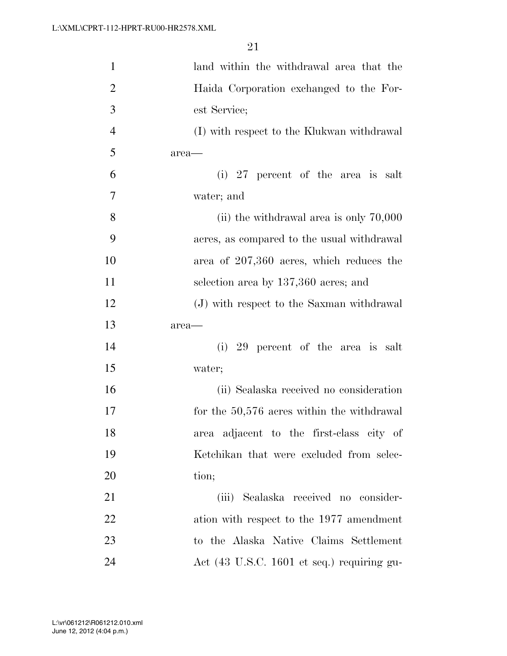| $\mathbf{1}$   | land within the withdrawal area that the   |
|----------------|--------------------------------------------|
| $\overline{2}$ | Haida Corporation exchanged to the For-    |
| 3              | est Service;                               |
| $\overline{4}$ | (I) with respect to the Klukwan withdrawal |
| 5              | area-                                      |
| 6              | (i) 27 percent of the area is salt         |
| 7              | water; and                                 |
| 8              | (ii) the withdrawal area is only $70,000$  |
| 9              | acres, as compared to the usual withdrawal |
| 10             | area of 207,360 acres, which reduces the   |
| 11             | selection area by 137,360 acres; and       |
| 12             | (J) with respect to the Saxman withdrawal  |
| 13             | area-                                      |
| 14             | 29 percent of the area is salt<br>(i)      |
| 15             | water;                                     |
| 16             | (ii) Sealaska received no consideration    |
| 17             | for the 50,576 acres within the withdrawal |
| 18             | area adjacent to the first-class city of   |
| 19             | Ketchikan that were excluded from selec-   |
| 20             | tion;                                      |
| 21             | (iii) Sealaska received no consider-       |
| 22             | ation with respect to the 1977 amendment   |
| 23             | to the Alaska Native Claims Settlement     |
| 24             | Act (43 U.S.C. 1601 et seq.) requiring gu- |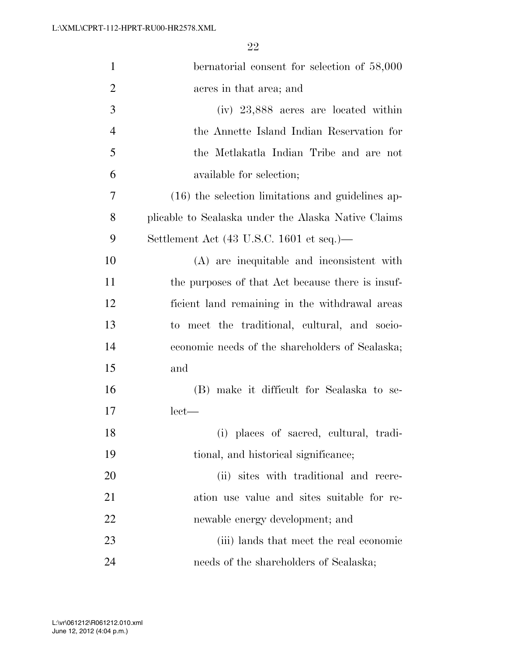| $\mathbf{1}$   | bernatorial consent for selection of 58,000         |
|----------------|-----------------------------------------------------|
| $\overline{2}$ | acres in that area; and                             |
| 3              | $(iv)$ 23,888 acres are located within              |
| 4              | the Annette Island Indian Reservation for           |
| 5              | the Metlakatla Indian Tribe and are not             |
| 6              | available for selection;                            |
| 7              | $(16)$ the selection limitations and guidelines ap- |
| 8              | plicable to Sealaska under the Alaska Native Claims |
| 9              | Settlement Act (43 U.S.C. 1601 et seq.)—            |
| 10             | (A) are inequitable and inconsistent with           |
| 11             | the purposes of that Act because there is insuf-    |
| 12             | ficient land remaining in the withdrawal areas      |
| 13             | to meet the traditional, cultural, and socio-       |
| 14             | economic needs of the shareholders of Sealaska;     |
| 15             | and                                                 |
| 16             | (B) make it difficult for Sealaska to se-           |
| 17             | $let$ —                                             |
| 18             | (i) places of sacred, cultural, tradi-              |
| 19             | tional, and historical significance;                |
| 20             | (ii) sites with traditional and recre-              |
| 21             | ation use value and sites suitable for re-          |
| 22             | newable energy development; and                     |
| 23             | (iii) lands that meet the real economic             |
| 24             | needs of the shareholders of Sealaska;              |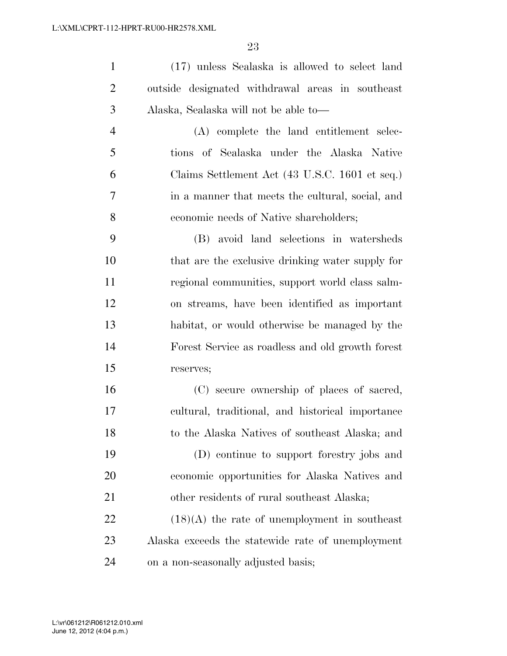(17) unless Sealaska is allowed to select land outside designated withdrawal areas in southeast Alaska, Sealaska will not be able to—

 (A) complete the land entitlement selec- tions of Sealaska under the Alaska Native Claims Settlement Act (43 U.S.C. 1601 et seq.) in a manner that meets the cultural, social, and economic needs of Native shareholders;

 (B) avoid land selections in watersheds that are the exclusive drinking water supply for regional communities, support world class salm- on streams, have been identified as important habitat, or would otherwise be managed by the Forest Service as roadless and old growth forest reserves;

 (C) secure ownership of places of sacred, cultural, traditional, and historical importance to the Alaska Natives of southeast Alaska; and (D) continue to support forestry jobs and economic opportunities for Alaska Natives and other residents of rural southeast Alaska;

 (18)(A) the rate of unemployment in southeast Alaska exceeds the statewide rate of unemployment on a non-seasonally adjusted basis;

June 12, 2012 (4:04 p.m.) L:\vr\061212\R061212.010.xml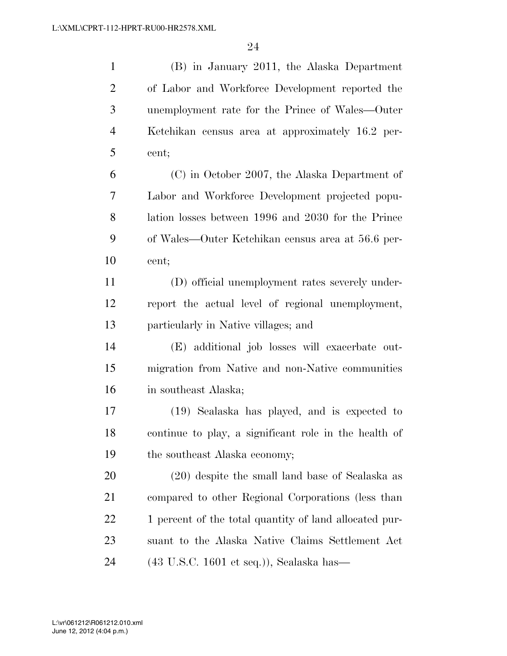| $\mathbf{1}$   | (B) in January 2011, the Alaska Department                  |
|----------------|-------------------------------------------------------------|
| $\overline{2}$ | of Labor and Workforce Development reported the             |
| 3              | unemployment rate for the Prince of Wales—Outer             |
| $\overline{4}$ | Ketchikan census area at approximately 16.2 per-            |
| 5              | cent;                                                       |
| 6              | (C) in October 2007, the Alaska Department of               |
| 7              | Labor and Workforce Development projected popu-             |
| 8              | lation losses between 1996 and 2030 for the Prince          |
| 9              | of Wales—Outer Ketchikan census area at 56.6 per-           |
| 10             | cent;                                                       |
| 11             | (D) official unemployment rates severely under-             |
| 12             | report the actual level of regional unemployment,           |
| 13             | particularly in Native villages; and                        |
| 14             | (E) additional job losses will exacerbate out-              |
| 15             | migration from Native and non-Native communities            |
| 16             | in southeast Alaska;                                        |
| 17             | (19) Sealaska has played, and is expected to                |
| 18             | continue to play, a significant role in the health of       |
| 19             | the southeast Alaska economy;                               |
| 20             | (20) despite the small land base of Sealaska as             |
| 21             | compared to other Regional Corporations (less than          |
| 22             | 1 percent of the total quantity of land allocated pur-      |
| 23             | suant to the Alaska Native Claims Settlement Act            |
| 24             | $(43 \text{ U.S.C. } 1601 \text{ et seq.})),$ Sealaska has— |

June 12, 2012 (4:04 p.m.) L:\vr\061212\R061212.010.xml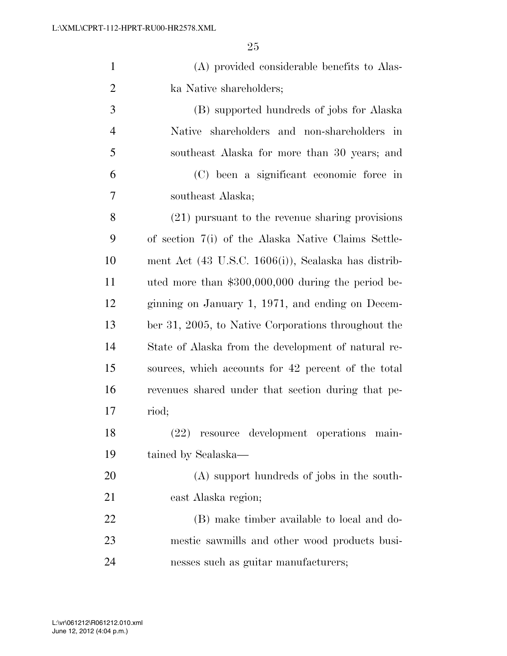| $\mathbf{1}$   | (A) provided considerable benefits to Alas-                     |
|----------------|-----------------------------------------------------------------|
| $\overline{2}$ | ka Native shareholders;                                         |
| 3              | (B) supported hundreds of jobs for Alaska                       |
| $\overline{4}$ | Native shareholders and non-shareholders in                     |
| 5              | southeast Alaska for more than 30 years; and                    |
| 6              | (C) been a significant economic force in                        |
| 7              | southeast Alaska;                                               |
| 8              | $(21)$ pursuant to the revenue sharing provisions               |
| 9              | of section 7(i) of the Alaska Native Claims Settle-             |
| 10             | ment Act $(43 \text{ U.S.C. } 1606(i))$ , Sealaska has distrib- |
| 11             | uted more than \$300,000,000 during the period be-              |
| 12             | ginning on January 1, 1971, and ending on Decem-                |
| 13             | ber 31, 2005, to Native Corporations throughout the             |
| 14             | State of Alaska from the development of natural re-             |
| 15             | sources, which accounts for 42 percent of the total             |
| 16             | revenues shared under that section during that pe-              |
| 17             | riod;                                                           |
| 18             | (22) resource development operations main-                      |
| 19             | tained by Sealaska—                                             |
| <b>20</b>      | (A) support hundreds of jobs in the south-                      |
| 21             | east Alaska region;                                             |
| 22             | (B) make timber available to local and do-                      |
| 23             | mestic sawmills and other wood products busi-                   |
| 24             | nesses such as guitar manufacturers;                            |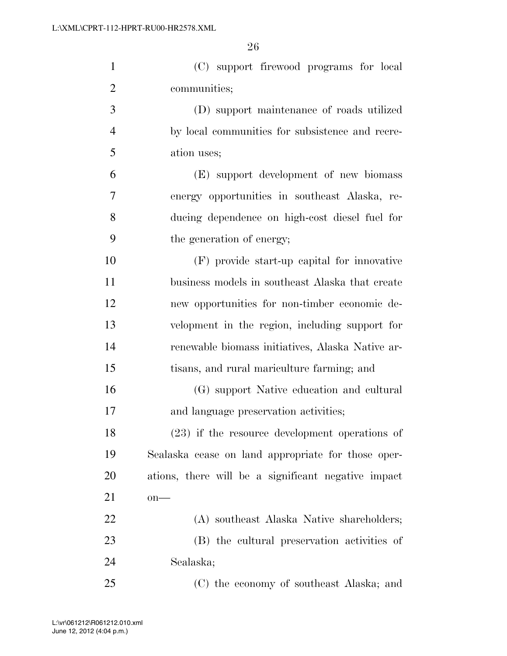(C) support firewood programs for local communities; (D) support maintenance of roads utilized by local communities for subsistence and recre- ation uses; (E) support development of new biomass energy opportunities in southeast Alaska, re- ducing dependence on high-cost diesel fuel for the generation of energy; (F) provide start-up capital for innovative business models in southeast Alaska that create new opportunities for non-timber economic de-

 velopment in the region, including support for renewable biomass initiatives, Alaska Native ar-tisans, and rural mariculture farming; and

 (G) support Native education and cultural and language preservation activities;

 (23) if the resource development operations of Sealaska cease on land appropriate for those oper- ations, there will be a significant negative impact on—

 (A) southeast Alaska Native shareholders; (B) the cultural preservation activities of Sealaska;

(C) the economy of southeast Alaska; and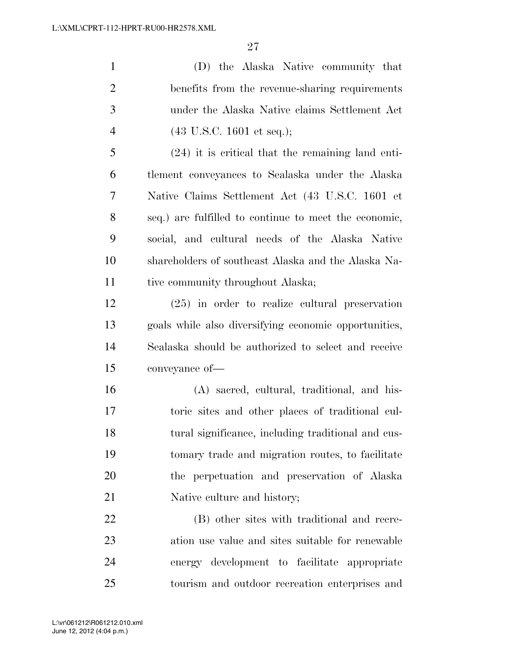(D) the Alaska Native community that benefits from the revenue-sharing requirements under the Alaska Native claims Settlement Act (43 U.S.C. 1601 et seq.); (24) it is critical that the remaining land enti-tlement conveyances to Sealaska under the Alaska

 Native Claims Settlement Act (43 U.S.C. 1601 et seq.) are fulfilled to continue to meet the economic, social, and cultural needs of the Alaska Native shareholders of southeast Alaska and the Alaska Na-11 tive community throughout Alaska;

 (25) in order to realize cultural preservation goals while also diversifying economic opportunities, Sealaska should be authorized to select and receive conveyance of—

 (A) sacred, cultural, traditional, and his- toric sites and other places of traditional cul- tural significance, including traditional and cus- tomary trade and migration routes, to facilitate the perpetuation and preservation of Alaska 21 Native culture and history;

 (B) other sites with traditional and recre- ation use value and sites suitable for renewable energy development to facilitate appropriate tourism and outdoor recreation enterprises and

June 12, 2012 (4:04 p.m.) L:\vr\061212\R061212.010.xml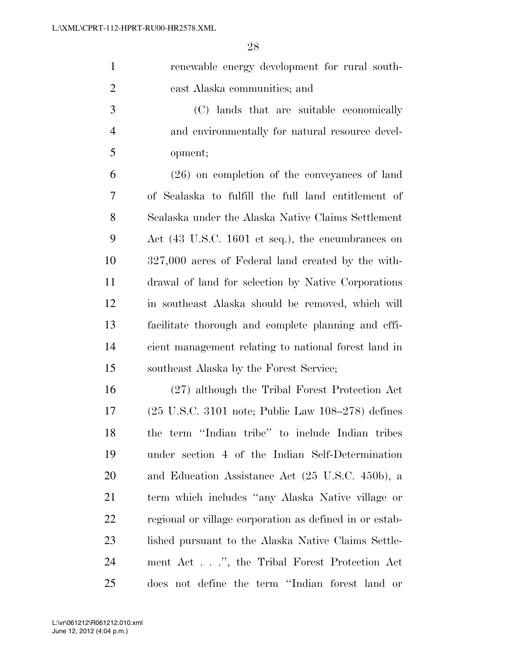| $\mathbf{1}$ | renewable energy development for rural south-   |
|--------------|-------------------------------------------------|
| 2            | east Alaska communities; and                    |
| 3            | (C) lands that are suitable economically        |
| 4            | and environmentally for natural resource devel- |

opment;

 (26) on completion of the conveyances of land of Sealaska to fulfill the full land entitlement of Sealaska under the Alaska Native Claims Settlement Act (43 U.S.C. 1601 et seq.), the encumbrances on 327,000 acres of Federal land created by the with- drawal of land for selection by Native Corporations in southeast Alaska should be removed, which will facilitate thorough and complete planning and effi- cient management relating to national forest land in southeast Alaska by the Forest Service;

 (27) although the Tribal Forest Protection Act (25 U.S.C. 3101 note; Public Law 108–278) defines the term ''Indian tribe'' to include Indian tribes under section 4 of the Indian Self-Determination and Education Assistance Act (25 U.S.C. 450b), a term which includes ''any Alaska Native village or regional or village corporation as defined in or estab- lished pursuant to the Alaska Native Claims Settle- ment Act . . .'', the Tribal Forest Protection Act does not define the term ''Indian forest land or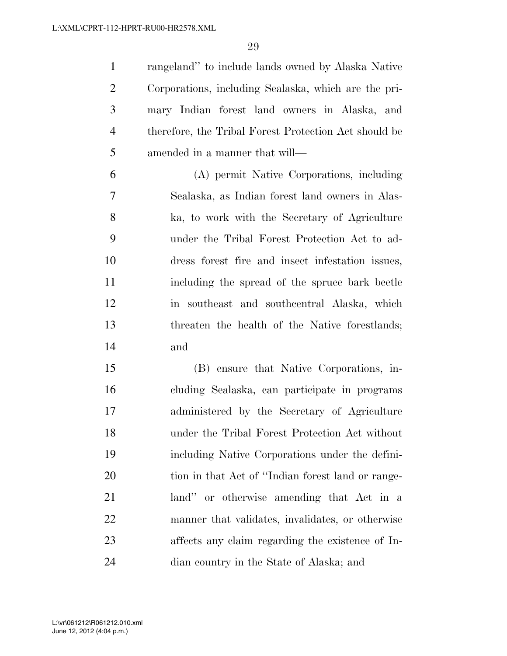rangeland'' to include lands owned by Alaska Native Corporations, including Sealaska, which are the pri- mary Indian forest land owners in Alaska, and therefore, the Tribal Forest Protection Act should be amended in a manner that will—

 (A) permit Native Corporations, including Sealaska, as Indian forest land owners in Alas- ka, to work with the Secretary of Agriculture under the Tribal Forest Protection Act to ad- dress forest fire and insect infestation issues, including the spread of the spruce bark beetle in southeast and southcentral Alaska, which threaten the health of the Native forestlands; and

 (B) ensure that Native Corporations, in- cluding Sealaska, can participate in programs administered by the Secretary of Agriculture under the Tribal Forest Protection Act without including Native Corporations under the defini- tion in that Act of ''Indian forest land or range- land'' or otherwise amending that Act in a manner that validates, invalidates, or otherwise affects any claim regarding the existence of In-dian country in the State of Alaska; and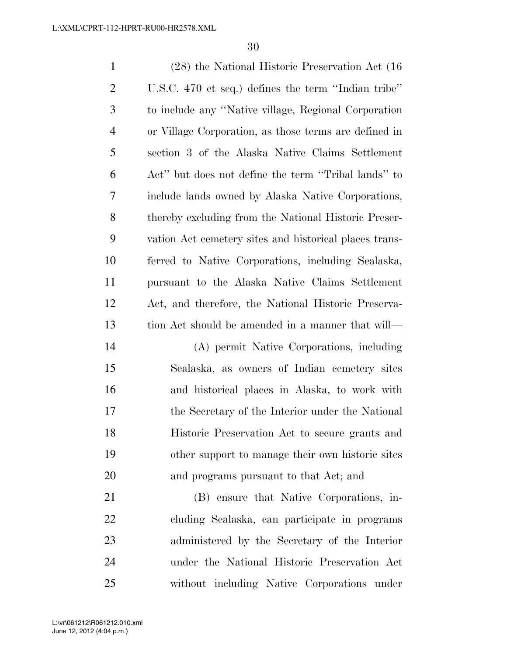(28) the National Historic Preservation Act (16 U.S.C. 470 et seq.) defines the term ''Indian tribe'' to include any ''Native village, Regional Corporation or Village Corporation, as those terms are defined in section 3 of the Alaska Native Claims Settlement Act'' but does not define the term ''Tribal lands'' to include lands owned by Alaska Native Corporations, thereby excluding from the National Historic Preser- vation Act cemetery sites and historical places trans- ferred to Native Corporations, including Sealaska, pursuant to the Alaska Native Claims Settlement Act, and therefore, the National Historic Preserva- tion Act should be amended in a manner that will— (A) permit Native Corporations, including Sealaska, as owners of Indian cemetery sites and historical places in Alaska, to work with the Secretary of the Interior under the National Historic Preservation Act to secure grants and other support to manage their own historic sites and programs pursuant to that Act; and

 (B) ensure that Native Corporations, in- cluding Sealaska, can participate in programs administered by the Secretary of the Interior under the National Historic Preservation Act without including Native Corporations under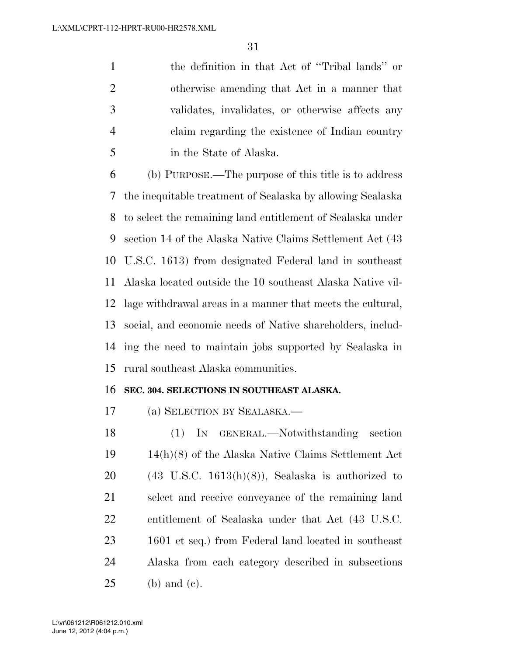the definition in that Act of ''Tribal lands'' or otherwise amending that Act in a manner that validates, invalidates, or otherwise affects any claim regarding the existence of Indian country in the State of Alaska.

 (b) PURPOSE.—The purpose of this title is to address the inequitable treatment of Sealaska by allowing Sealaska to select the remaining land entitlement of Sealaska under section 14 of the Alaska Native Claims Settlement Act (43 U.S.C. 1613) from designated Federal land in southeast Alaska located outside the 10 southeast Alaska Native vil- lage withdrawal areas in a manner that meets the cultural, social, and economic needs of Native shareholders, includ- ing the need to maintain jobs supported by Sealaska in rural southeast Alaska communities.

### **SEC. 304. SELECTIONS IN SOUTHEAST ALASKA.**

(a) SELECTION BY SEALASKA.—

 (1) IN GENERAL.—Notwithstanding section 14(h)(8) of the Alaska Native Claims Settlement Act  $20 \qquad (43 \text{ U.S.C. } 1613(h)(8))$ , Sealaska is authorized to select and receive conveyance of the remaining land entitlement of Sealaska under that Act (43 U.S.C. 1601 et seq.) from Federal land located in southeast Alaska from each category described in subsections (b) and (c).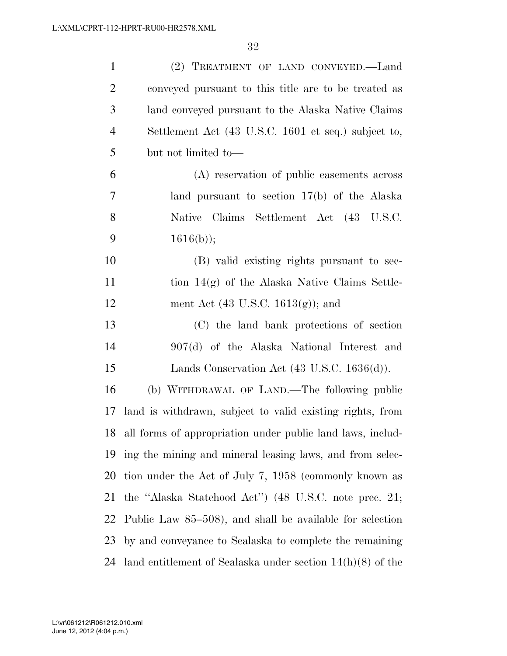| $\mathbf{1}$   | (2) TREATMENT OF LAND CONVEYED.-Land                          |
|----------------|---------------------------------------------------------------|
| $\overline{2}$ | conveyed pursuant to this title are to be treated as          |
| 3              | land conveyed pursuant to the Alaska Native Claims            |
| $\overline{4}$ | Settlement Act (43 U.S.C. 1601 et seq.) subject to,           |
| 5              | but not limited to-                                           |
| 6              | (A) reservation of public easements across                    |
| 7              | land pursuant to section $17(b)$ of the Alaska                |
| 8              | Native Claims Settlement Act (43 U.S.C.                       |
| 9              | $1616(b)$ ;                                                   |
| 10             | (B) valid existing rights pursuant to sec-                    |
| 11             | tion $14(g)$ of the Alaska Native Claims Settle-              |
| 12             | ment Act $(43 \text{ U.S.C. } 1613(g))$ ; and                 |
| 13             | (C) the land bank protections of section                      |
| 14             | 907(d) of the Alaska National Interest and                    |
| 15             | Lands Conservation Act $(43 \text{ U.S.C. } 1636(d)).$        |
| 16             | (b) WITHDRAWAL OF LAND.—The following public                  |
| 17             | land is withdrawn, subject to valid existing rights, from     |
|                | 18 all forms of appropriation under public land laws, includ- |
|                | 19 ing the mining and mineral leasing laws, and from selec-   |
| 20             | tion under the Act of July 7, 1958 (commonly known as         |
| 21             | the "Alaska Statehood Act") (48 U.S.C. note prec. 21;         |
| 22             | Public Law 85–508), and shall be available for selection      |
| 23             | by and conveyance to Sealaska to complete the remaining       |
| 24             | land entitlement of Sealaska under section $14(h)(8)$ of the  |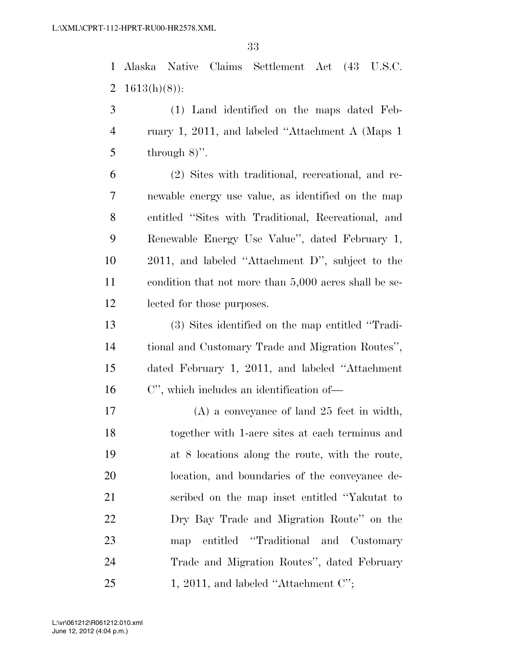Alaska Native Claims Settlement Act (43 U.S.C. 2  $1613(h)(8)$ :

 (1) Land identified on the maps dated Feb- ruary 1, 2011, and labeled ''Attachment A (Maps 1 5 through  $8)$ ".

 (2) Sites with traditional, recreational, and re- newable energy use value, as identified on the map entitled ''Sites with Traditional, Recreational, and Renewable Energy Use Value'', dated February 1, 2011, and labeled ''Attachment D'', subject to the condition that not more than 5,000 acres shall be se-lected for those purposes.

 (3) Sites identified on the map entitled ''Tradi- tional and Customary Trade and Migration Routes'', dated February 1, 2011, and labeled ''Attachment C'', which includes an identification of—

 (A) a conveyance of land 25 feet in width, together with 1-acre sites at each terminus and at 8 locations along the route, with the route, location, and boundaries of the conveyance de- scribed on the map inset entitled ''Yakutat to Dry Bay Trade and Migration Route'' on the map entitled ''Traditional and Customary Trade and Migration Routes'', dated February 25 1, 2011, and labeled "Attachment C";

June 12, 2012 (4:04 p.m.) L:\vr\061212\R061212.010.xml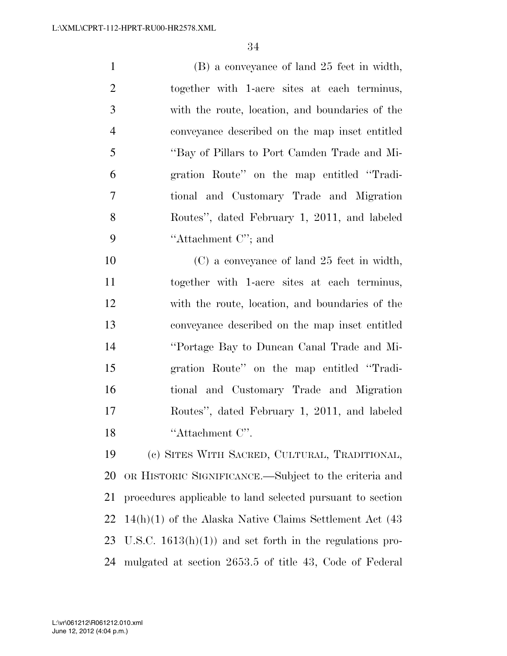(B) a conveyance of land 25 feet in width, together with 1-acre sites at each terminus, with the route, location, and boundaries of the conveyance described on the map inset entitled ''Bay of Pillars to Port Camden Trade and Mi- gration Route'' on the map entitled ''Tradi- tional and Customary Trade and Migration Routes'', dated February 1, 2011, and labeled ''Attachment C''; and

 (C) a conveyance of land 25 feet in width, together with 1-acre sites at each terminus, with the route, location, and boundaries of the conveyance described on the map inset entitled ''Portage Bay to Duncan Canal Trade and Mi- gration Route'' on the map entitled ''Tradi- tional and Customary Trade and Migration Routes'', dated February 1, 2011, and labeled 18 ''Attachment C''.

 (c) SITES WITH SACRED, CULTURAL, TRADITIONAL, OR HISTORIC SIGNIFICANCE.—Subject to the criteria and procedures applicable to land selected pursuant to section 14(h)(1) of the Alaska Native Claims Settlement Act (43 U.S.C. 1613(h)(1)) and set forth in the regulations pro-mulgated at section 2653.5 of title 43, Code of Federal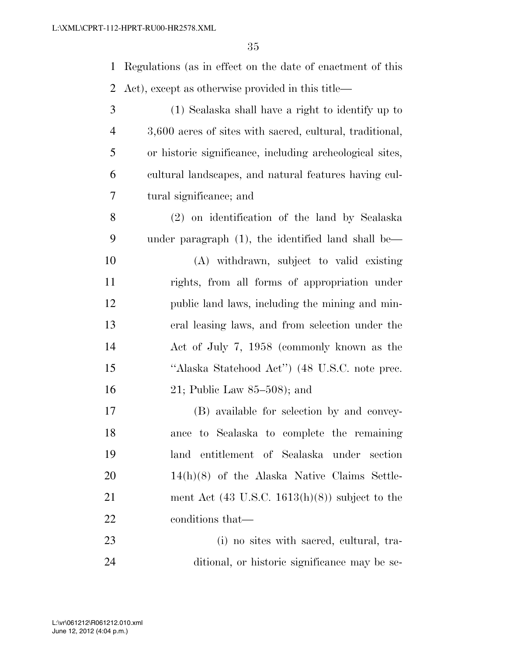| 1              | Regulations (as in effect on the date of enactment of this |
|----------------|------------------------------------------------------------|
| 2              | Act), except as otherwise provided in this title—          |
| 3              | (1) Sealaska shall have a right to identify up to          |
| $\overline{4}$ | 3,600 acres of sites with sacred, cultural, traditional,   |
| 5              | or historic significance, including archeological sites,   |
| 6              | cultural landscapes, and natural features having cul-      |
| 7              | tural significance; and                                    |
| 8              | (2) on identification of the land by Sealaska              |
| 9              | under paragraph $(1)$ , the identified land shall be—      |
| 10             | (A) withdrawn, subject to valid existing                   |
| 11             | rights, from all forms of appropriation under              |
| 12             | public land laws, including the mining and min-            |
| 13             | eral leasing laws, and from selection under the            |
| 14             | Act of July 7, 1958 (commonly known as the                 |
| 15             | "Alaska Statehood Act") (48 U.S.C. note prec.              |
| 16             | 21; Public Law $85-508$ ; and                              |
| 17             | (B) available for selection by and convey-                 |
| 18             | ance to Sealaska to complete the remaining                 |
| 19             | land entitlement of Sealaska under section                 |
| 20             | $14(h)(8)$ of the Alaska Native Claims Settle-             |
| 21             | ment Act $(43 \text{ U.S.C. } 1613(h)(8))$ subject to the  |
| 22             | conditions that—                                           |
| 23             | (i) no sites with sacred, cultural, tra-                   |
| 24             | ditional, or historic significance may be se-              |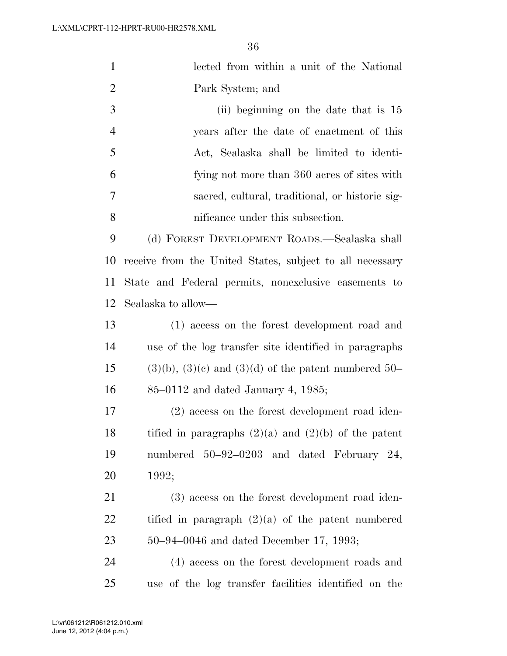| $\mathbf{1}$   | lected from within a unit of the National                   |
|----------------|-------------------------------------------------------------|
| $\overline{2}$ | Park System; and                                            |
| 3              | (ii) beginning on the date that is 15                       |
| $\overline{4}$ | years after the date of enactment of this                   |
| 5              | Act, Sealaska shall be limited to identi-                   |
| 6              | fying not more than 360 acres of sites with                 |
| 7              | sacred, cultural, traditional, or historic sig-             |
| 8              | nificance under this subsection.                            |
| 9              | (d) FOREST DEVELOPMENT ROADS.—Sealaska shall                |
| 10             | receive from the United States, subject to all necessary    |
| 11             | State and Federal permits, nonexclusive easements to        |
| 12             | Sealaska to allow—                                          |
| 13             | (1) access on the forest development road and               |
| 14             | use of the log transfer site identified in paragraphs       |
| 15             | $(3)(b)$ , $(3)(c)$ and $(3)(d)$ of the patent numbered 50- |
| 16             | $85-0112$ and dated January 4, 1985;                        |
| 17             | (2) access on the forest development road iden-             |
| 18             | tified in paragraphs $(2)(a)$ and $(2)(b)$ of the patent    |
| 19             | numbered 50-92-0203 and dated February 24,                  |
| 20             | 1992;                                                       |
| 21             | (3) access on the forest development road iden-             |
| 22             | tified in paragraph $(2)(a)$ of the patent numbered         |
| 23             | $50-94-0046$ and dated December 17, 1993;                   |
| 24             | (4) access on the forest development roads and              |
| 25             | use of the log transfer facilities identified on the        |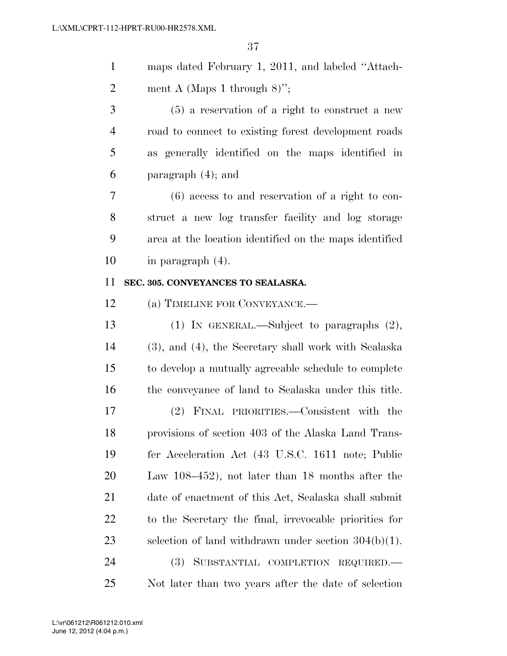|   | maps dated February 1, 2011, and labeled "Attach-    |
|---|------------------------------------------------------|
| 2 | ment A (Maps 1 through 8)";                          |
| 3 | $(5)$ a reservation of a right to construct a new    |
|   | road to connect to existing forest development roads |
| 5 | as generally identified on the maps identified in    |
| 6 | paragraph $(4)$ ; and                                |
| 7 | $(6)$ agos to and reservation of a most to go        |

 (6) access to and reservation of a right to con- struct a new log transfer facility and log storage area at the location identified on the maps identified in paragraph (4).

#### **SEC. 305. CONVEYANCES TO SEALASKA.**

(a) TIMELINE FOR CONVEYANCE.—

 (1) IN GENERAL.—Subject to paragraphs (2), (3), and (4), the Secretary shall work with Sealaska to develop a mutually agreeable schedule to complete the conveyance of land to Sealaska under this title. (2) FINAL PRIORITIES.—Consistent with the provisions of section 403 of the Alaska Land Trans- fer Acceleration Act (43 U.S.C. 1611 note; Public Law 108–452), not later than 18 months after the date of enactment of this Act, Sealaska shall submit to the Secretary the final, irrevocable priorities for selection of land withdrawn under section 304(b)(1). (3) SUBSTANTIAL COMPLETION REQUIRED.—

Not later than two years after the date of selection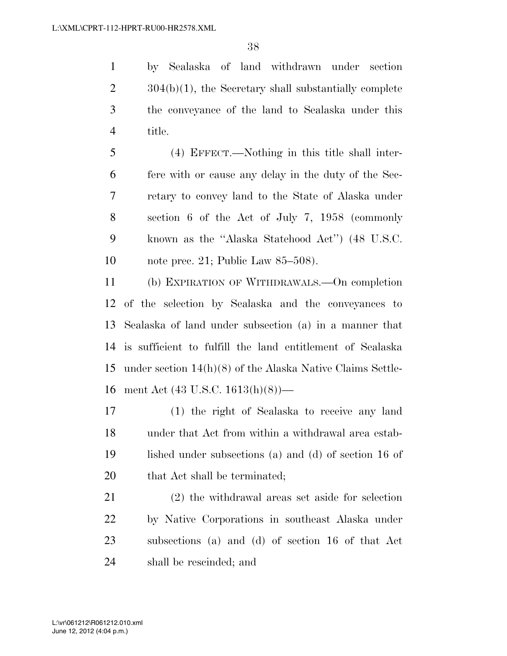by Sealaska of land withdrawn under section  $2 \qquad \qquad 304(b)(1)$ , the Secretary shall substantially complete the conveyance of the land to Sealaska under this title.

 (4) EFFECT.—Nothing in this title shall inter- fere with or cause any delay in the duty of the Sec- retary to convey land to the State of Alaska under section 6 of the Act of July 7, 1958 (commonly known as the ''Alaska Statehood Act'') (48 U.S.C. note prec. 21; Public Law 85–508).

 (b) EXPIRATION OF WITHDRAWALS.—On completion of the selection by Sealaska and the conveyances to Sealaska of land under subsection (a) in a manner that is sufficient to fulfill the land entitlement of Sealaska under section 14(h)(8) of the Alaska Native Claims Settle-ment Act (43 U.S.C. 1613(h)(8))—

 (1) the right of Sealaska to receive any land under that Act from within a withdrawal area estab- lished under subsections (a) and (d) of section 16 of 20 that Act shall be terminated;

 (2) the withdrawal areas set aside for selection by Native Corporations in southeast Alaska under subsections (a) and (d) of section 16 of that Act shall be rescinded; and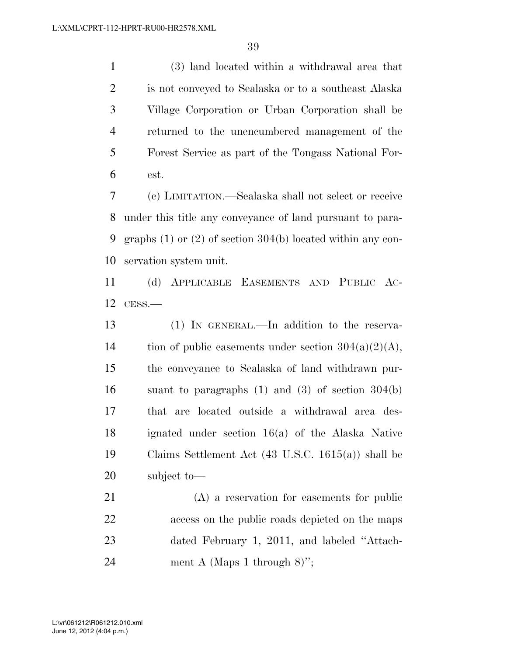(3) land located within a withdrawal area that is not conveyed to Sealaska or to a southeast Alaska Village Corporation or Urban Corporation shall be returned to the unencumbered management of the Forest Service as part of the Tongass National For-est.

 (c) LIMITATION.—Sealaska shall not select or receive under this title any conveyance of land pursuant to para- graphs (1) or (2) of section 304(b) located within any con-servation system unit.

 (d) APPLICABLE EASEMENTS AND PUBLIC AC-CESS.—

 (1) IN GENERAL.—In addition to the reserva-14 tion of public easements under section  $304(a)(2)(A)$ , the conveyance to Sealaska of land withdrawn pur- suant to paragraphs (1) and (3) of section 304(b) that are located outside a withdrawal area des- ignated under section 16(a) of the Alaska Native Claims Settlement Act (43 U.S.C. 1615(a)) shall be subject to—

 (A) a reservation for easements for public access on the public roads depicted on the maps dated February 1, 2011, and labeled ''Attach-24 ment A (Maps 1 through 8)";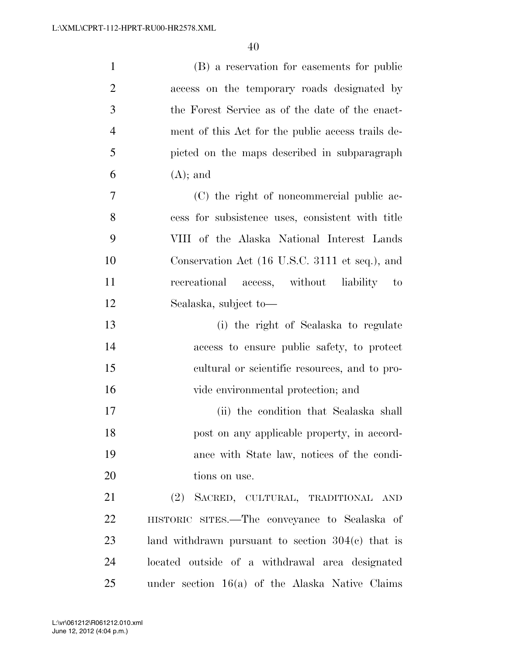| $\mathbf{1}$   | (B) a reservation for easements for public          |
|----------------|-----------------------------------------------------|
| $\overline{2}$ | access on the temporary roads designated by         |
| $\mathfrak{Z}$ | the Forest Service as of the date of the enact-     |
| $\overline{4}$ | ment of this Act for the public access trails de-   |
| 5              | picted on the maps described in subparagraph        |
| 6              | $(A);$ and                                          |
| 7              | (C) the right of noncommercial public ac-           |
| 8              | cess for subsistence uses, consistent with title    |
| 9              | VIII of the Alaska National Interest Lands          |
| 10             | Conservation Act (16 U.S.C. 3111 et seq.), and      |
| 11             | recreational access, without liability<br>$-$ to    |
| 12             | Sealaska, subject to-                               |
| 13             | (i) the right of Sealaska to regulate               |
| 14             | access to ensure public safety, to protect          |
| 15             | cultural or scientific resources, and to pro-       |
| 16             | vide environmental protection; and                  |
| 17             | (ii) the condition that Sealaska shall              |
| 18             | post on any applicable property, in accord-         |
| 19             | ance with State law, notices of the condi-          |
| 20             | tions on use.                                       |
| 21             | (2) SACRED, CULTURAL, TRADITIONAL AND               |
| 22             | HISTORIC SITES.—The conveyance to Sealaska of       |
| 23             | land withdrawn pursuant to section $304(c)$ that is |
| 24             | located outside of a withdrawal area designated     |
| 25             | under section $16(a)$ of the Alaska Native Claims   |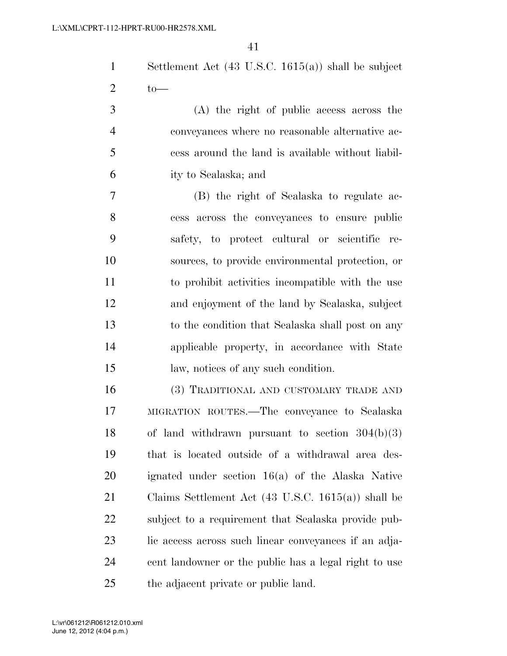Settlement Act (43 U.S.C. 1615(a)) shall be subject 2  $\text{to}$ 

 (A) the right of public access across the conveyances where no reasonable alternative ac- cess around the land is available without liabil-ity to Sealaska; and

 (B) the right of Sealaska to regulate ac- cess across the conveyances to ensure public safety, to protect cultural or scientific re- sources, to provide environmental protection, or to prohibit activities incompatible with the use and enjoyment of the land by Sealaska, subject to the condition that Sealaska shall post on any applicable property, in accordance with State law, notices of any such condition.

 (3) TRADITIONAL AND CUSTOMARY TRADE AND MIGRATION ROUTES.—The conveyance to Sealaska of land withdrawn pursuant to section 304(b)(3) that is located outside of a withdrawal area des- ignated under section 16(a) of the Alaska Native Claims Settlement Act (43 U.S.C. 1615(a)) shall be subject to a requirement that Sealaska provide pub-23 lic access across such linear conveyances if an adja- cent landowner or the public has a legal right to use the adjacent private or public land.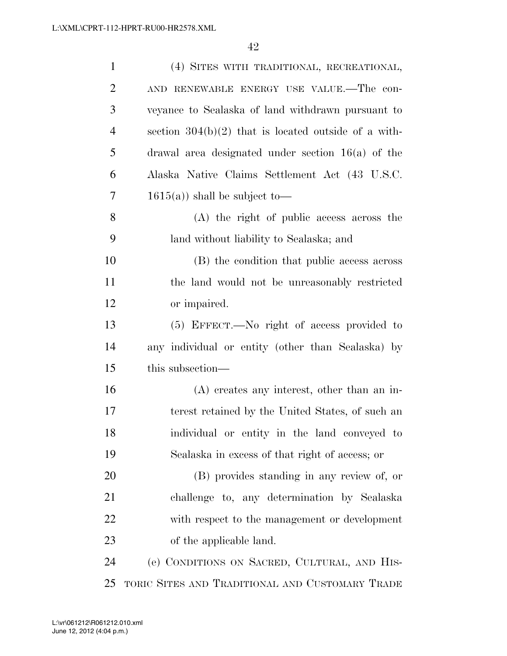| $\mathbf{1}$   | (4) SITES WITH TRADITIONAL, RECREATIONAL,              |
|----------------|--------------------------------------------------------|
| $\overline{2}$ | AND RENEWABLE ENERGY USE VALUE.—The con-               |
| 3              | veyance to Sealaska of land withdrawn pursuant to      |
| $\overline{4}$ | section $304(b)(2)$ that is located outside of a with- |
| 5              | drawal area designated under section $16(a)$ of the    |
| 6              | Alaska Native Claims Settlement Act (43 U.S.C.         |
| 7              | $1615(a)$ shall be subject to-                         |
| 8              | (A) the right of public access across the              |
| 9              | land without liability to Sealaska; and                |
| 10             | (B) the condition that public access across            |
| 11             | the land would not be unreasonably restricted          |
| 12             | or impaired.                                           |
| 13             | (5) EFFECT.—No right of access provided to             |
| 14             | any individual or entity (other than Sealaska) by      |
| 15             | this subsection—                                       |
| 16             | $(A)$ creates any interest, other than an in-          |
| 17             | terest retained by the United States, of such an       |
| 18             | individual or entity in the land conveyed to           |
| 19             | Sealaska in excess of that right of access; or         |
| 20             | (B) provides standing in any review of, or             |
| 21             | challenge to, any determination by Sealaska            |
| 22             | with respect to the management or development          |
| 23             | of the applicable land.                                |
| 24             | (e) CONDITIONS ON SACRED, CULTURAL, AND HIS-           |
| 25             | TORIC SITES AND TRADITIONAL AND CUSTOMARY TRADE        |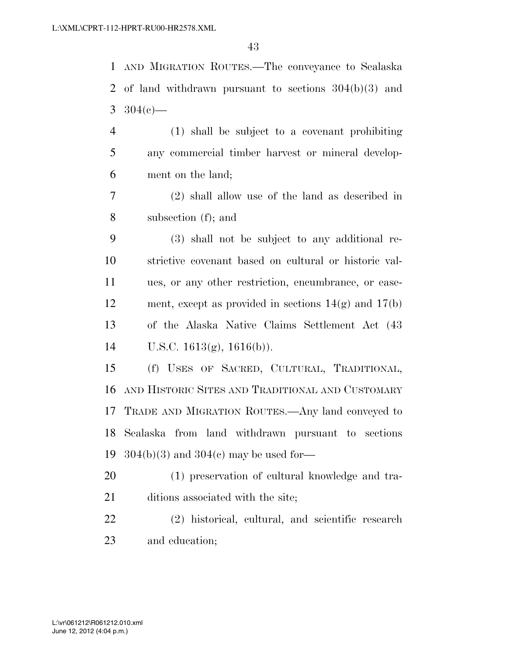AND MIGRATION ROUTES.—The conveyance to Sealaska of land withdrawn pursuant to sections 304(b)(3) and 3  $304(e)$ — (1) shall be subject to a covenant prohibiting any commercial timber harvest or mineral develop- ment on the land; (2) shall allow use of the land as described in subsection (f); and (3) shall not be subject to any additional re- strictive covenant based on cultural or historic val- ues, or any other restriction, encumbrance, or ease- ment, except as provided in sections 14(g) and 17(b) of the Alaska Native Claims Settlement Act (43 U.S.C. 1613(g), 1616(b)). (f) USES OF SACRED, CULTURAL, TRADITIONAL, AND HISTORIC SITES AND TRADITIONAL AND CUSTOMARY TRADE AND MIGRATION ROUTES.—Any land conveyed to Sealaska from land withdrawn pursuant to sections 304(b)(3) and 304(c) may be used for— (1) preservation of cultural knowledge and tra-21 ditions associated with the site; (2) historical, cultural, and scientific research and education;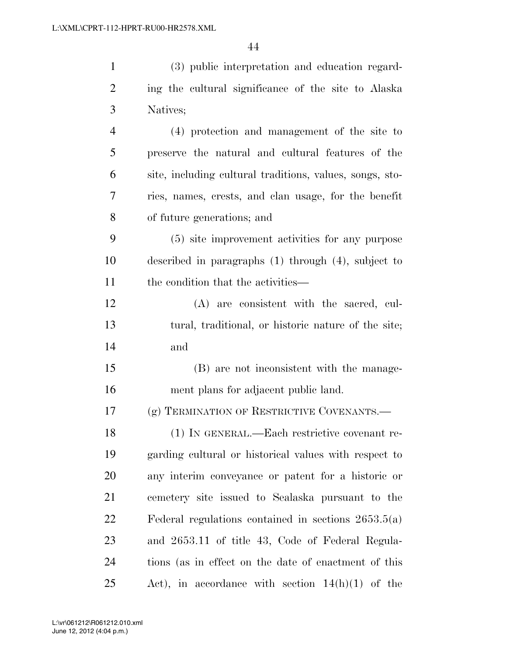| $\mathbf{1}$   | (3) public interpretation and education regard-          |
|----------------|----------------------------------------------------------|
| $\overline{2}$ | ing the cultural significance of the site to Alaska      |
| 3              | Natives;                                                 |
| $\overline{4}$ | (4) protection and management of the site to             |
| 5              | preserve the natural and cultural features of the        |
| 6              | site, including cultural traditions, values, songs, sto- |
| $\overline{7}$ | ries, names, crests, and clan usage, for the benefit     |
| 8              | of future generations; and                               |
| 9              | (5) site improvement activities for any purpose          |
| 10             | described in paragraphs $(1)$ through $(4)$ , subject to |
| 11             | the condition that the activities—                       |
| 12             | (A) are consistent with the sacred, cul-                 |
| 13             | tural, traditional, or historic nature of the site;      |
| 14             | and                                                      |
| 15             | (B) are not inconsistent with the manage-                |
| 16             | ment plans for adjacent public land.                     |
| 17             | (g) TERMINATION OF RESTRICTIVE COVENANTS.—               |
| 18             | (1) IN GENERAL.—Each restrictive covenant re-            |
| 19             | garding cultural or historical values with respect to    |
| 20             | any interim conveyance or patent for a historic or       |
| 21             | cemetery site issued to Sealaska pursuant to the         |
| 22             | Federal regulations contained in sections $2653.5(a)$    |
| 23             | and 2653.11 of title 43, Code of Federal Regula-         |
| 24             | tions (as in effect on the date of enactment of this     |
| 25             | Act), in accordance with section $14(h)(1)$ of the       |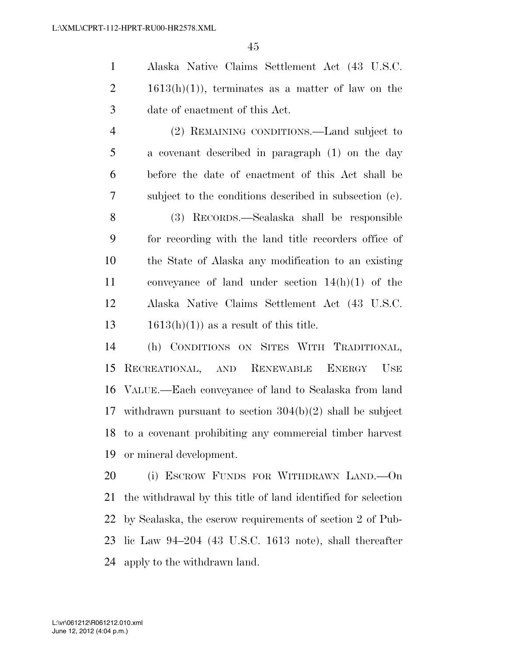Alaska Native Claims Settlement Act (43 U.S.C.  $2 \t1613(h)(1)$ , terminates as a matter of law on the date of enactment of this Act.

 (2) REMAINING CONDITIONS.—Land subject to a covenant described in paragraph (1) on the day before the date of enactment of this Act shall be subject to the conditions described in subsection (e).

 (3) RECORDS.—Sealaska shall be responsible for recording with the land title recorders office of the State of Alaska any modification to an existing conveyance of land under section 14(h)(1) of the Alaska Native Claims Settlement Act (43 U.S.C.  $1613(h)(1)$  as a result of this title.

 (h) CONDITIONS ON SITES WITH TRADITIONAL, RECREATIONAL, AND RENEWABLE ENERGY USE VALUE.—Each conveyance of land to Sealaska from land withdrawn pursuant to section 304(b)(2) shall be subject to a covenant prohibiting any commercial timber harvest or mineral development.

 (i) ESCROW FUNDS FOR WITHDRAWN LAND.—On the withdrawal by this title of land identified for selection by Sealaska, the escrow requirements of section 2 of Pub- lic Law 94–204 (43 U.S.C. 1613 note), shall thereafter apply to the withdrawn land.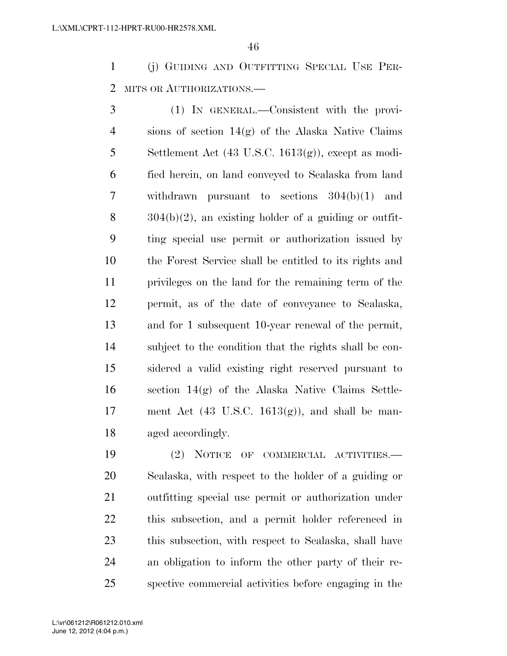(j) GUIDING AND OUTFITTING SPECIAL USE PER-2 MITS OR AUTHORIZATIONS.

 (1) IN GENERAL.—Consistent with the provi- sions of section 14(g) of the Alaska Native Claims 5 Settlement Act  $(43 \text{ U.S.C. } 1613(g))$ , except as modi- fied herein, on land conveyed to Sealaska from land withdrawn pursuant to sections 304(b)(1) and  $8 \qquad \text{304(b)(2)}$ , an existing holder of a guiding or outfit- ting special use permit or authorization issued by the Forest Service shall be entitled to its rights and privileges on the land for the remaining term of the permit, as of the date of conveyance to Sealaska, and for 1 subsequent 10-year renewal of the permit, subject to the condition that the rights shall be con- sidered a valid existing right reserved pursuant to section 14(g) of the Alaska Native Claims Settle-17 ment Act  $(43 \text{ U.S.C. } 1613(g))$ , and shall be man-aged accordingly.

 (2) NOTICE OF COMMERCIAL ACTIVITIES.— Sealaska, with respect to the holder of a guiding or outfitting special use permit or authorization under this subsection, and a permit holder referenced in this subsection, with respect to Sealaska, shall have an obligation to inform the other party of their re-spective commercial activities before engaging in the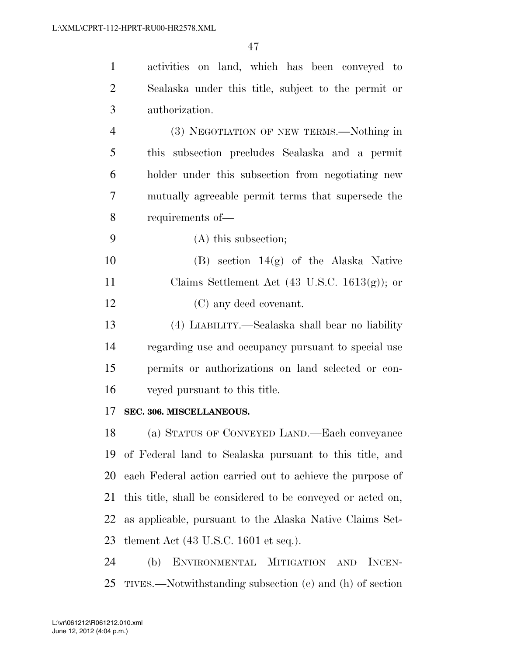| $\mathbf{1}$   | activities on land, which has been conveyed to              |
|----------------|-------------------------------------------------------------|
| $\overline{2}$ | Sealaska under this title, subject to the permit or         |
| 3              | authorization.                                              |
| $\overline{4}$ | (3) NEGOTIATION OF NEW TERMS.—Nothing in                    |
| 5              | this subsection precludes Sealaska and a permit             |
| 6              | holder under this subsection from negotiating new           |
| 7              | mutually agreeable permit terms that supersede the          |
| 8              | requirements of-                                            |
| 9              | (A) this subsection;                                        |
| 10             | $(B)$ section 14 $(g)$ of the Alaska Native                 |
| 11             | Claims Settlement Act $(43 \text{ U.S.C. } 1613(g))$ ; or   |
| 12             | (C) any deed covenant.                                      |
| 13             | (4) LIABILITY.—Sealaska shall bear no liability             |
| 14             | regarding use and occupancy pursuant to special use         |
| 15             | permits or authorizations on land selected or con-          |
| 16             | veyed pursuant to this title.                               |
| 17             | SEC. 306. MISCELLANEOUS.                                    |
| 18             | (a) STATUS OF CONVEYED LAND.—Each conveyance                |
| 19             | of Federal land to Sealaska pursuant to this title, and     |
| 20             | each Federal action carried out to achieve the purpose of   |
| 21             | this title, shall be considered to be conveyed or acted on, |
| 22             | as applicable, pursuant to the Alaska Native Claims Set-    |
| 23             | tlement Act $(43 \text{ U.S.C. } 1601 \text{ et seq.}).$    |
| 24             | ENVIRONMENTAL MITIGATION AND<br>(b)<br>INCEN-               |

TIVES.—Notwithstanding subsection (e) and (h) of section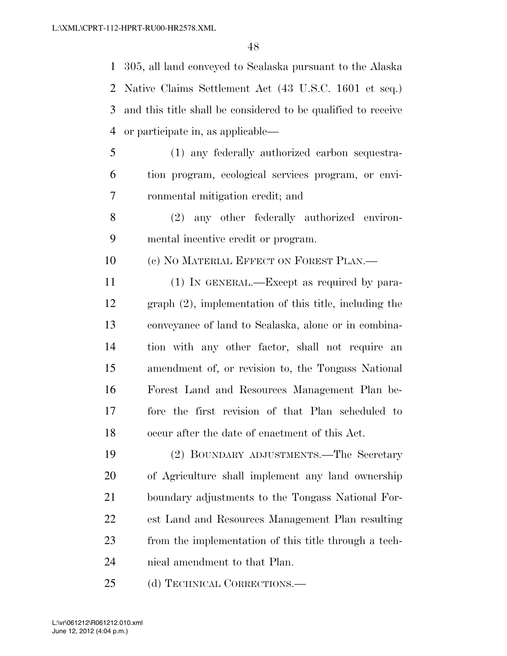305, all land conveyed to Sealaska pursuant to the Alaska Native Claims Settlement Act (43 U.S.C. 1601 et seq.) and this title shall be considered to be qualified to receive or participate in, as applicable—

- (1) any federally authorized carbon sequestra- tion program, ecological services program, or envi-ronmental mitigation credit; and
- (2) any other federally authorized environ-mental incentive credit or program.

10 (c) NO MATERIAL EFFECT ON FOREST PLAN.—

 (1) IN GENERAL.—Except as required by para- graph (2), implementation of this title, including the conveyance of land to Sealaska, alone or in combina- tion with any other factor, shall not require an amendment of, or revision to, the Tongass National Forest Land and Resources Management Plan be- fore the first revision of that Plan scheduled to occur after the date of enactment of this Act.

 (2) BOUNDARY ADJUSTMENTS.—The Secretary of Agriculture shall implement any land ownership boundary adjustments to the Tongass National For- est Land and Resources Management Plan resulting from the implementation of this title through a tech-nical amendment to that Plan.

25 (d) TECHNICAL CORRECTIONS.—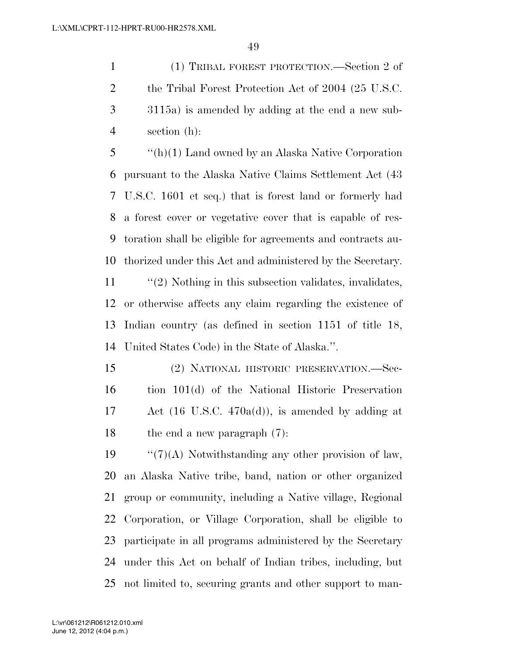(1) TRIBAL FOREST PROTECTION.—Section 2 of 2 the Tribal Forest Protection Act of 2004 (25 U.S.C. 3115a) is amended by adding at the end a new sub-section (h):

 ''(h)(1) Land owned by an Alaska Native Corporation pursuant to the Alaska Native Claims Settlement Act (43 U.S.C. 1601 et seq.) that is forest land or formerly had a forest cover or vegetative cover that is capable of res- toration shall be eligible for agreements and contracts au-thorized under this Act and administered by the Secretary.

 ''(2) Nothing in this subsection validates, invalidates, or otherwise affects any claim regarding the existence of Indian country (as defined in section 1151 of title 18, United States Code) in the State of Alaska.''.

 (2) NATIONAL HISTORIC PRESERVATION.—Sec- tion 101(d) of the National Historic Preservation Act (16 U.S.C. 470a(d)), is amended by adding at the end a new paragraph (7):

 $\frac{1}{2}$  (7)(A) Notwithstanding any other provision of law, an Alaska Native tribe, band, nation or other organized group or community, including a Native village, Regional Corporation, or Village Corporation, shall be eligible to participate in all programs administered by the Secretary under this Act on behalf of Indian tribes, including, but not limited to, securing grants and other support to man-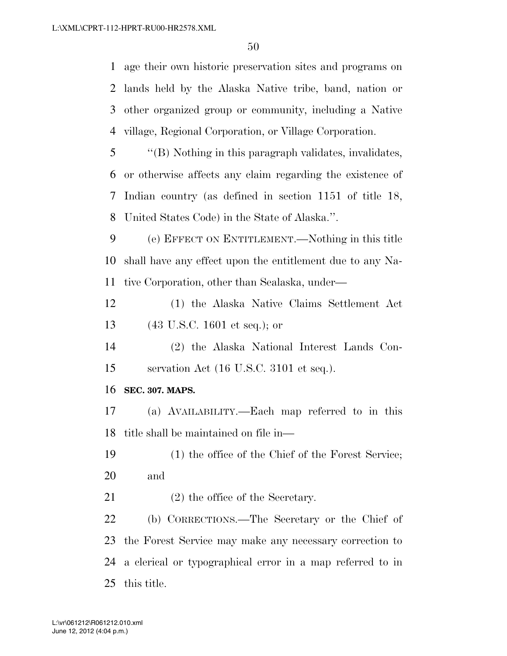age their own historic preservation sites and programs on lands held by the Alaska Native tribe, band, nation or other organized group or community, including a Native village, Regional Corporation, or Village Corporation. ''(B) Nothing in this paragraph validates, invalidates, or otherwise affects any claim regarding the existence of Indian country (as defined in section 1151 of title 18, United States Code) in the State of Alaska.''. (e) EFFECT ON ENTITLEMENT.—Nothing in this title shall have any effect upon the entitlement due to any Na-

tive Corporation, other than Sealaska, under—

 (1) the Alaska Native Claims Settlement Act (43 U.S.C. 1601 et seq.); or

 (2) the Alaska National Interest Lands Con-servation Act (16 U.S.C. 3101 et seq.).

**SEC. 307. MAPS.** 

 (a) AVAILABILITY.—Each map referred to in this title shall be maintained on file in—

 (1) the office of the Chief of the Forest Service; and

21 (2) the office of the Secretary.

 (b) CORRECTIONS.—The Secretary or the Chief of the Forest Service may make any necessary correction to a clerical or typographical error in a map referred to in this title.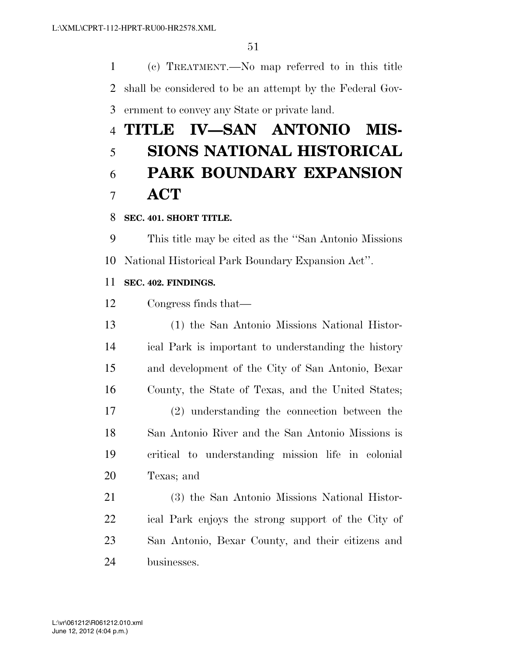(c) TREATMENT.—No map referred to in this title shall be considered to be an attempt by the Federal Gov-ernment to convey any State or private land.

# **TITLE IV—SAN ANTONIO MIS- SIONS NATIONAL HISTORICAL PARK BOUNDARY EXPANSION ACT**

# **SEC. 401. SHORT TITLE.**

 This title may be cited as the ''San Antonio Missions National Historical Park Boundary Expansion Act''.

# **SEC. 402. FINDINGS.**

Congress finds that—

 (1) the San Antonio Missions National Histor- ical Park is important to understanding the history and development of the City of San Antonio, Bexar County, the State of Texas, and the United States; (2) understanding the connection between the San Antonio River and the San Antonio Missions is critical to understanding mission life in colonial Texas; and

 (3) the San Antonio Missions National Histor- ical Park enjoys the strong support of the City of San Antonio, Bexar County, and their citizens and businesses.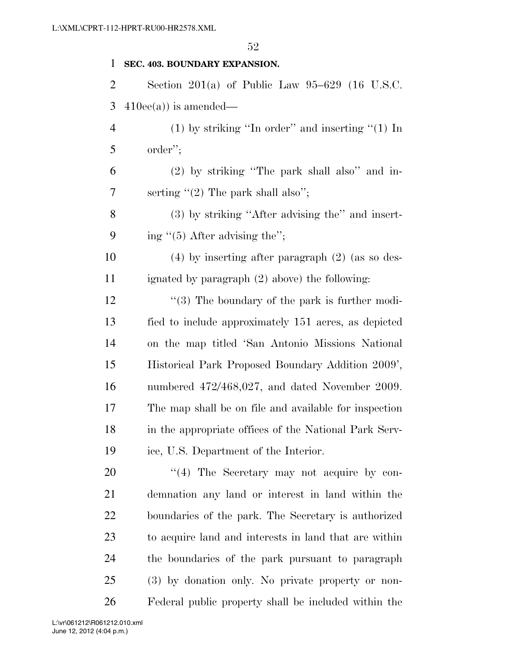#### **SEC. 403. BOUNDARY EXPANSION.**

 Section 201(a) of Public Law 95–629 (16 U.S.C. 3  $410ee(a)$  is amended—

 (1) by striking ''In order'' and inserting ''(1) In order'';

 (2) by striking ''The park shall also'' and in-7 serting  $(2)$  The park shall also";

 (3) by striking ''After advising the'' and insert-9 ing  $\degree$ (5) After advising the";

 (4) by inserting after paragraph (2) (as so des-ignated by paragraph (2) above) the following:

12 ''(3) The boundary of the park is further modi- fied to include approximately 151 acres, as depicted on the map titled 'San Antonio Missions National Historical Park Proposed Boundary Addition 2009', numbered 472/468,027, and dated November 2009. The map shall be on file and available for inspection in the appropriate offices of the National Park Serv-ice, U.S. Department of the Interior.

20 "(4) The Secretary may not acquire by con- demnation any land or interest in land within the boundaries of the park. The Secretary is authorized to acquire land and interests in land that are within the boundaries of the park pursuant to paragraph (3) by donation only. No private property or non-Federal public property shall be included within the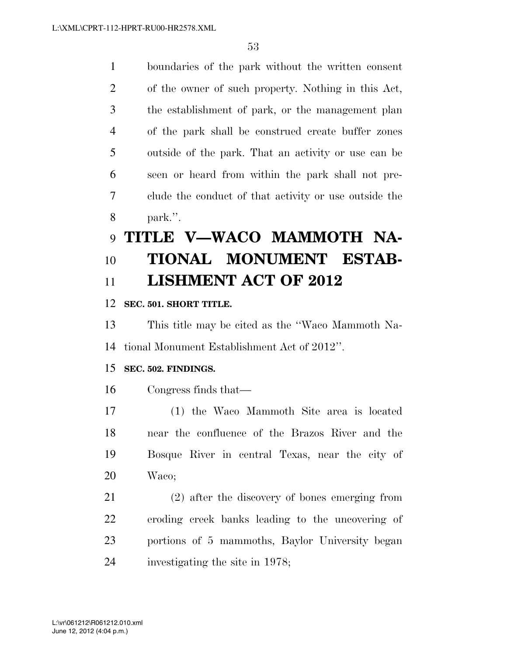boundaries of the park without the written consent of the owner of such property. Nothing in this Act, the establishment of park, or the management plan of the park shall be construed create buffer zones outside of the park. That an activity or use can be seen or heard from within the park shall not pre- clude the conduct of that activity or use outside the park.''.

# **TITLE V—WACO MAMMOTH NA- TIONAL MONUMENT ESTAB-LISHMENT ACT OF 2012**

# **SEC. 501. SHORT TITLE.**

 This title may be cited as the ''Waco Mammoth Na-tional Monument Establishment Act of 2012''.

# **SEC. 502. FINDINGS.**

Congress finds that—

 (1) the Waco Mammoth Site area is located near the confluence of the Brazos River and the Bosque River in central Texas, near the city of Waco;

 (2) after the discovery of bones emerging from eroding creek banks leading to the uncovering of portions of 5 mammoths, Baylor University began investigating the site in 1978;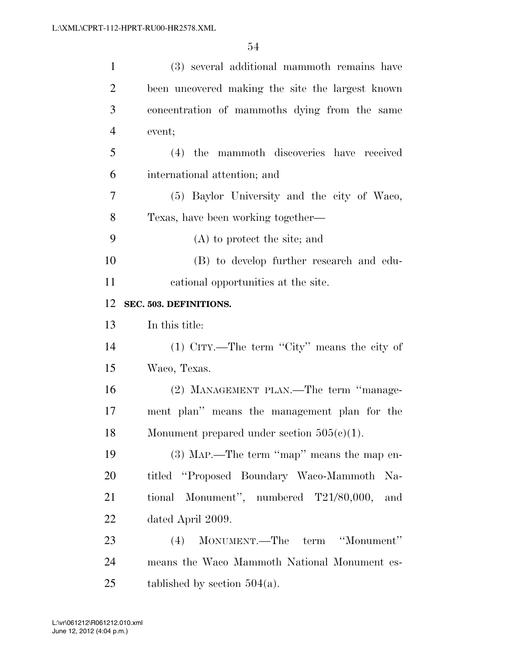| $\mathbf{1}$   | (3) several additional mammoth remains have      |
|----------------|--------------------------------------------------|
| $\overline{2}$ | been uncovered making the site the largest known |
| 3              | concentration of mammoths dying from the same    |
| $\overline{4}$ | event;                                           |
| 5              | (4) the mammoth discoveries have received        |
| 6              | international attention; and                     |
| $\tau$         | (5) Baylor University and the city of Waco,      |
| 8              | Texas, have been working together—               |
| 9              | (A) to protect the site; and                     |
| 10             | (B) to develop further research and edu-         |
| 11             | cational opportunities at the site.              |
| 12             | SEC. 503. DEFINITIONS.                           |
| 13             | In this title:                                   |
| 14             | $(1)$ CITY.—The term "City" means the city of    |
| 15             | Waco, Texas.                                     |
| 16             | (2) MANAGEMENT PLAN.—The term "manage-           |
| 17             | ment plan" means the management plan for the     |
| 18             | Monument prepared under section $505(e)(1)$ .    |
| 19             | $(3)$ MAP.—The term "map" means the map en-      |
| 20             | titled "Proposed Boundary Waco-Mammoth Na-       |
| 21             | tional Monument", numbered T21/80,000,<br>and    |
| 22             | dated April 2009.                                |
| 23             | MONUMENT.—The term "Monument"<br>(4)             |
| 24             | means the Waco Mammoth National Monument es-     |
| 25             | tablished by section $504(a)$ .                  |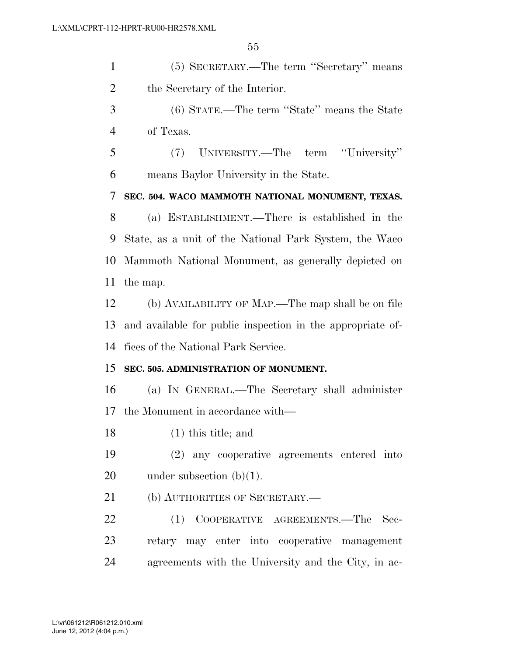(5) SECRETARY.—The term ''Secretary'' means the Secretary of the Interior. (6) STATE.—The term ''State'' means the State of Texas. (7) UNIVERSITY.—The term ''University'' means Baylor University in the State. **SEC. 504. WACO MAMMOTH NATIONAL MONUMENT, TEXAS.**  (a) ESTABLISHMENT.—There is established in the State, as a unit of the National Park System, the Waco Mammoth National Monument, as generally depicted on the map. (b) AVAILABILITY OF MAP.—The map shall be on file and available for public inspection in the appropriate of- fices of the National Park Service. **SEC. 505. ADMINISTRATION OF MONUMENT.**  (a) IN GENERAL.—The Secretary shall administer the Monument in accordance with— (1) this title; and (2) any cooperative agreements entered into 20 under subsection (b)(1). 21 (b) AUTHORITIES OF SECRETARY.— 22 (1) COOPERATIVE AGREEMENTS.—The Sec- retary may enter into cooperative management agreements with the University and the City, in ac-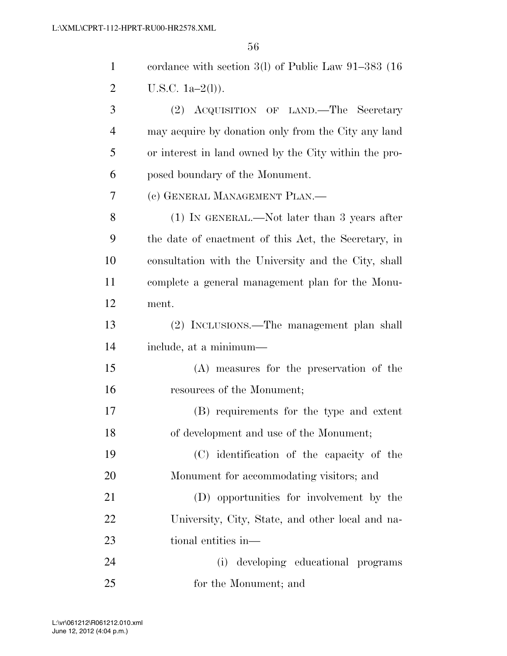| $\mathbf{1}$ | cordance with section $3(1)$ of Public Law $91-383$ (16) |
|--------------|----------------------------------------------------------|
| 2            | U.S.C. $1a-2(l)$ ).                                      |
| 3            | (2) ACQUISITION OF LAND.—The Secretary                   |
| 4            | may acquire by donation only from the City any land      |
| 5            | or interest in land owned by the City within the pro-    |
| 6            | posed boundary of the Monument.                          |
| 7            | (c) GENERAL MANAGEMENT PLAN.—                            |
| 8            | (1) IN GENERAL.—Not later than 3 years after             |
| 9            | the date of enactment of this Act, the Secretary, in     |
| 10           | consultation with the University and the City, shall     |
| 11           | complete a general management plan for the Monu-         |
| 12           | ment.                                                    |
| 13           | (2) INCLUSIONS.—The management plan shall                |
| 14           | include, at a minimum—                                   |
| 15           | (A) measures for the preservation of the                 |
| 16           | resources of the Monument;                               |
| 17           | (B) requirements for the type and extent                 |
| 18           | of development and use of the Monument;                  |
| 19           | (C) identification of the capacity of the                |
| 20           | Monument for accommodating visitors; and                 |
| 21           | (D) opportunities for involvement by the                 |
| 22           | University, City, State, and other local and na-         |
| 23           | tional entities in—                                      |
| 24           | developing educational programs<br>(i)                   |
| 25           | for the Monument; and                                    |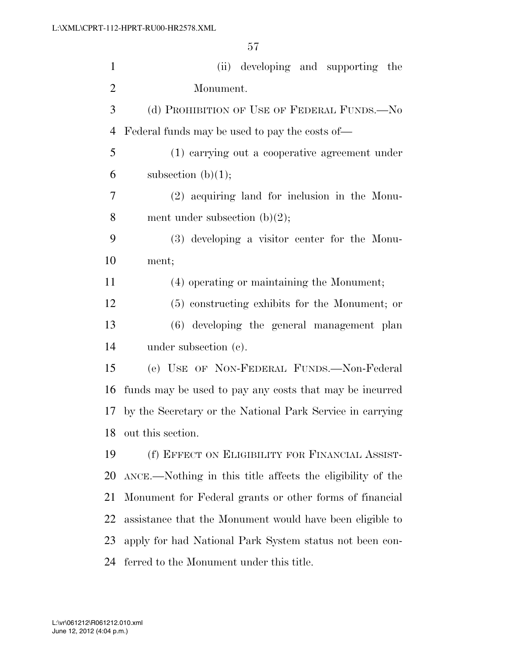| $\mathbf{1}$   | (ii) developing and supporting the                         |
|----------------|------------------------------------------------------------|
| $\overline{2}$ | Monument.                                                  |
| 3              | (d) PROHIBITION OF USE OF FEDERAL FUNDS.—No                |
| $\overline{4}$ | Federal funds may be used to pay the costs of—             |
| 5              | (1) carrying out a cooperative agreement under             |
| 6              | subsection $(b)(1);$                                       |
| 7              | (2) acquiring land for inclusion in the Monu-              |
| 8              | ment under subsection $(b)(2)$ ;                           |
| 9              | (3) developing a visitor center for the Monu-              |
| 10             | ment;                                                      |
| 11             | (4) operating or maintaining the Monument;                 |
| 12             | (5) constructing exhibits for the Monument; or             |
| 13             | (6) developing the general management plan                 |
| 14             | under subsection $(e)$ .                                   |
| 15             | (e) USE OF NON-FEDERAL FUNDS.—Non-Federal                  |
| 16             | funds may be used to pay any costs that may be incurred    |
| 17             | by the Secretary or the National Park Service in carrying  |
| 18             | out this section.                                          |
| 19             | (f) EFFECT ON ELIGIBILITY FOR FINANCIAL ASSIST-            |
| 20             | ANCE.—Nothing in this title affects the eligibility of the |
| 21             | Monument for Federal grants or other forms of financial    |
| 22             | assistance that the Monument would have been eligible to   |
| 23             | apply for had National Park System status not been con-    |
| 24             | ferred to the Monument under this title.                   |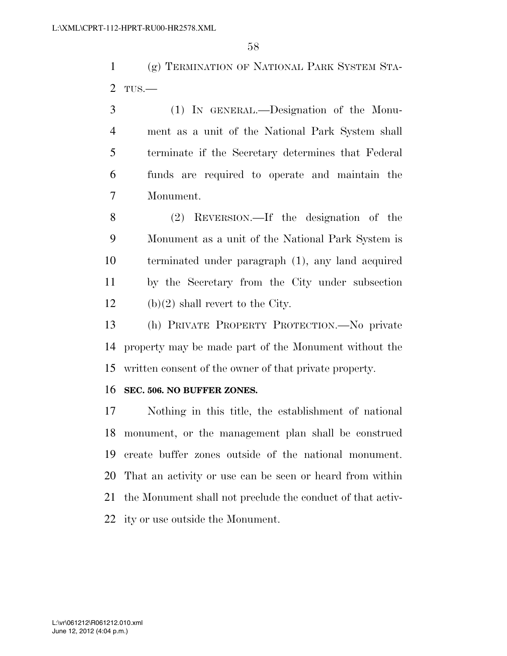(g) TERMINATION OF NATIONAL PARK SYSTEM STA-TUS.—

 (1) IN GENERAL.—Designation of the Monu- ment as a unit of the National Park System shall terminate if the Secretary determines that Federal funds are required to operate and maintain the Monument.

 (2) REVERSION.—If the designation of the Monument as a unit of the National Park System is terminated under paragraph (1), any land acquired by the Secretary from the City under subsection 12 (b) $(2)$  shall revert to the City.

 (h) PRIVATE PROPERTY PROTECTION.—No private property may be made part of the Monument without the written consent of the owner of that private property.

#### **SEC. 506. NO BUFFER ZONES.**

 Nothing in this title, the establishment of national monument, or the management plan shall be construed create buffer zones outside of the national monument. That an activity or use can be seen or heard from within the Monument shall not preclude the conduct of that activ-ity or use outside the Monument.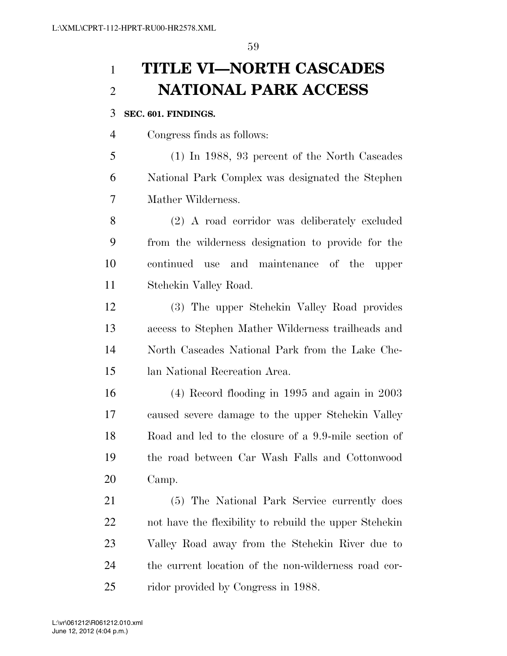# **TITLE VI—NORTH CASCADES NATIONAL PARK ACCESS**

## **SEC. 601. FINDINGS.**

Congress finds as follows:

 (1) In 1988, 93 percent of the North Cascades National Park Complex was designated the Stephen Mather Wilderness.

 (2) A road corridor was deliberately excluded from the wilderness designation to provide for the continued use and maintenance of the upper Stehekin Valley Road.

 (3) The upper Stehekin Valley Road provides access to Stephen Mather Wilderness trailheads and North Cascades National Park from the Lake Che-lan National Recreation Area.

 (4) Record flooding in 1995 and again in 2003 caused severe damage to the upper Stehekin Valley Road and led to the closure of a 9.9-mile section of the road between Car Wash Falls and Cottonwood Camp.

 (5) The National Park Service currently does not have the flexibility to rebuild the upper Stehekin Valley Road away from the Stehekin River due to the current location of the non-wilderness road cor-25 ridor provided by Congress in 1988.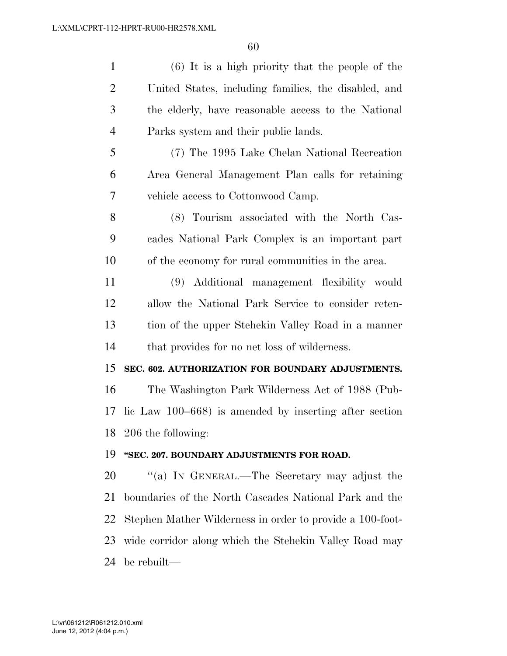| $\mathbf{1}$   | $(6)$ It is a high priority that the people of the        |
|----------------|-----------------------------------------------------------|
| $\overline{2}$ | United States, including families, the disabled, and      |
| 3              | the elderly, have reasonable access to the National       |
| $\overline{4}$ | Parks system and their public lands.                      |
| 5              | (7) The 1995 Lake Chelan National Recreation              |
| 6              | Area General Management Plan calls for retaining          |
| 7              | vehicle access to Cottonwood Camp.                        |
| 8              | (8) Tourism associated with the North Cas-                |
| 9              | cades National Park Complex is an important part          |
| 10             | of the economy for rural communities in the area.         |
| 11             | (9) Additional management flexibility would               |
| 12             | allow the National Park Service to consider reten-        |
| 13             | tion of the upper Stehekin Valley Road in a manner        |
| 14             | that provides for no net loss of wilderness.              |
| 15             | SEC. 602. AUTHORIZATION FOR BOUNDARY ADJUSTMENTS.         |
| 16             | The Washington Park Wilderness Act of 1988 (Pub-          |
| 17             | lic Law $100-668$ ) is amended by inserting after section |
| 18             | 206 the following:                                        |
| 19             | "SEC. 207. BOUNDARY ADJUSTMENTS FOR ROAD.                 |
| 20             | "(a) IN GENERAL.—The Secretary may adjust the             |
| 21             | boundaries of the North Cascades National Park and the    |
| 22             | Stephen Mather Wilderness in order to provide a 100-foot- |
| 23             | wide corridor along which the Stehekin Valley Road may    |

be rebuilt—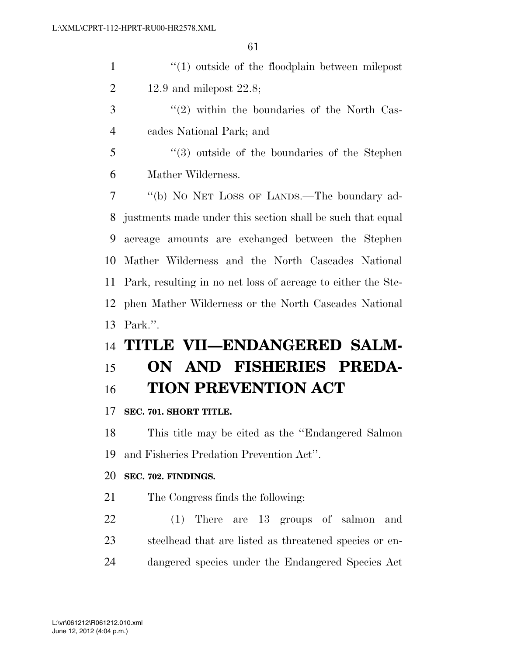| $\mathbf{1}$   | $\lq(1)$ outside of the floodplain between milepost           |
|----------------|---------------------------------------------------------------|
| $\overline{2}$ | 12.9 and milepost $22.8$ ;                                    |
| 3              | $\lq(2)$ within the boundaries of the North Cas-              |
| $\overline{4}$ | cades National Park; and                                      |
| 5              | $\cdot\cdot\cdot(3)$ outside of the boundaries of the Stephen |
| 6              | Mather Wilderness.                                            |
| 7              | "(b) No NET LOSS OF LANDS.—The boundary ad-                   |
| 8              | justments made under this section shall be such that equal    |
| 9              | acreage amounts are exchanged between the Stephen             |
| 10             | Mather Wilderness and the North Cascades National             |
| 11             | Park, resulting in no net loss of acreage to either the Ste-  |
| 12             | phen Mather Wilderness or the North Cascades National         |
| 13             | Park.".                                                       |
| 14             | TITLE VII—ENDANGERED SALM-                                    |
| 15             | ON AND FISHERIES PREDA-                                       |
| 16             | <b>TION PREVENTION ACT</b>                                    |
| 17             | SEC. 701. SHORT TITLE.                                        |
| 18             | This title may be cited as the "Endangered Salmon"            |
| 19             | and Fisheries Predation Prevention Act".                      |
| 20             | SEC. 702. FINDINGS.                                           |
| 21             | The Congress finds the following:                             |
| 22             | There are 13 groups of salmon<br>(1)<br>and                   |
| 23             | steelhead that are listed as threatened species or en-        |
| 24             | dangered species under the Endangered Species Act             |
|                |                                                               |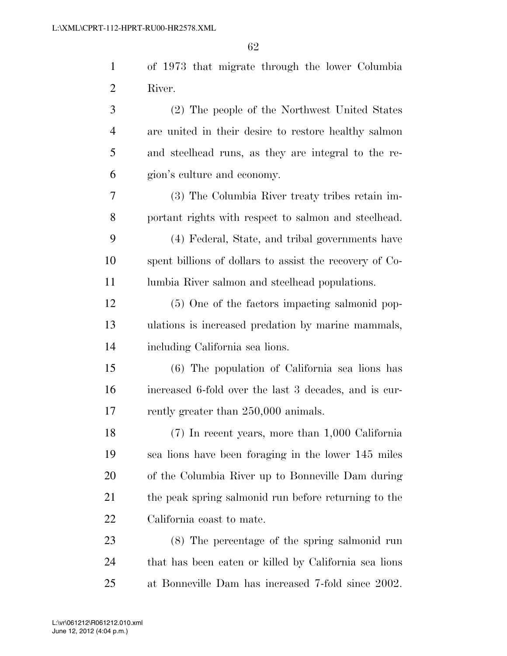|          | of 1973 that migrate through the lower Columbia |
|----------|-------------------------------------------------|
| 2 River. |                                                 |

 (2) The people of the Northwest United States are united in their desire to restore healthy salmon and steelhead runs, as they are integral to the re-gion's culture and economy.

 (3) The Columbia River treaty tribes retain im-portant rights with respect to salmon and steelhead.

 (4) Federal, State, and tribal governments have spent billions of dollars to assist the recovery of Co-11 lumbia River salmon and steelhead populations.

 (5) One of the factors impacting salmonid pop- ulations is increased predation by marine mammals, including California sea lions.

 (6) The population of California sea lions has increased 6-fold over the last 3 decades, and is cur-17 rently greater than 250,000 animals.

 (7) In recent years, more than 1,000 California sea lions have been foraging in the lower 145 miles of the Columbia River up to Bonneville Dam during the peak spring salmonid run before returning to the California coast to mate.

 (8) The percentage of the spring salmonid run that has been eaten or killed by California sea lions at Bonneville Dam has increased 7-fold since 2002.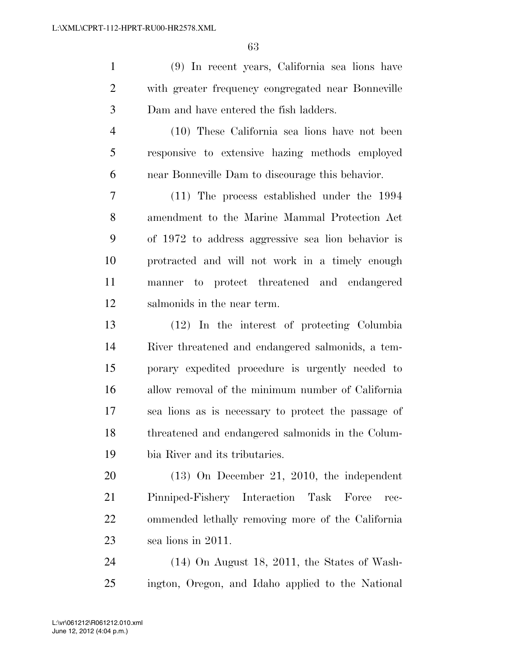(9) In recent years, California sea lions have with greater frequency congregated near Bonneville Dam and have entered the fish ladders.

 (10) These California sea lions have not been responsive to extensive hazing methods employed near Bonneville Dam to discourage this behavior.

 (11) The process established under the 1994 amendment to the Marine Mammal Protection Act of 1972 to address aggressive sea lion behavior is protracted and will not work in a timely enough manner to protect threatened and endangered salmonids in the near term.

 (12) In the interest of protecting Columbia River threatened and endangered salmonids, a tem- porary expedited procedure is urgently needed to allow removal of the minimum number of California sea lions as is necessary to protect the passage of threatened and endangered salmonids in the Colum-bia River and its tributaries.

 (13) On December 21, 2010, the independent Pinniped-Fishery Interaction Task Force rec- ommended lethally removing more of the California sea lions in 2011.

 (14) On August 18, 2011, the States of Wash-ington, Oregon, and Idaho applied to the National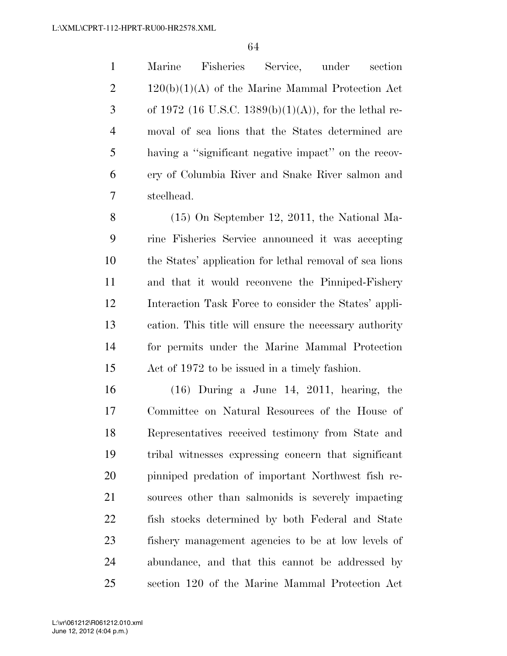Marine Fisheries Service, under section  $2 \t 120(b)(1)(A)$  of the Marine Mammal Protection Act 3 of 1972 (16 U.S.C. 1389(b)(1)(A)), for the lethal re- moval of sea lions that the States determined are having a ''significant negative impact'' on the recov- ery of Columbia River and Snake River salmon and steelhead.

 (15) On September 12, 2011, the National Ma- rine Fisheries Service announced it was accepting the States' application for lethal removal of sea lions and that it would reconvene the Pinniped-Fishery Interaction Task Force to consider the States' appli- cation. This title will ensure the necessary authority for permits under the Marine Mammal Protection Act of 1972 to be issued in a timely fashion.

 (16) During a June 14, 2011, hearing, the Committee on Natural Resources of the House of Representatives received testimony from State and tribal witnesses expressing concern that significant pinniped predation of important Northwest fish re- sources other than salmonids is severely impacting fish stocks determined by both Federal and State fishery management agencies to be at low levels of abundance, and that this cannot be addressed by section 120 of the Marine Mammal Protection Act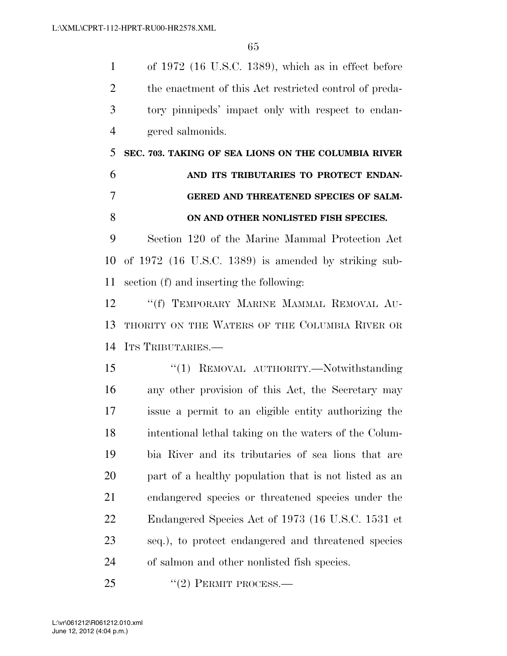of 1972 (16 U.S.C. 1389), which as in effect before the enactment of this Act restricted control of preda- tory pinnipeds' impact only with respect to endan-gered salmonids.

 **SEC. 703. TAKING OF SEA LIONS ON THE COLUMBIA RIVER AND ITS TRIBUTARIES TO PROTECT ENDAN- GERED AND THREATENED SPECIES OF SALM-ON AND OTHER NONLISTED FISH SPECIES.** 

 Section 120 of the Marine Mammal Protection Act of 1972 (16 U.S.C. 1389) is amended by striking sub-section (f) and inserting the following:

 ''(f) TEMPORARY MARINE MAMMAL REMOVAL AU- THORITY ON THE WATERS OF THE COLUMBIA RIVER OR ITS TRIBUTARIES.—

15 "(1) REMOVAL AUTHORITY.—Notwithstanding any other provision of this Act, the Secretary may issue a permit to an eligible entity authorizing the intentional lethal taking on the waters of the Colum- bia River and its tributaries of sea lions that are part of a healthy population that is not listed as an endangered species or threatened species under the Endangered Species Act of 1973 (16 U.S.C. 1531 et seq.), to protect endangered and threatened species of salmon and other nonlisted fish species.

25 "(2) PERMIT PROCESS.—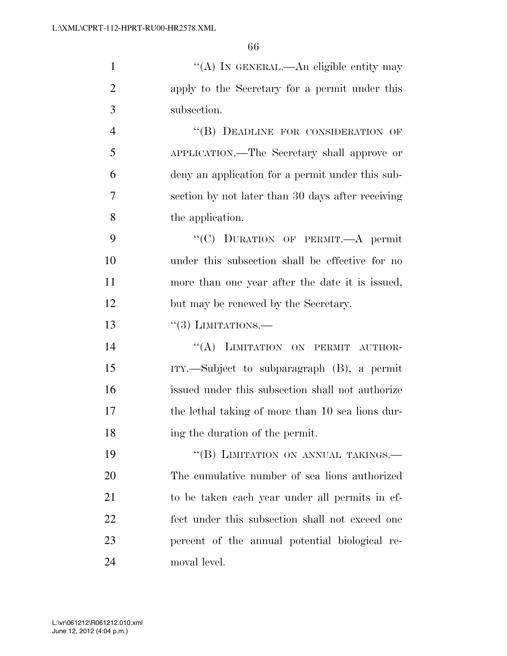| $\mathbf{1}$   | "(A) IN GENERAL.—An eligible entity may              |
|----------------|------------------------------------------------------|
| $\overline{2}$ | apply to the Secretary for a permit under this       |
| 3              | subsection.                                          |
| $\overline{4}$ | "(B) DEADLINE FOR CONSIDERATION OF                   |
| 5              | APPLICATION.—The Secretary shall approve or          |
| 6              | deny an application for a permit under this sub-     |
| 7              | section by not later than 30 days after receiving    |
| 8              | the application.                                     |
| 9              | "(C) DURATION OF PERMIT.—A permit                    |
| 10             | under this subsection shall be effective for no      |
| 11             | more than one year after the date it is issued,      |
| 12             | but may be renewed by the Secretary.                 |
| 13             | $\cdot\cdot(3)$ LIMITATIONS.—                        |
| 14             | "(A) LIMITATION ON PERMIT AUTHOR-                    |
| 15             | $ITY.$ Subject to subparagraph $(B)$ , a permit      |
| 16             | issued under this subsection shall not authorize     |
| 17             | the lethal taking of more than 10 sea lions dur-     |
| 18             | ing the duration of the permit.                      |
| 19             | "(B) LIMITATION ON ANNUAL TAKINGS.-                  |
| 20             | The cumulative number of sea lions authorized        |
| $\bigcap$ 1    | باللوار المتوال ومواد ومرومات والمرام والموادر ومحال |

 to be taken each year under all permits in ef- fect under this subsection shall not exceed one percent of the annual potential biological re-moval level.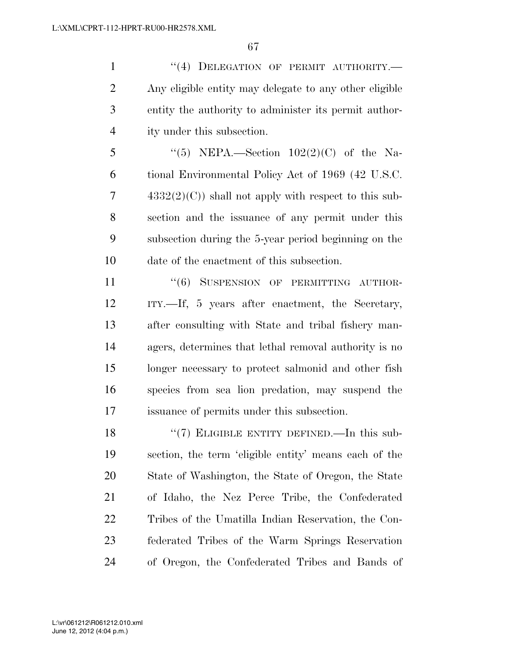1 "(4) DELEGATION OF PERMIT AUTHORITY.— Any eligible entity may delegate to any other eligible entity the authority to administer its permit author-ity under this subsection.

5 "(5) NEPA.—Section  $102(2)(C)$  of the Na- tional Environmental Policy Act of 1969 (42 U.S.C.  $7 \qquad \qquad 4332(2)(C)$  shall not apply with respect to this sub- section and the issuance of any permit under this subsection during the 5-year period beginning on the date of the enactment of this subsection.

11 "(6) SUSPENSION OF PERMITTING AUTHOR- ITY.—If, 5 years after enactment, the Secretary, after consulting with State and tribal fishery man- agers, determines that lethal removal authority is no longer necessary to protect salmonid and other fish species from sea lion predation, may suspend the issuance of permits under this subsection.

18 "(7) ELIGIBLE ENTITY DEFINED.—In this sub- section, the term 'eligible entity' means each of the State of Washington, the State of Oregon, the State of Idaho, the Nez Perce Tribe, the Confederated Tribes of the Umatilla Indian Reservation, the Con- federated Tribes of the Warm Springs Reservation of Oregon, the Confederated Tribes and Bands of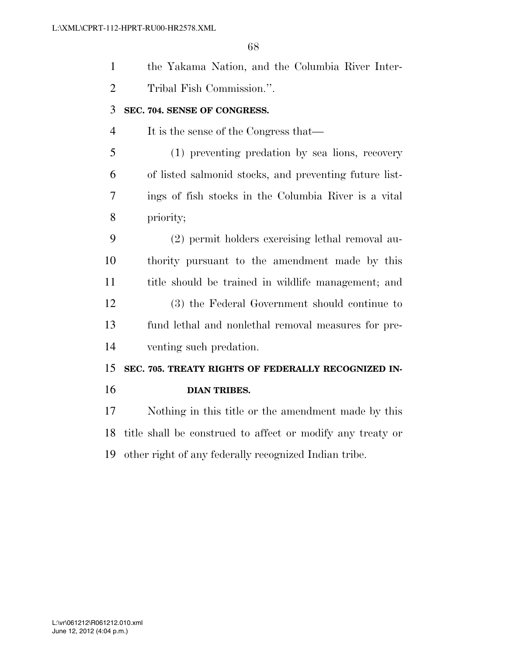| $\mathbf{1}$   | the Yakama Nation, and the Columbia River Inter-           |
|----------------|------------------------------------------------------------|
| $\overline{2}$ | Tribal Fish Commission.".                                  |
| 3              | SEC. 704. SENSE OF CONGRESS.                               |
| $\overline{4}$ | It is the sense of the Congress that—                      |
| 5              | (1) preventing predation by sea lions, recovery            |
| 6              | of listed salmonid stocks, and preventing future list-     |
| 7              | ings of fish stocks in the Columbia River is a vital       |
| 8              | priority;                                                  |
| 9              | (2) permit holders exercising lethal removal au-           |
| 10             | thority pursuant to the amendment made by this             |
| 11             | title should be trained in wildlife management; and        |
| 12             | (3) the Federal Government should continue to              |
| 13             | fund lethal and nonlethal removal measures for pre-        |
| 14             | venting such predation.                                    |
| 15             | SEC. 705. TREATY RIGHTS OF FEDERALLY RECOGNIZED IN-        |
| 16             | <b>DIAN TRIBES.</b>                                        |
| 17             | Nothing in this title or the amendment made by this        |
| 18             | title shall be construed to affect or modify any treaty or |
|                |                                                            |

other right of any federally recognized Indian tribe.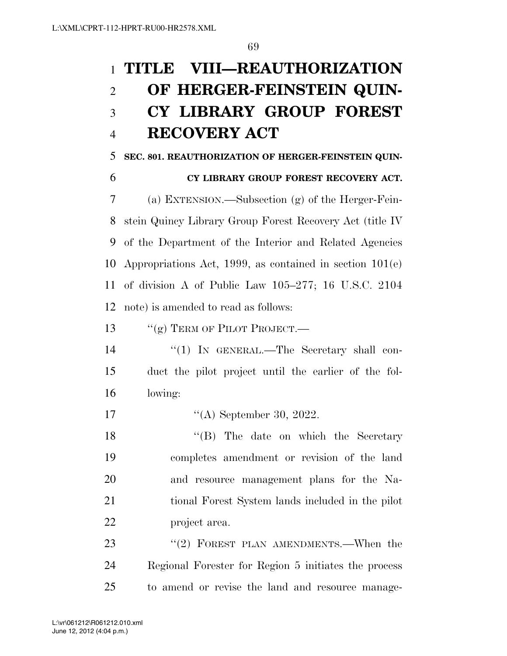# **TITLE VIII—REAUTHORIZATION OF HERGER-FEINSTEIN QUIN- CY LIBRARY GROUP FOREST RECOVERY ACT**

**SEC. 801. REAUTHORIZATION OF HERGER-FEINSTEIN QUIN-**

## **CY LIBRARY GROUP FOREST RECOVERY ACT.**

 (a) EXTENSION.—Subsection (g) of the Herger-Fein- stein Quincy Library Group Forest Recovery Act (title IV of the Department of the Interior and Related Agencies Appropriations Act, 1999, as contained in section 101(e) of division A of Public Law 105–277; 16 U.S.C. 2104 note) is amended to read as follows:

13 "(g) TERM OF PILOT PROJECT.—

- 14 "(1) In GENERAL.—The Secretary shall con- duct the pilot project until the earlier of the fol-lowing:
- ''(A) September 30, 2022.

18 ''(B) The date on which the Secretary completes amendment or revision of the land and resource management plans for the Na- tional Forest System lands included in the pilot project area.

23 "(2) FOREST PLAN AMENDMENTS.—When the Regional Forester for Region 5 initiates the process to amend or revise the land and resource manage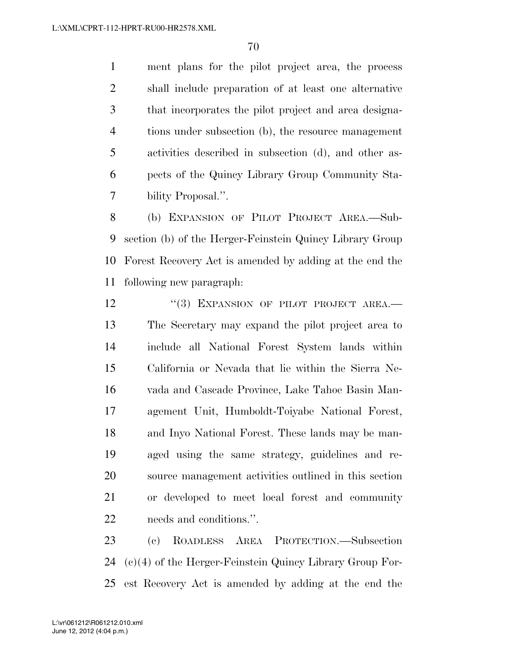ment plans for the pilot project area, the process shall include preparation of at least one alternative that incorporates the pilot project and area designa- tions under subsection (b), the resource management activities described in subsection (d), and other as- pects of the Quincy Library Group Community Sta-bility Proposal.''.

 (b) EXPANSION OF PILOT PROJECT AREA.—Sub- section (b) of the Herger-Feinstein Quincy Library Group Forest Recovery Act is amended by adding at the end the following new paragraph:

12 "(3) EXPANSION OF PILOT PROJECT AREA.— The Secretary may expand the pilot project area to include all National Forest System lands within California or Nevada that lie within the Sierra Ne- vada and Cascade Province, Lake Tahoe Basin Man- agement Unit, Humboldt-Toiyabe National Forest, and Inyo National Forest. These lands may be man- aged using the same strategy, guidelines and re- source management activities outlined in this section or developed to meet local forest and community needs and conditions.''.

 (c) ROADLESS AREA PROTECTION.—Subsection (c)(4) of the Herger-Feinstein Quincy Library Group For-est Recovery Act is amended by adding at the end the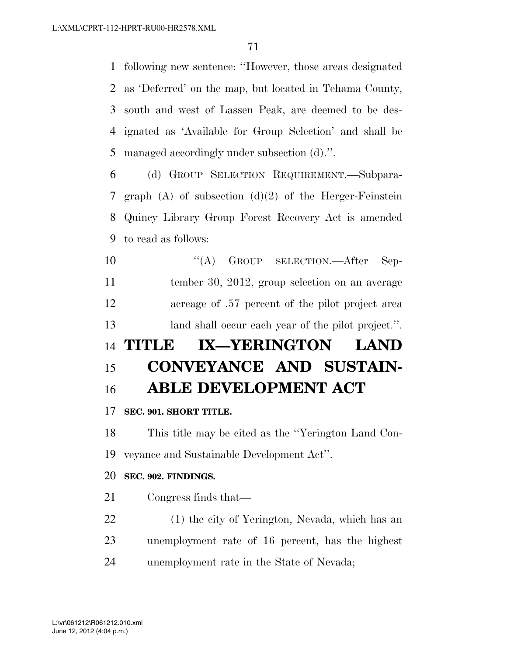following new sentence: ''However, those areas designated as 'Deferred' on the map, but located in Tehama County, south and west of Lassen Peak, are deemed to be des- ignated as 'Available for Group Selection' and shall be managed accordingly under subsection (d).''.

 (d) GROUP SELECTION REQUIREMENT.—Subpara- graph (A) of subsection (d)(2) of the Herger-Feinstein Quincy Library Group Forest Recovery Act is amended to read as follows:

10 "(A) GROUP SELECTION.—After Sep- tember 30, 2012, group selection on an average acreage of .57 percent of the pilot project area land shall occur each year of the pilot project.''.

# **TITLE IX—YERINGTON LAND CONVEYANCE AND SUSTAIN-ABLE DEVELOPMENT ACT**

## **SEC. 901. SHORT TITLE.**

 This title may be cited as the ''Yerington Land Con-veyance and Sustainable Development Act''.

#### **SEC. 902. FINDINGS.**

- Congress finds that—
- (1) the city of Yerington, Nevada, which has an unemployment rate of 16 percent, has the highest unemployment rate in the State of Nevada;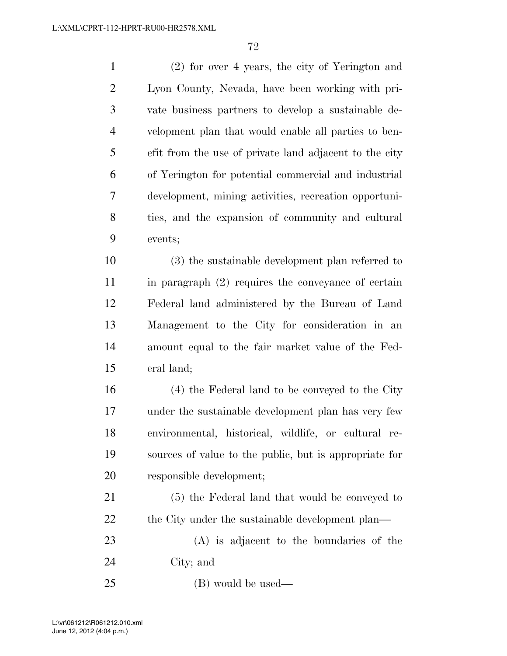(2) for over 4 years, the city of Yerington and Lyon County, Nevada, have been working with pri- vate business partners to develop a sustainable de- velopment plan that would enable all parties to ben- efit from the use of private land adjacent to the city of Yerington for potential commercial and industrial development, mining activities, recreation opportuni- ties, and the expansion of community and cultural events;

 (3) the sustainable development plan referred to in paragraph (2) requires the conveyance of certain Federal land administered by the Bureau of Land Management to the City for consideration in an amount equal to the fair market value of the Fed-eral land;

 (4) the Federal land to be conveyed to the City under the sustainable development plan has very few environmental, historical, wildlife, or cultural re- sources of value to the public, but is appropriate for responsible development;

 (5) the Federal land that would be conveyed to 22 the City under the sustainable development plan—

 (A) is adjacent to the boundaries of the City; and

(B) would be used—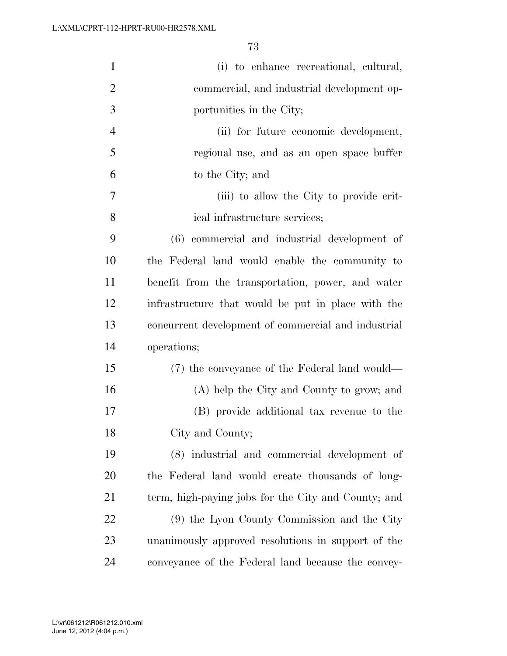| $\mathbf{1}$   | (i) to enhance recreational, cultural,              |
|----------------|-----------------------------------------------------|
| $\overline{2}$ | commercial, and industrial development op-          |
| 3              | portunities in the City;                            |
| $\overline{4}$ | (ii) for future economic development,               |
| 5              | regional use, and as an open space buffer           |
| 6              | to the City; and                                    |
| $\overline{7}$ | (iii) to allow the City to provide crit-            |
| 8              | ical infrastructure services;                       |
| 9              | (6) commercial and industrial development of        |
| 10             | the Federal land would enable the community to      |
| 11             | benefit from the transportation, power, and water   |
| 12             | infrastructure that would be put in place with the  |
| 13             | concurrent development of commercial and industrial |
| 14             | operations;                                         |
| 15             | (7) the conveyance of the Federal land would—       |
| 16             | (A) help the City and County to grow; and           |
| 17             | (B) provide additional tax revenue to the           |
| 18             | City and County;                                    |
| 19             | (8) industrial and commercial development of        |
| 20             | the Federal land would create thousands of long-    |
| 21             | term, high-paying jobs for the City and County; and |
| 22             | (9) the Lyon County Commission and the City         |
| 23             | unanimously approved resolutions in support of the  |
| 24             | conveyance of the Federal land because the convey-  |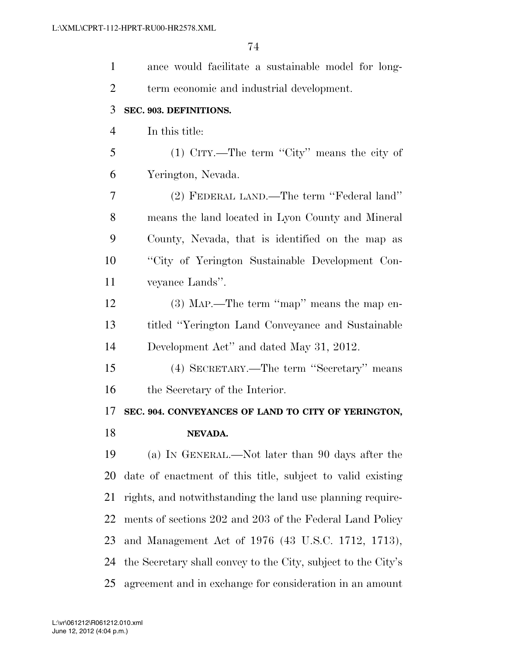| $\mathbf{1}$   | ance would facilitate a sustainable model for long-           |
|----------------|---------------------------------------------------------------|
| $\overline{2}$ | term economic and industrial development.                     |
| 3              | SEC. 903. DEFINITIONS.                                        |
| $\overline{4}$ | In this title:                                                |
| 5              | (1) CITY.—The term "City" means the city of                   |
| 6              | Yerington, Nevada.                                            |
| 7              | (2) FEDERAL LAND.—The term "Federal land"                     |
| 8              | means the land located in Lyon County and Mineral             |
| 9              | County, Nevada, that is identified on the map as              |
| 10             | "City of Yerington Sustainable Development Con-               |
| 11             | veyance Lands".                                               |
| 12             | $(3)$ MAP.—The term "map" means the map en-                   |
| 13             | titled "Yerington Land Conveyance and Sustainable             |
| 14             | Development Act" and dated May 31, 2012.                      |
| 15             | (4) SECRETARY.—The term "Secretary" means                     |
| 16             | the Secretary of the Interior.                                |
| 17             | SEC. 904. CONVEYANCES OF LAND TO CITY OF YERINGTON,           |
| 18             | NEVADA.                                                       |
| 19             | (a) IN GENERAL.—Not later than 90 days after the              |
| 20             | date of enactment of this title, subject to valid existing    |
| 21             | rights, and notwithstanding the land use planning require-    |
| 22             | ments of sections 202 and 203 of the Federal Land Policy      |
| 23             | and Management Act of 1976 (43 U.S.C. 1712, 1713),            |
| 24             | the Secretary shall convey to the City, subject to the City's |
| 25             | agreement and in exchange for consideration in an amount      |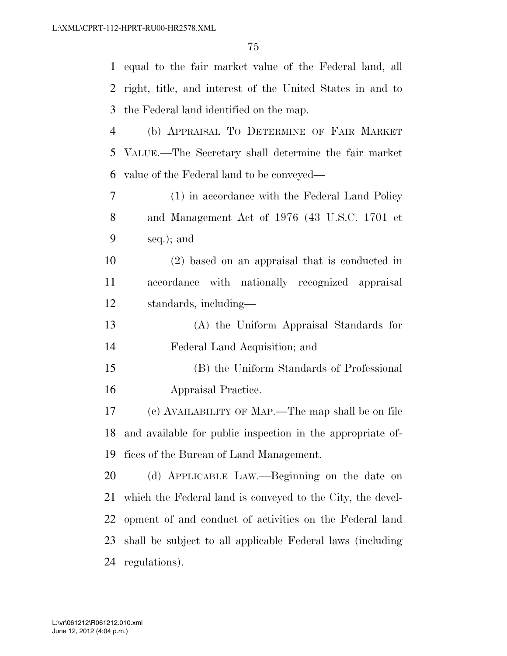| $\mathbf{1}$   | equal to the fair market value of the Federal land, all    |
|----------------|------------------------------------------------------------|
| 2              | right, title, and interest of the United States in and to  |
| 3              | the Federal land identified on the map.                    |
| $\overline{4}$ | (b) APPRAISAL TO DETERMINE OF FAIR MARKET                  |
| 5              | VALUE.—The Secretary shall determine the fair market       |
| 6              | value of the Federal land to be conveyed—                  |
| 7              | (1) in accordance with the Federal Land Policy             |
| 8              | and Management Act of 1976 (43 U.S.C. 1701 et              |
| 9              | seq.); and                                                 |
| 10             | (2) based on an appraisal that is conducted in             |
| 11             | accordance with nationally recognized appraisal            |
| 12             | standards, including—                                      |
| 13             | (A) the Uniform Appraisal Standards for                    |
| 14             | Federal Land Acquisition; and                              |
| 15             | (B) the Uniform Standards of Professional                  |
| 16             | Appraisal Practice.                                        |
| 17             | (c) AVAILABILITY OF MAP.—The map shall be on file          |
| 18             | and available for public inspection in the appropriate of- |
| 19             | fices of the Bureau of Land Management.                    |
| 20             | (d) APPLICABLE LAW.—Beginning on the date on               |
| 21             | which the Federal land is conveyed to the City, the devel- |
| 22             | opment of and conduct of activities on the Federal land    |
|                |                                                            |
| 23             | shall be subject to all applicable Federal laws (including |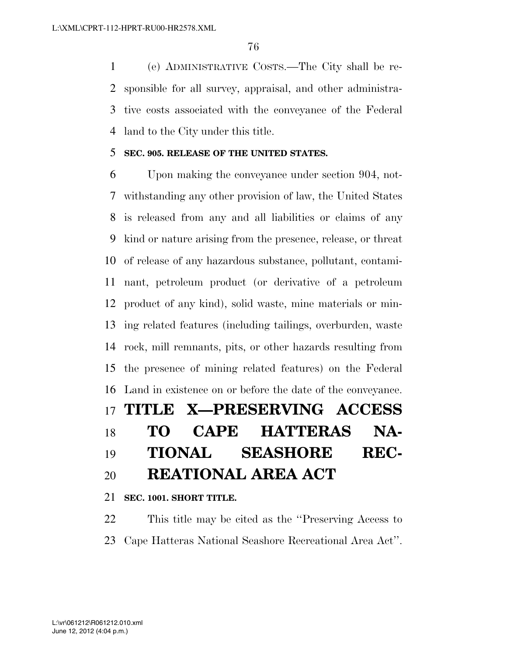(e) ADMINISTRATIVE COSTS.—The City shall be re- sponsible for all survey, appraisal, and other administra- tive costs associated with the conveyance of the Federal land to the City under this title.

#### **SEC. 905. RELEASE OF THE UNITED STATES.**

 Upon making the conveyance under section 904, not- withstanding any other provision of law, the United States is released from any and all liabilities or claims of any kind or nature arising from the presence, release, or threat of release of any hazardous substance, pollutant, contami- nant, petroleum product (or derivative of a petroleum product of any kind), solid waste, mine materials or min- ing related features (including tailings, overburden, waste rock, mill remnants, pits, or other hazards resulting from the presence of mining related features) on the Federal Land in existence on or before the date of the conveyance. **TITLE X—PRESERVING ACCESS TO CAPE HATTERAS NA- TIONAL SEASHORE REC-REATIONAL AREA ACT** 

**SEC. 1001. SHORT TITLE.** 

 This title may be cited as the ''Preserving Access to Cape Hatteras National Seashore Recreational Area Act''.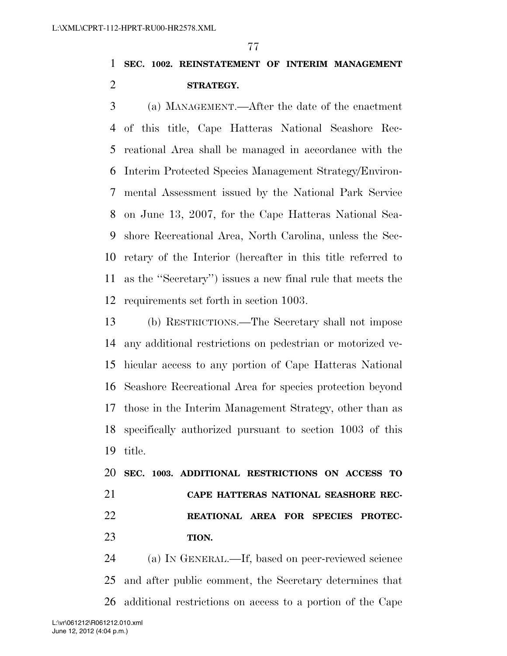## **SEC. 1002. REINSTATEMENT OF INTERIM MANAGEMENT STRATEGY.**

 (a) MANAGEMENT.—After the date of the enactment of this title, Cape Hatteras National Seashore Rec- reational Area shall be managed in accordance with the Interim Protected Species Management Strategy/Environ- mental Assessment issued by the National Park Service on June 13, 2007, for the Cape Hatteras National Sea- shore Recreational Area, North Carolina, unless the Sec- retary of the Interior (hereafter in this title referred to as the ''Secretary'') issues a new final rule that meets the requirements set forth in section 1003.

 (b) RESTRICTIONS.—The Secretary shall not impose any additional restrictions on pedestrian or motorized ve- hicular access to any portion of Cape Hatteras National Seashore Recreational Area for species protection beyond those in the Interim Management Strategy, other than as specifically authorized pursuant to section 1003 of this title.

 **SEC. 1003. ADDITIONAL RESTRICTIONS ON ACCESS TO CAPE HATTERAS NATIONAL SEASHORE REC- REATIONAL AREA FOR SPECIES PROTEC-TION.** 

 (a) IN GENERAL.—If, based on peer-reviewed science and after public comment, the Secretary determines that additional restrictions on access to a portion of the Cape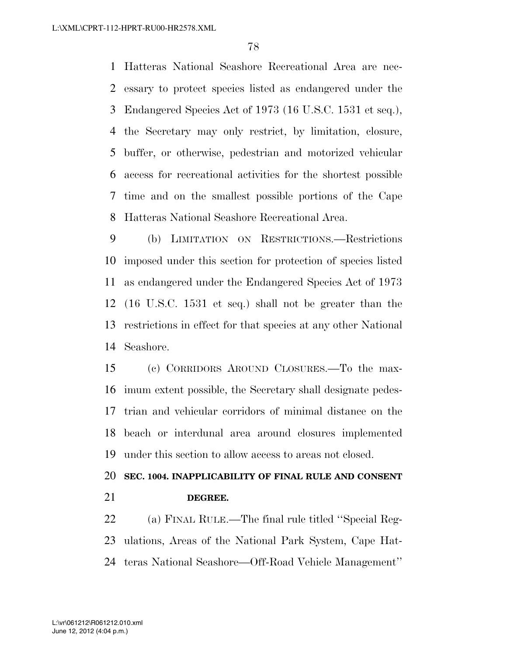Hatteras National Seashore Recreational Area are nec- essary to protect species listed as endangered under the Endangered Species Act of 1973 (16 U.S.C. 1531 et seq.), the Secretary may only restrict, by limitation, closure, buffer, or otherwise, pedestrian and motorized vehicular access for recreational activities for the shortest possible time and on the smallest possible portions of the Cape Hatteras National Seashore Recreational Area.

 (b) LIMITATION ON RESTRICTIONS.—Restrictions imposed under this section for protection of species listed as endangered under the Endangered Species Act of 1973 (16 U.S.C. 1531 et seq.) shall not be greater than the restrictions in effect for that species at any other National Seashore.

 (c) CORRIDORS AROUND CLOSURES.—To the max- imum extent possible, the Secretary shall designate pedes- trian and vehicular corridors of minimal distance on the beach or interdunal area around closures implemented under this section to allow access to areas not closed.

### **SEC. 1004. INAPPLICABILITY OF FINAL RULE AND CONSENT DEGREE.**

 (a) FINAL RULE.—The final rule titled ''Special Reg- ulations, Areas of the National Park System, Cape Hat-teras National Seashore—Off-Road Vehicle Management''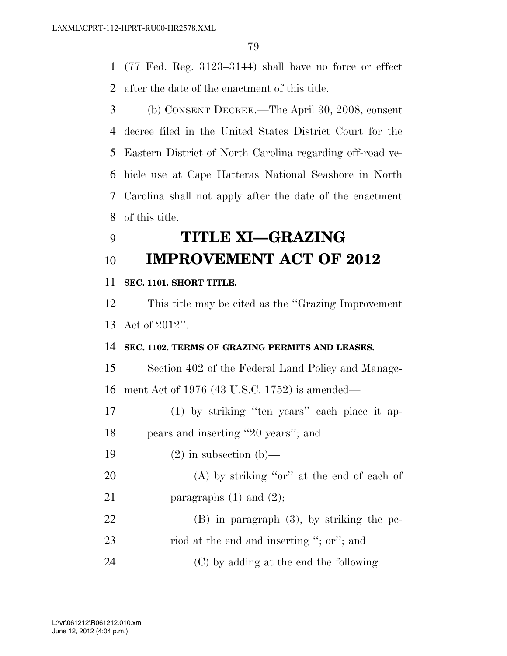(77 Fed. Reg. 3123–3144) shall have no force or effect after the date of the enactment of this title.

 (b) CONSENT DECREE.—The April 30, 2008, consent decree filed in the United States District Court for the Eastern District of North Carolina regarding off-road ve- hicle use at Cape Hatteras National Seashore in North Carolina shall not apply after the date of the enactment of this title.

## **TITLE XI—GRAZING IMPROVEMENT ACT OF 2012**

### **SEC. 1101. SHORT TITLE.**

 This title may be cited as the ''Grazing Improvement Act of 2012''.

#### **SEC. 1102. TERMS OF GRAZING PERMITS AND LEASES.**

 Section 402 of the Federal Land Policy and Manage-ment Act of 1976 (43 U.S.C. 1752) is amended—

 (1) by striking ''ten years'' each place it ap-pears and inserting ''20 years''; and

19  $(2)$  in subsection (b)—

- (A) by striking ''or'' at the end of each of 21 paragraphs  $(1)$  and  $(2)$ ;
- (B) in paragraph (3), by striking the pe- riod at the end and inserting ''; or''; and (C) by adding at the end the following: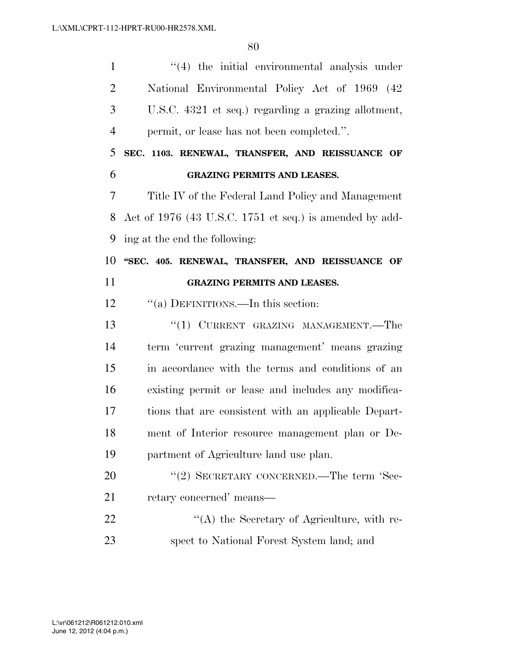| $\mathbf{1}$   | "(4) the initial environmental analysis under           |
|----------------|---------------------------------------------------------|
| $\overline{2}$ | National Environmental Policy Act of 1969 (42           |
| 3              | U.S.C. 4321 et seq.) regarding a grazing allotment,     |
| $\overline{4}$ | permit, or lease has not been completed.".              |
| 5              | SEC. 1103. RENEWAL, TRANSFER, AND REISSUANCE OF         |
| 6              | <b>GRAZING PERMITS AND LEASES.</b>                      |
| 7              | Title IV of the Federal Land Policy and Management      |
| 8              | Act of 1976 (43 U.S.C. 1751 et seq.) is amended by add- |
| 9              | ing at the end the following:                           |
| 10             | "SEC. 405. RENEWAL, TRANSFER, AND REISSUANCE OF         |
| 11             | <b>GRAZING PERMITS AND LEASES.</b>                      |
| 12             | "(a) DEFINITIONS.—In this section:                      |
| 13             | "(1) CURRENT GRAZING MANAGEMENT.—The                    |
| 14             | term 'current grazing management' means grazing         |
| 15             | in accordance with the terms and conditions of an       |
| 16             | existing permit or lease and includes any modifica-     |
| 17             | tions that are consistent with an applicable Depart-    |
| 18             | ment of Interior resource management plan or De-        |
| 19             | partment of Agriculture land use plan.                  |
| 20             | "(2) SECRETARY CONCERNED.—The term 'Sec-                |
| 21             | retary concerned' means-                                |
| 22             | $\lq\lq$ the Secretary of Agriculture, with re-         |
| 23             | spect to National Forest System land; and               |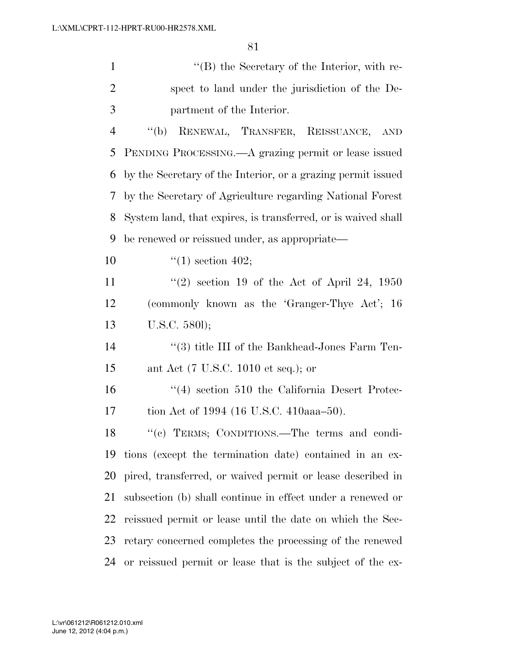| $\mathbf{1}$   | $\lq\lq (B)$ the Secretary of the Interior, with re-          |
|----------------|---------------------------------------------------------------|
| $\overline{2}$ | spect to land under the jurisdiction of the De-               |
| 3              | partment of the Interior.                                     |
| $\overline{4}$ | RENEWAL, TRANSFER, REISSUANCE, AND<br>$\lq\lq(b)$             |
| 5              | PENDING PROCESSING.—A grazing permit or lease issued          |
| 6              | by the Secretary of the Interior, or a grazing permit issued  |
| 7              | by the Secretary of Agriculture regarding National Forest     |
| 8              | System land, that expires, is transferred, or is waived shall |
| 9              | be renewed or reissued under, as appropriate—                 |
| 10             | $\lq(1)$ section 402;                                         |
| 11             | $(2)$ section 19 of the Act of April 24, 1950                 |
| 12             | (commonly known as the 'Granger-Thye Act'; 16                 |
| 13             | U.S.C. 5801);                                                 |
| 14             | "(3) title III of the Bankhead-Jones Farm Ten-                |
| 15             | ant Act (7 U.S.C. 1010 et seq.); or                           |
| 16             | $\cdot$ (4) section 510 the California Desert Protec-         |
| 17             | tion Act of 1994 (16 U.S.C. 410aaa–50).                       |
| 18             | "(c) TERMS; CONDITIONS.—The terms and condi-                  |
| 19             | tions (except the termination date) contained in an ex-       |
| 20             | pired, transferred, or waived permit or lease described in    |
| 21             | subsection (b) shall continue in effect under a renewed or    |
| 22             | reissued permit or lease until the date on which the Sec-     |
| 23             | retary concerned completes the processing of the renewed      |
| 24             | or reissued permit or lease that is the subject of the ex-    |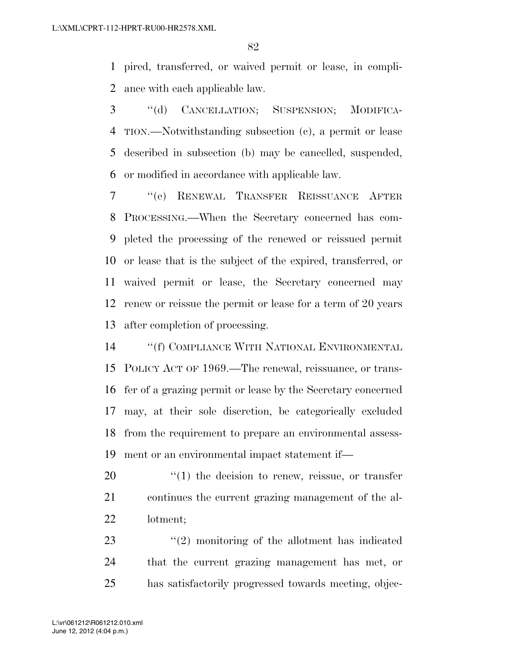pired, transferred, or waived permit or lease, in compli-ance with each applicable law.

 ''(d) CANCELLATION; SUSPENSION; MODIFICA- TION.—Notwithstanding subsection (c), a permit or lease described in subsection (b) may be cancelled, suspended, or modified in accordance with applicable law.

 ''(e) RENEWAL TRANSFER REISSUANCE AFTER PROCESSING.—When the Secretary concerned has com- pleted the processing of the renewed or reissued permit or lease that is the subject of the expired, transferred, or waived permit or lease, the Secretary concerned may renew or reissue the permit or lease for a term of 20 years after completion of processing.

 ''(f) COMPLIANCE WITH NATIONAL ENVIRONMENTAL POLICY ACT OF 1969.—The renewal, reissuance, or trans- fer of a grazing permit or lease by the Secretary concerned may, at their sole discretion, be categorically excluded from the requirement to prepare an environmental assess-ment or an environmental impact statement if—

20  $\frac{1}{20}$  (1) the decision to renew, reissue, or transfer continues the current grazing management of the al-lotment;

23 ''(2) monitoring of the allotment has indicated that the current grazing management has met, or has satisfactorily progressed towards meeting, objec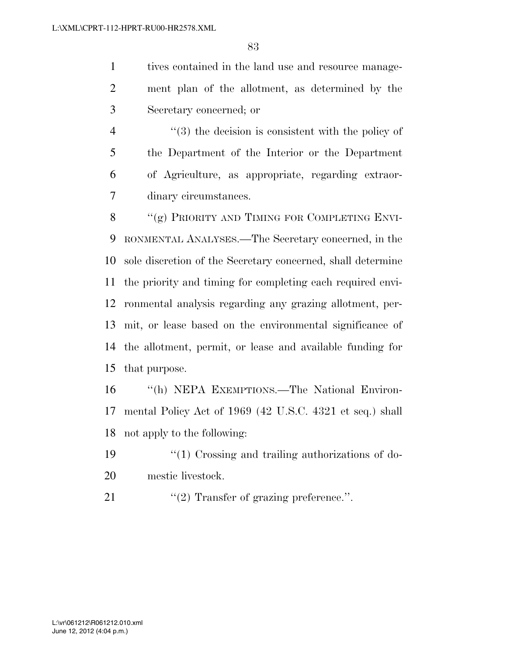tives contained in the land use and resource manage- ment plan of the allotment, as determined by the Secretary concerned; or

 ''(3) the decision is consistent with the policy of the Department of the Interior or the Department of Agriculture, as appropriate, regarding extraor-dinary circumstances.

8 "(g) PRIORITY AND TIMING FOR COMPLETING ENVI- RONMENTAL ANALYSES.—The Secretary concerned, in the sole discretion of the Secretary concerned, shall determine the priority and timing for completing each required envi- ronmental analysis regarding any grazing allotment, per- mit, or lease based on the environmental significance of the allotment, permit, or lease and available funding for that purpose.

 ''(h) NEPA EXEMPTIONS.—The National Environ- mental Policy Act of 1969 (42 U.S.C. 4321 et seq.) shall not apply to the following:

- ''(1) Crossing and trailing authorizations of do-mestic livestock.
- 21  $\frac{1}{2}$  Transfer of grazing preference.".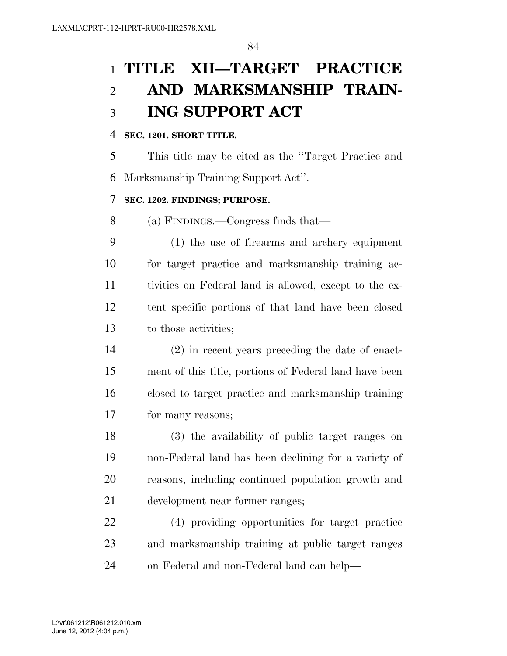# **TITLE XII—TARGET PRACTICE AND MARKSMANSHIP TRAIN-ING SUPPORT ACT**

### **SEC. 1201. SHORT TITLE.**

 This title may be cited as the ''Target Practice and Marksmanship Training Support Act''.

### **SEC. 1202. FINDINGS; PURPOSE.**

(a) FINDINGS.—Congress finds that—

 (1) the use of firearms and archery equipment for target practice and marksmanship training ac- tivities on Federal land is allowed, except to the ex- tent specific portions of that land have been closed to those activities;

 (2) in recent years preceding the date of enact- ment of this title, portions of Federal land have been closed to target practice and marksmanship training for many reasons;

 (3) the availability of public target ranges on non-Federal land has been declining for a variety of reasons, including continued population growth and development near former ranges;

 (4) providing opportunities for target practice and marksmanship training at public target ranges on Federal and non-Federal land can help—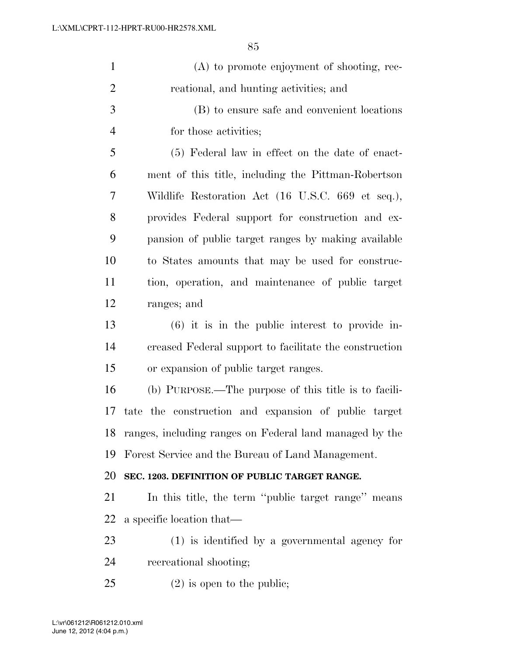| $\mathbf{1}$   | (A) to promote enjoyment of shooting, rec-              |
|----------------|---------------------------------------------------------|
| $\overline{2}$ | reational, and hunting activities; and                  |
| 3              | (B) to ensure safe and convenient locations             |
| $\overline{4}$ | for those activities;                                   |
| 5              | (5) Federal law in effect on the date of enact-         |
| 6              | ment of this title, including the Pittman-Robertson     |
| 7              | Wildlife Restoration Act (16 U.S.C. 669 et seq.),       |
| 8              | provides Federal support for construction and ex-       |
| 9              | pansion of public target ranges by making available     |
| 10             | to States amounts that may be used for construc-        |
| 11             | tion, operation, and maintenance of public target       |
| 12             | ranges; and                                             |
| 13             | $(6)$ it is in the public interest to provide in-       |
| 14             | creased Federal support to facilitate the construction  |
| 15             | or expansion of public target ranges.                   |
| 16             | (b) PURPOSE.—The purpose of this title is to facili-    |
| 17             | tate the construction and expansion of public target    |
| 18             | ranges, including ranges on Federal land managed by the |
| 19             | Forest Service and the Bureau of Land Management.       |
| 20             | SEC. 1203. DEFINITION OF PUBLIC TARGET RANGE.           |
| 21             | In this title, the term "public target range" means     |
| 22             | a specific location that—                               |
| 23             | $(1)$ is identified by a governmental agency for        |
| 24             | recreational shooting;                                  |
| 25             | $(2)$ is open to the public;                            |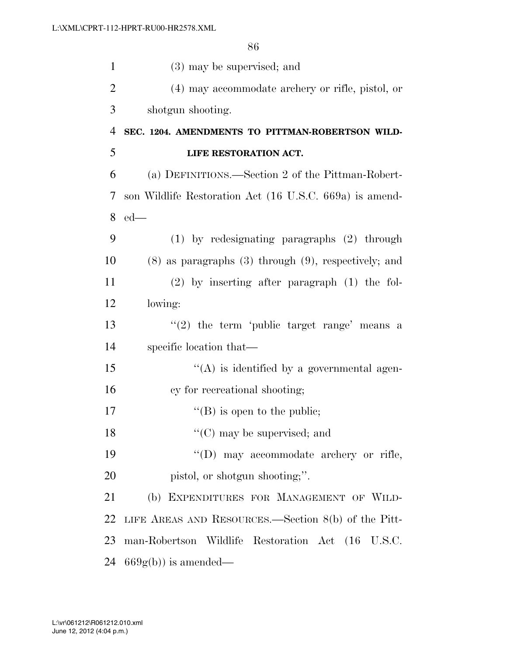| $\mathbf{1}$   | (3) may be supervised; and                                  |
|----------------|-------------------------------------------------------------|
| $\overline{2}$ | (4) may accommodate archery or rifle, pistol, or            |
| 3              | shotgun shooting.                                           |
| 4              | SEC. 1204. AMENDMENTS TO PITTMAN-ROBERTSON WILD-            |
| 5              | LIFE RESTORATION ACT.                                       |
| 6              | (a) DEFINITIONS.—Section 2 of the Pittman-Robert-           |
| 7              | son Wildlife Restoration Act (16 U.S.C. 669a) is amend-     |
| 8              | $ed$ —                                                      |
| 9              | $(1)$ by redesignating paragraphs $(2)$ through             |
| 10             | $(8)$ as paragraphs $(3)$ through $(9)$ , respectively; and |
| 11             | $(2)$ by inserting after paragraph $(1)$ the fol-           |
| 12             | lowing:                                                     |
| 13             | "(2) the term 'public target range' means a                 |
| 14             | specific location that—                                     |
| 15             | $\lq\lq$ is identified by a governmental agen-              |
| 16             | cy for recreational shooting;                               |
| 17             | $\lq\lq$ (B) is open to the public;                         |
| 18             | $\lq\lq$ (C) may be supervised; and                         |
| 19             | "(D) may accommodate archery or rifle,                      |
| 20             | pistol, or shotgun shooting;".                              |
| 21             | (b) EXPENDITURES FOR MANAGEMENT OF WILD-                    |
| 22             | LIFE AREAS AND RESOURCES.—Section $8(b)$ of the Pitt-       |
| 23             | man-Robertson Wildlife Restoration Act (16 U.S.C.           |
| 24             | $669g(b)$ is amended—                                       |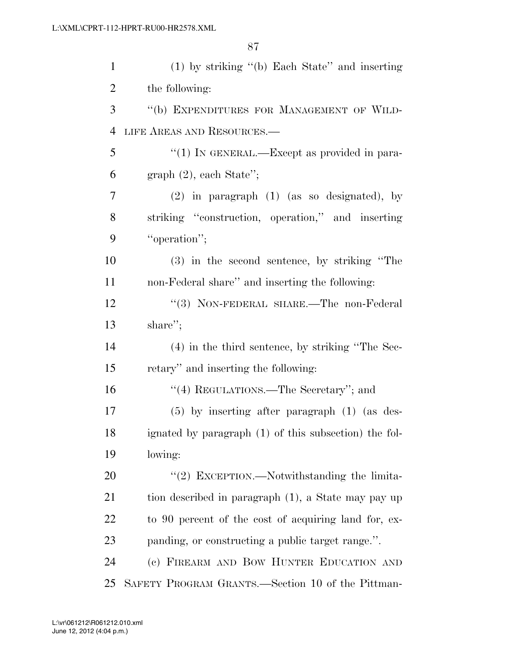| $\mathbf{1}$   | $(1)$ by striking "(b) Each State" and inserting      |
|----------------|-------------------------------------------------------|
| $\overline{c}$ | the following:                                        |
| 3              | "(b) EXPENDITURES FOR MANAGEMENT OF WILD-             |
| $\overline{4}$ | LIFE AREAS AND RESOURCES.-                            |
| 5              | "(1) IN GENERAL.—Except as provided in para-          |
| 6              | $graph (2)$ , each State";                            |
| 7              | $(2)$ in paragraph $(1)$ (as so designated), by       |
| 8              | striking "construction, operation," and inserting     |
| 9              | "operation";                                          |
| 10             | (3) in the second sentence, by striking "The          |
| 11             | non-Federal share" and inserting the following:       |
| 12             | "(3) NON-FEDERAL SHARE.—The non-Federal               |
| 13             | share";                                               |
| 14             | (4) in the third sentence, by striking "The Sec-      |
| 15             | retary" and inserting the following:                  |
| 16             | "(4) REGULATIONS.—The Secretary"; and                 |
| 17             | $(5)$ by inserting after paragraph $(1)$ (as des-     |
| 18             | ignated by paragraph (1) of this subsection) the fol- |
| 19             | lowing:                                               |
| 20             | "(2) EXCEPTION.—Notwithstanding the limita-           |
| 21             | tion described in paragraph (1), a State may pay up   |
| 22             | to 90 percent of the cost of acquiring land for, ex-  |
| 23             | panding, or constructing a public target range.".     |
| 24             | (c) FIREARM AND BOW HUNTER EDUCATION AND              |
| 25             | SAFETY PROGRAM GRANTS.—Section 10 of the Pittman-     |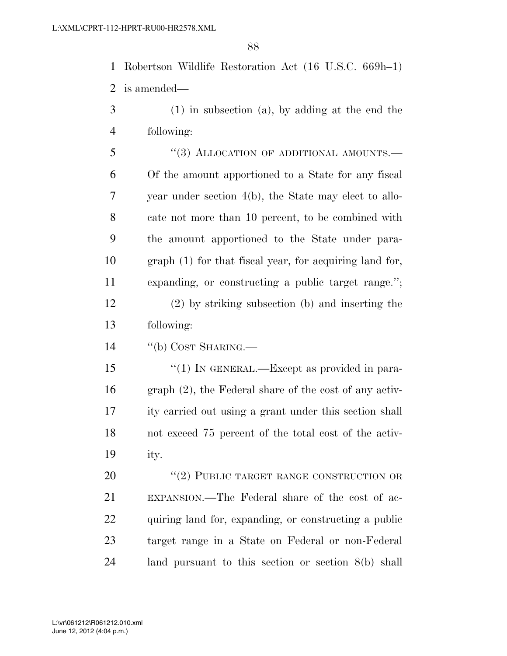Robertson Wildlife Restoration Act (16 U.S.C. 669h–1) is amended—

- (1) in subsection (a), by adding at the end the following:
- 5 "(3) ALLOCATION OF ADDITIONAL AMOUNTS.— Of the amount apportioned to a State for any fiscal year under section 4(b), the State may elect to allo- cate not more than 10 percent, to be combined with the amount apportioned to the State under para- graph (1) for that fiscal year, for acquiring land for, expanding, or constructing a public target range.''; (2) by striking subsection (b) and inserting the following:
- ''(b) COST SHARING.—

15 "(1) IN GENERAL.—Except as provided in para- graph (2), the Federal share of the cost of any activ- ity carried out using a grant under this section shall not exceed 75 percent of the total cost of the activ-ity.

20 "(2) PUBLIC TARGET RANGE CONSTRUCTION OR EXPANSION.—The Federal share of the cost of ac- quiring land for, expanding, or constructing a public target range in a State on Federal or non-Federal land pursuant to this section or section 8(b) shall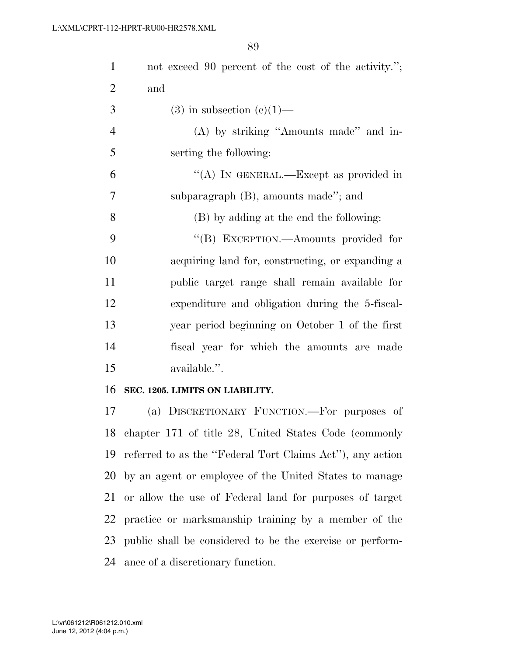| $\mathbf{1}$   | not exceed 90 percent of the cost of the activity.";      |
|----------------|-----------------------------------------------------------|
| $\overline{2}$ | and                                                       |
| 3              | $(3)$ in subsection $(e)(1)$ —                            |
| $\overline{4}$ | (A) by striking "Amounts made" and in-                    |
| 5              | serting the following:                                    |
| 6              | "(A) IN GENERAL.—Except as provided in                    |
| $\overline{7}$ | subparagraph (B), amounts made"; and                      |
| 8              | (B) by adding at the end the following:                   |
| 9              | "(B) EXCEPTION.—Amounts provided for                      |
| 10             | acquiring land for, constructing, or expanding a          |
| 11             | public target range shall remain available for            |
| 12             | expenditure and obligation during the 5-fiscal-           |
| 13             | year period beginning on October 1 of the first           |
| 14             | fiscal year for which the amounts are made                |
| 15             | available.".                                              |
| 16             | SEC. 1205. LIMITS ON LIABILITY.                           |
| 17             | (a) DISCRETIONARY FUNCTION.—For purposes of               |
|                | 18 chapter 171 of title 28, United States Code (commonly  |
| 19             | referred to as the "Federal Tort Claims Act"), any action |
| 20             | by an agent or employee of the United States to manage    |
| 21             | or allow the use of Federal land for purposes of target   |
| 22             | practice or marksmanship training by a member of the      |
| 23             | public shall be considered to be the exercise or perform- |
| 24             | ance of a discretionary function.                         |
|                |                                                           |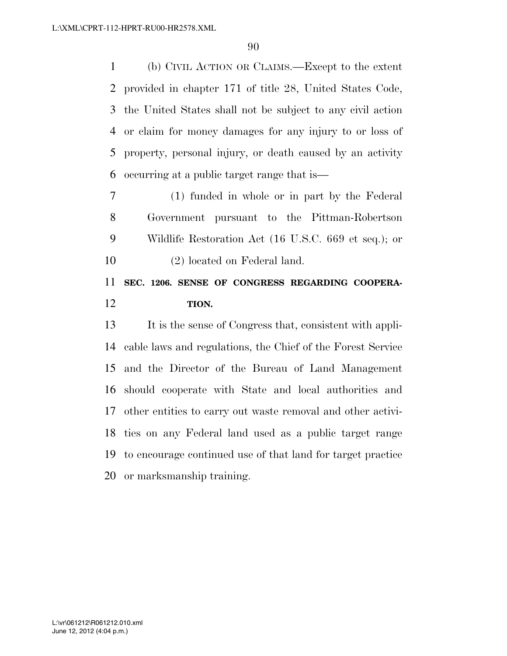(b) CIVIL ACTION OR CLAIMS.—Except to the extent provided in chapter 171 of title 28, United States Code, the United States shall not be subject to any civil action or claim for money damages for any injury to or loss of property, personal injury, or death caused by an activity occurring at a public target range that is—

 (1) funded in whole or in part by the Federal Government pursuant to the Pittman-Robertson Wildlife Restoration Act (16 U.S.C. 669 et seq.); or (2) located on Federal land.

## **SEC. 1206. SENSE OF CONGRESS REGARDING COOPERA-TION.**

 It is the sense of Congress that, consistent with appli- cable laws and regulations, the Chief of the Forest Service and the Director of the Bureau of Land Management should cooperate with State and local authorities and other entities to carry out waste removal and other activi- ties on any Federal land used as a public target range to encourage continued use of that land for target practice or marksmanship training.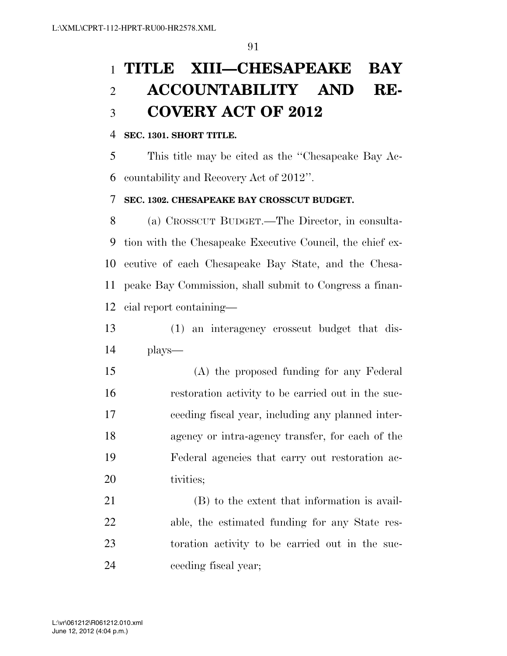# **TITLE XIII—CHESAPEAKE BAY ACCOUNTABILITY AND RE-COVERY ACT OF 2012**

#### **SEC. 1301. SHORT TITLE.**

 This title may be cited as the ''Chesapeake Bay Ac-countability and Recovery Act of 2012''.

#### **SEC. 1302. CHESAPEAKE BAY CROSSCUT BUDGET.**

 (a) CROSSCUT BUDGET.—The Director, in consulta- tion with the Chesapeake Executive Council, the chief ex- ecutive of each Chesapeake Bay State, and the Chesa- peake Bay Commission, shall submit to Congress a finan-cial report containing—

 (1) an interagency crosscut budget that dis-plays—

 (A) the proposed funding for any Federal restoration activity to be carried out in the suc- ceeding fiscal year, including any planned inter- agency or intra-agency transfer, for each of the Federal agencies that carry out restoration ac-20 tivities:

 (B) to the extent that information is avail- able, the estimated funding for any State res- toration activity to be carried out in the suc-ceeding fiscal year;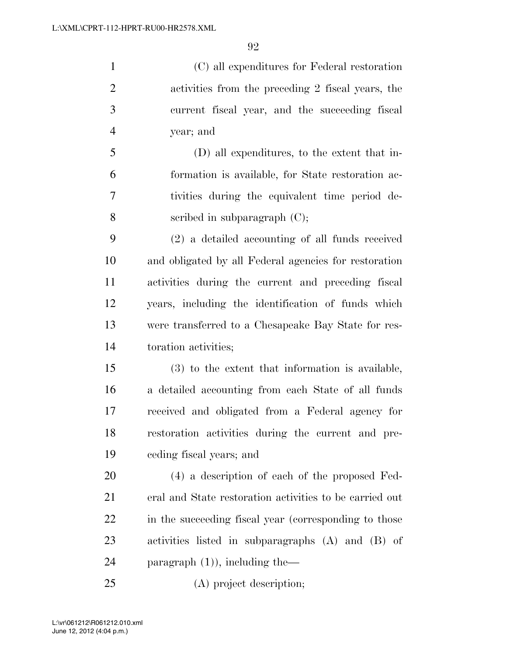(C) all expenditures for Federal restoration activities from the preceding 2 fiscal years, the current fiscal year, and the succeeding fiscal year; and (D) all expenditures, to the extent that in-formation is available, for State restoration ac-

 tivities during the equivalent time period de-scribed in subparagraph (C);

 (2) a detailed accounting of all funds received and obligated by all Federal agencies for restoration activities during the current and preceding fiscal years, including the identification of funds which were transferred to a Chesapeake Bay State for res-toration activities;

 (3) to the extent that information is available, a detailed accounting from each State of all funds received and obligated from a Federal agency for restoration activities during the current and pre-ceding fiscal years; and

 (4) a description of each of the proposed Fed- eral and State restoration activities to be carried out 22 in the succeeding fiscal year (corresponding to those activities listed in subparagraphs (A) and (B) of paragraph (1)), including the—

(A) project description;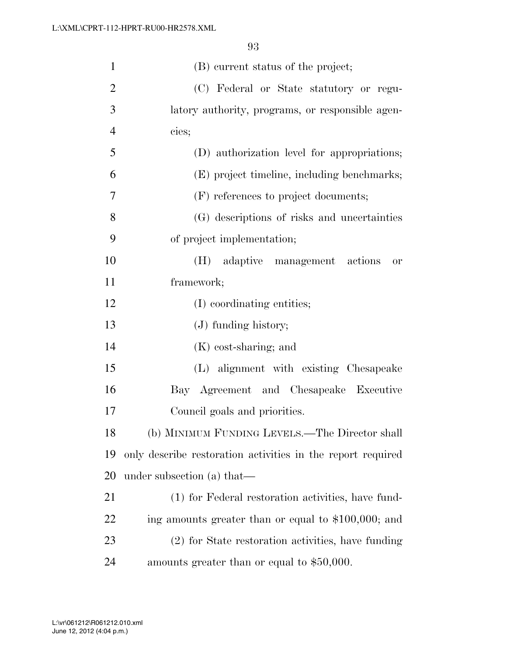| $\mathbf{1}$   | (B) current status of the project;                          |
|----------------|-------------------------------------------------------------|
| $\overline{2}$ | (C) Federal or State statutory or regu-                     |
| 3              | latory authority, programs, or responsible agen-            |
| $\overline{4}$ | cies;                                                       |
| 5              | (D) authorization level for appropriations;                 |
| 6              | (E) project timeline, including benchmarks;                 |
| 7              | (F) references to project documents;                        |
| 8              | (G) descriptions of risks and uncertainties                 |
| 9              | of project implementation;                                  |
| 10             | adaptive management actions<br>(H)<br>0r                    |
| 11             | framework;                                                  |
| 12             | (I) coordinating entities;                                  |
| 13             | $(J)$ funding history;                                      |
| 14             | $(K)$ cost-sharing; and                                     |
| 15             | (L) alignment with existing Chesapeake                      |
| 16             | Bay Agreement and Chesapeake Executive                      |
| 17             | Council goals and priorities.                               |
| 18             | (b) MINIMUM FUNDING LEVELS.—The Director shall              |
| 19             | only describe restoration activities in the report required |
| 20             | under subsection (a) that—                                  |
| 21             | (1) for Federal restoration activities, have fund-          |
| <u>22</u>      | ing amounts greater than or equal to \$100,000; and         |
| 23             | (2) for State restoration activities, have funding          |
| 24             | amounts greater than or equal to \$50,000.                  |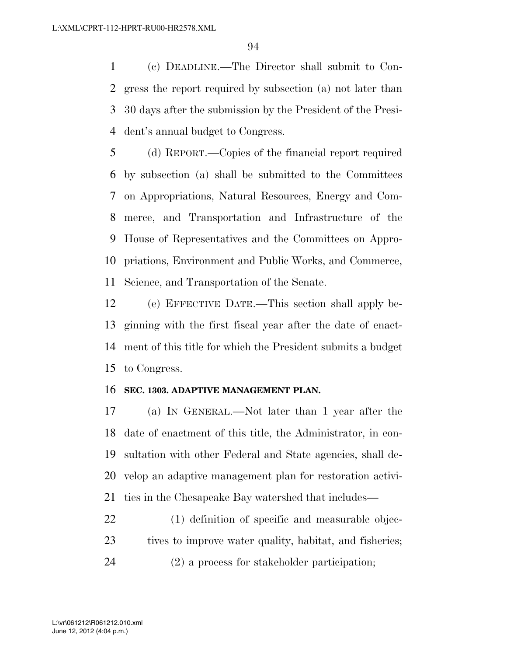(c) DEADLINE.—The Director shall submit to Con- gress the report required by subsection (a) not later than 30 days after the submission by the President of the Presi-dent's annual budget to Congress.

 (d) REPORT.—Copies of the financial report required by subsection (a) shall be submitted to the Committees on Appropriations, Natural Resources, Energy and Com- merce, and Transportation and Infrastructure of the House of Representatives and the Committees on Appro- priations, Environment and Public Works, and Commerce, Science, and Transportation of the Senate.

 (e) EFFECTIVE DATE.—This section shall apply be- ginning with the first fiscal year after the date of enact- ment of this title for which the President submits a budget to Congress.

#### **SEC. 1303. ADAPTIVE MANAGEMENT PLAN.**

 (a) IN GENERAL.—Not later than 1 year after the date of enactment of this title, the Administrator, in con- sultation with other Federal and State agencies, shall de- velop an adaptive management plan for restoration activi-ties in the Chesapeake Bay watershed that includes—

 (1) definition of specific and measurable objec-23 tives to improve water quality, habitat, and fisheries; (2) a process for stakeholder participation;

June 12, 2012 (4:04 p.m.) L:\vr\061212\R061212.010.xml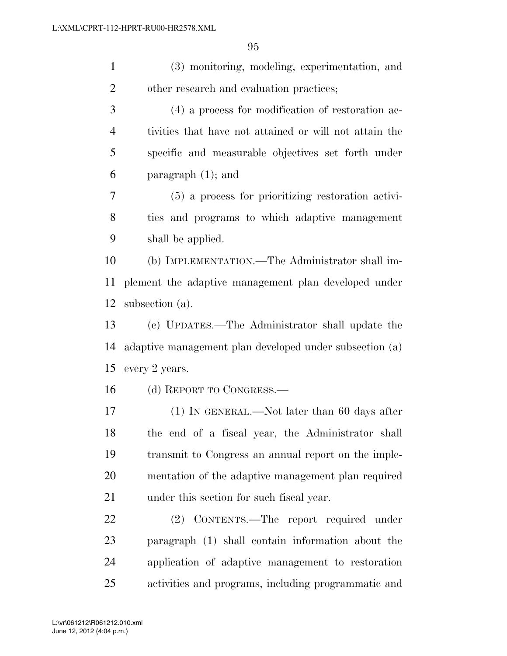(3) monitoring, modeling, experimentation, and 2 other research and evaluation practices;

 (4) a process for modification of restoration ac- tivities that have not attained or will not attain the specific and measurable objectives set forth under paragraph (1); and

 (5) a process for prioritizing restoration activi- ties and programs to which adaptive management shall be applied.

 (b) IMPLEMENTATION.—The Administrator shall im- plement the adaptive management plan developed under subsection (a).

 (c) UPDATES.—The Administrator shall update the adaptive management plan developed under subsection (a) every 2 years.

(d) REPORT TO CONGRESS.—

 (1) IN GENERAL.—Not later than 60 days after the end of a fiscal year, the Administrator shall transmit to Congress an annual report on the imple- mentation of the adaptive management plan required under this section for such fiscal year.

 (2) CONTENTS.—The report required under paragraph (1) shall contain information about the application of adaptive management to restoration activities and programs, including programmatic and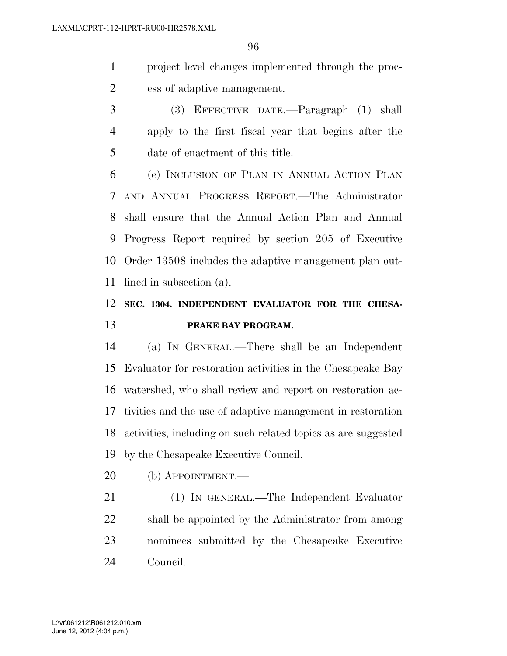project level changes implemented through the proc-ess of adaptive management.

 (3) EFFECTIVE DATE.—Paragraph (1) shall apply to the first fiscal year that begins after the date of enactment of this title.

 (e) INCLUSION OF PLAN IN ANNUAL ACTION PLAN AND ANNUAL PROGRESS REPORT.—The Administrator shall ensure that the Annual Action Plan and Annual Progress Report required by section 205 of Executive Order 13508 includes the adaptive management plan out-lined in subsection (a).

### **SEC. 1304. INDEPENDENT EVALUATOR FOR THE CHESA-PEAKE BAY PROGRAM.**

 (a) IN GENERAL.—There shall be an Independent Evaluator for restoration activities in the Chesapeake Bay watershed, who shall review and report on restoration ac- tivities and the use of adaptive management in restoration activities, including on such related topics as are suggested by the Chesapeake Executive Council.

(b) APPOINTMENT.—

 (1) IN GENERAL.—The Independent Evaluator shall be appointed by the Administrator from among nominees submitted by the Chesapeake Executive Council.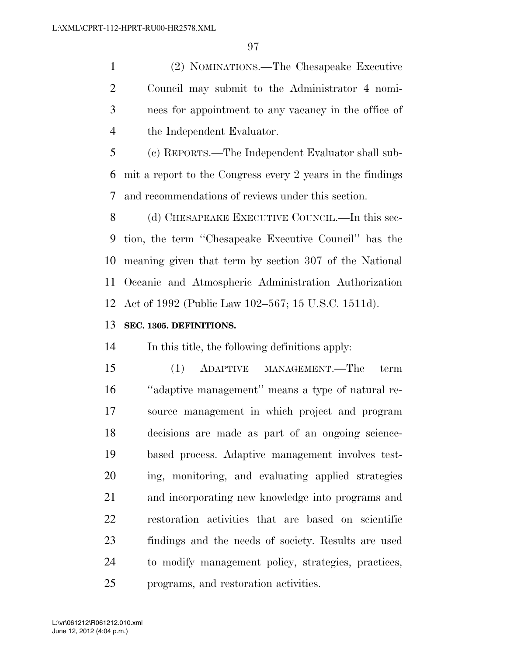(2) NOMINATIONS.—The Chesapeake Executive Council may submit to the Administrator 4 nomi- nees for appointment to any vacancy in the office of the Independent Evaluator.

 (c) REPORTS.—The Independent Evaluator shall sub- mit a report to the Congress every 2 years in the findings and recommendations of reviews under this section.

8 (d) CHESAPEAKE EXECUTIVE COUNCIL.—In this sec- tion, the term ''Chesapeake Executive Council'' has the meaning given that term by section 307 of the National Oceanic and Atmospheric Administration Authorization Act of 1992 (Public Law 102–567; 15 U.S.C. 1511d).

#### **SEC. 1305. DEFINITIONS.**

In this title, the following definitions apply:

 (1) ADAPTIVE MANAGEMENT.—The term ''adaptive management'' means a type of natural re- source management in which project and program decisions are made as part of an ongoing science- based process. Adaptive management involves test- ing, monitoring, and evaluating applied strategies and incorporating new knowledge into programs and restoration activities that are based on scientific findings and the needs of society. Results are used to modify management policy, strategies, practices, programs, and restoration activities.

June 12, 2012 (4:04 p.m.) L:\vr\061212\R061212.010.xml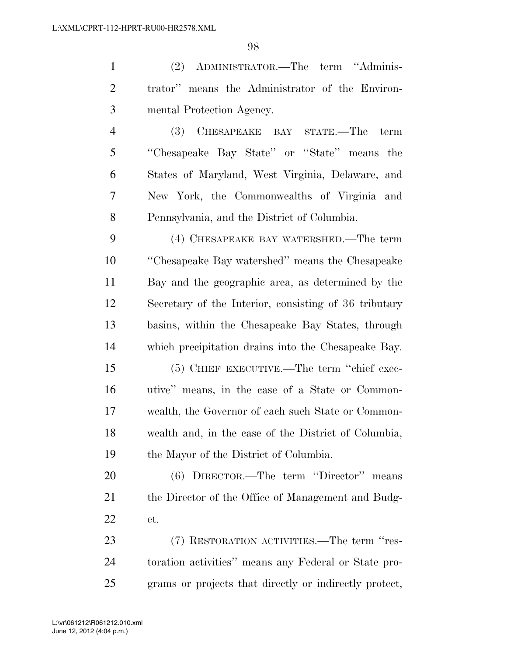(2) ADMINISTRATOR.—The term ''Adminis- trator'' means the Administrator of the Environ- mental Protection Agency. (3) CHESAPEAKE BAY STATE.—The term ''Chesapeake Bay State'' or ''State'' means the States of Maryland, West Virginia, Delaware, and

 New York, the Commonwealths of Virginia and Pennsylvania, and the District of Columbia.

 (4) CHESAPEAKE BAY WATERSHED.—The term ''Chesapeake Bay watershed'' means the Chesapeake Bay and the geographic area, as determined by the Secretary of the Interior, consisting of 36 tributary basins, within the Chesapeake Bay States, through which precipitation drains into the Chesapeake Bay.

 (5) CHIEF EXECUTIVE.—The term ''chief exec- utive'' means, in the case of a State or Common- wealth, the Governor of each such State or Common- wealth and, in the case of the District of Columbia, the Mayor of the District of Columbia.

 (6) DIRECTOR.—The term ''Director'' means 21 the Director of the Office of Management and Budg-et.

 (7) RESTORATION ACTIVITIES.—The term ''res- toration activities'' means any Federal or State pro-grams or projects that directly or indirectly protect,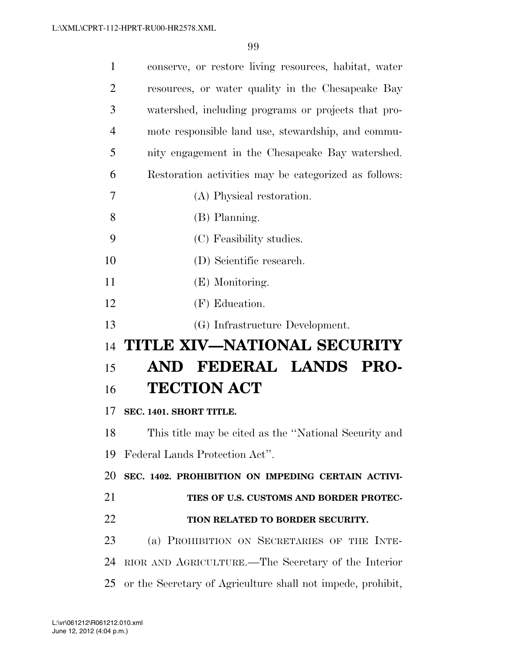| $\mathbf{1}$   | conserve, or restore living resources, habitat, water |
|----------------|-------------------------------------------------------|
| $\overline{2}$ | resources, or water quality in the Chesapeake Bay     |
| 3              | watershed, including programs or projects that pro-   |
| $\overline{4}$ | mote responsible land use, stewardship, and commu-    |
| 5              | nity engagement in the Chesapeake Bay watershed.      |
| 6              | Restoration activities may be categorized as follows: |
| 7              | (A) Physical restoration.                             |
| 8              | (B) Planning.                                         |
| 9              | (C) Feasibility studies.                              |
| 10             | (D) Scientific research.                              |
| 11             | (E) Monitoring.                                       |
| 12             | (F) Education.                                        |
|                |                                                       |
| 13             | (G) Infrastructure Development.                       |
| 14             | TITLE XIV-NATIONAL SECURITY                           |
| 15             | AND FEDERAL LANDS PRO-                                |
| 16             | <b>TECTION ACT</b>                                    |
| 17             | SEC. 1401. SHORT TITLE.                               |
| 18             | This title may be cited as the "National Security and |
| 19             | Federal Lands Protection Act".                        |
| 20             | SEC. 1402. PROHIBITION ON IMPEDING CERTAIN ACTIVI-    |
| 21             | TIES OF U.S. CUSTOMS AND BORDER PROTEC-               |
| 22             | TION RELATED TO BORDER SECURITY.                      |
| 23             | (a) PROHIBITION ON SECRETARIES OF THE INTE-           |
| 24             | RIOR AND AGRICULTURE.—The Secretary of the Interior   |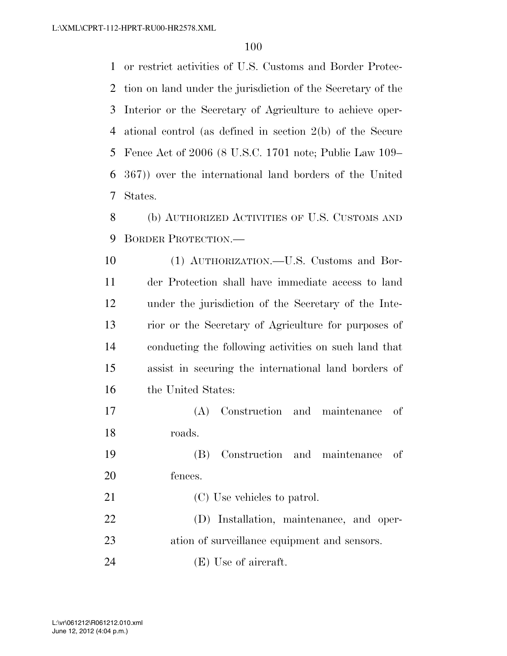or restrict activities of U.S. Customs and Border Protec- tion on land under the jurisdiction of the Secretary of the Interior or the Secretary of Agriculture to achieve oper- ational control (as defined in section 2(b) of the Secure Fence Act of 2006 (8 U.S.C. 1701 note; Public Law 109– 367)) over the international land borders of the United States.

 (b) AUTHORIZED ACTIVITIES OF U.S. CUSTOMS AND BORDER PROTECTION.—

 (1) AUTHORIZATION.—U.S. Customs and Bor- der Protection shall have immediate access to land under the jurisdiction of the Secretary of the Inte- rior or the Secretary of Agriculture for purposes of conducting the following activities on such land that assist in securing the international land borders of the United States:

 (A) Construction and maintenance of roads.

 (B) Construction and maintenance of fences.

21 (C) Use vehicles to patrol. (D) Installation, maintenance, and oper- ation of surveillance equipment and sensors. 24 (E) Use of aircraft.

June 12, 2012 (4:04 p.m.) L:\vr\061212\R061212.010.xml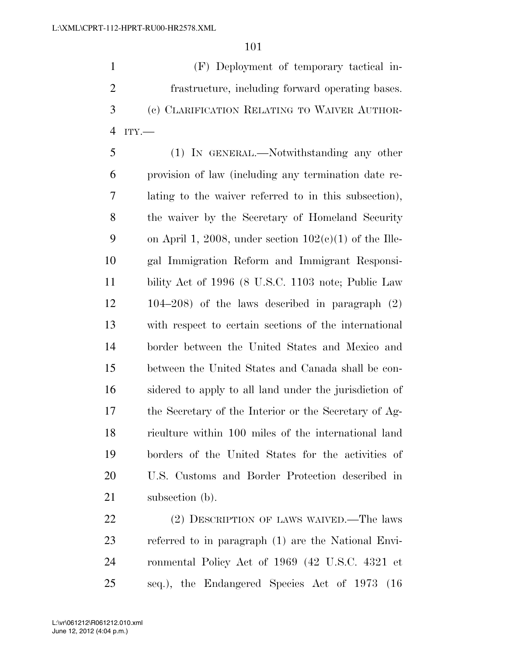(F) Deployment of temporary tactical in- frastructure, including forward operating bases. (c) CLARIFICATION RELATING TO WAIVER AUTHOR-ITY.—

 (1) IN GENERAL.—Notwithstanding any other provision of law (including any termination date re- lating to the waiver referred to in this subsection), the waiver by the Secretary of Homeland Security 9 on April 1, 2008, under section  $102(c)(1)$  of the Ille- gal Immigration Reform and Immigrant Responsi- bility Act of 1996 (8 U.S.C. 1103 note; Public Law 104–208) of the laws described in paragraph (2) with respect to certain sections of the international border between the United States and Mexico and between the United States and Canada shall be con- sidered to apply to all land under the jurisdiction of the Secretary of the Interior or the Secretary of Ag- riculture within 100 miles of the international land borders of the United States for the activities of U.S. Customs and Border Protection described in 21 subsection (b).

22 (2) DESCRIPTION OF LAWS WAIVED.—The laws referred to in paragraph (1) are the National Envi- ronmental Policy Act of 1969 (42 U.S.C. 4321 et seq.), the Endangered Species Act of 1973 (16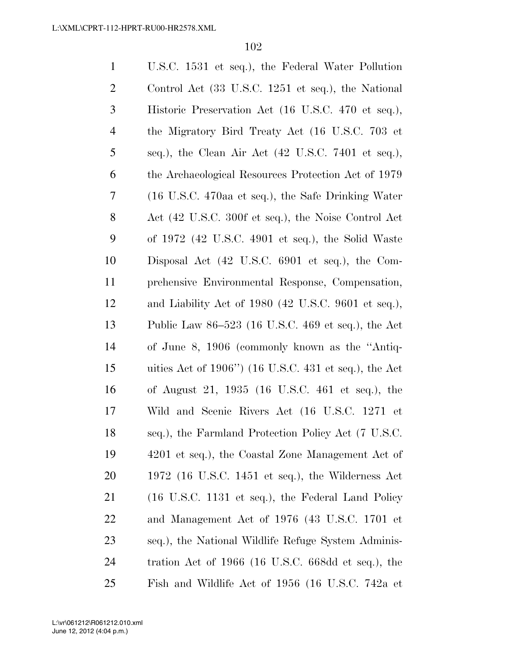| $\mathbf{1}$   | U.S.C. 1531 et seq.), the Federal Water Pollution        |
|----------------|----------------------------------------------------------|
| $\overline{2}$ | Control Act (33 U.S.C. 1251 et seq.), the National       |
| 3              | Historic Preservation Act (16 U.S.C. 470 et seq.),       |
| $\overline{4}$ | the Migratory Bird Treaty Act (16 U.S.C. 703 et          |
| 5              | seq.), the Clean Air Act (42 U.S.C. 7401 et seq.),       |
| 6              | the Archaeological Resources Protection Act of 1979      |
| 7              | (16 U.S.C. 470aa et seq.), the Safe Drinking Water       |
| 8              | Act (42 U.S.C. 300f et seq.), the Noise Control Act      |
| 9              | of $1972$ (42 U.S.C. 4901 et seq.), the Solid Waste      |
| 10             | Disposal Act (42 U.S.C. 6901 et seq.), the Com-          |
| 11             | prehensive Environmental Response, Compensation,         |
| 12             | and Liability Act of $1980$ (42 U.S.C. 9601 et seq.),    |
| 13             | Public Law 86–523 (16 U.S.C. 469 et seq.), the Act       |
| 14             | of June 8, 1906 (commonly known as the "Antiq-           |
| 15             | uities Act of $1906$ ") (16 U.S.C. 431 et seq.), the Act |
| 16             | of August 21, 1935 (16 U.S.C. 461 et seq.), the          |
| 17             | Wild and Scenic Rivers Act (16 U.S.C. 1271 et            |
| 18             | seq.), the Farmland Protection Policy Act (7 U.S.C.      |
| 19             | 4201 et seq.), the Coastal Zone Management Act of        |
| 20             | $1972$ (16 U.S.C. 1451 et seq.), the Wilderness Act      |
| 21             | (16 U.S.C. 1131 et seq.), the Federal Land Policy        |
| 22             | and Management Act of 1976 (43 U.S.C. 1701 et            |
| 23             | seq.), the National Wildlife Refuge System Adminis-      |
| 24             | tration Act of 1966 (16 U.S.C. 668dd et seq.), the       |
| 25             | Fish and Wildlife Act of 1956 (16 U.S.C. 742a et         |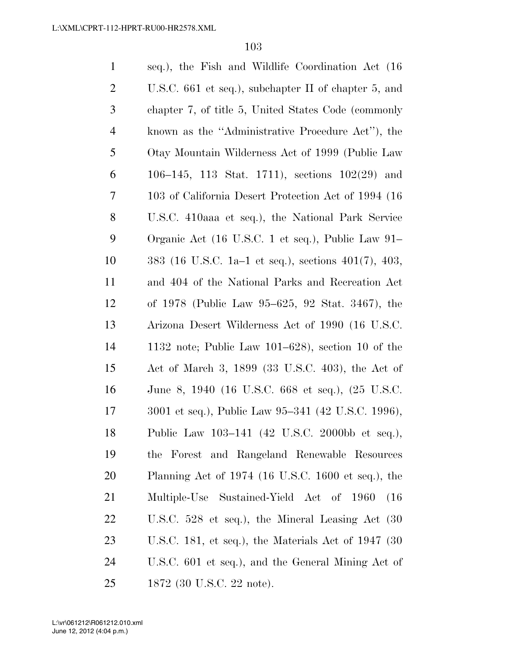| $\mathbf{1}$   | seq.), the Fish and Wildlife Coordination Act (16)     |
|----------------|--------------------------------------------------------|
| $\overline{2}$ | U.S.C. $661$ et seq.), subchapter II of chapter 5, and |
| 3              | chapter 7, of title 5, United States Code (commonly    |
| $\overline{4}$ | known as the "Administrative Procedure Act", the       |
| 5              | Otay Mountain Wilderness Act of 1999 (Public Law       |
| 6              | 106-145, 113 Stat. 1711), sections $102(29)$ and       |
| 7              | 103 of California Desert Protection Act of 1994 (16)   |
| 8              | U.S.C. 410aaa et seq.), the National Park Service      |
| 9              | Organic Act (16 U.S.C. 1 et seq.), Public Law 91–      |
| 10             | 383 (16 U.S.C. 1a–1 et seq.), sections 401(7), 403,    |
| 11             | and 404 of the National Parks and Recreation Act       |
| 12             | of 1978 (Public Law 95–625, 92 Stat. 3467), the        |
| 13             | Arizona Desert Wilderness Act of 1990 (16 U.S.C.       |
| 14             | 1132 note; Public Law $101-628$ ), section 10 of the   |
| 15             | Act of March 3, 1899 (33 U.S.C. 403), the Act of       |
| 16             | June 8, 1940 (16 U.S.C. 668 et seq.), (25 U.S.C.       |
| 17             | 3001 et seq.), Public Law 95-341 (42 U.S.C. 1996),     |
| 18             | Public Law 103-141 (42 U.S.C. 2000bb et seq.),         |
| 19             | the Forest and Rangeland Renewable Resources           |
| 20             | Planning Act of 1974 (16 U.S.C. 1600 et seq.), the     |
| 21             | Multiple-Use<br>Sustained-Yield Act of 1960<br>(16)    |
| 22             | U.S.C. $528$ et seq.), the Mineral Leasing Act $(30)$  |
| 23             | U.S.C. 181, et seq.), the Materials Act of $1947$ (30  |
| 24             | U.S.C. 601 et seq.), and the General Mining Act of     |
| 25             | 1872 (30 U.S.C. 22 note).                              |